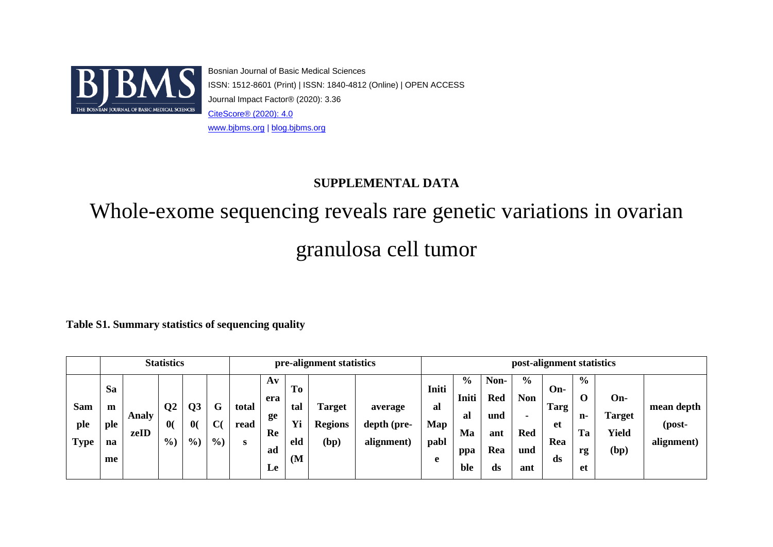

Bosnian Journal of Basic Medical Sciences ISSN: 1512-8601 (Print) | ISSN: 1840-4812 (Online) | OPEN ACCESS Journal Impact Factor® (2020): 3.36 [CiteScore® \(2020\): 4](https://www.scopus.com/sourceid/91727).0 [www.bjbms.org](http://www.bjbms.org/) | [blog.bjbms.org](https://blog.bjbms.org/)

## **SUPPLEMENTAL DATA**

# Whole-exome sequencing reveals rare genetic variations in ovarian granulosa cell tumor

**Table S1. Summary statistics of sequencing quality**

|                           |                                   |               | <b>Statistics</b>                  |                                                 |                                   |                    |                                                              |                              | pre-alignment statistics                |                                      |                                 |                                                  |                                               |                                                  | post-alignment statistics      |                                                      |                                       |                                    |
|---------------------------|-----------------------------------|---------------|------------------------------------|-------------------------------------------------|-----------------------------------|--------------------|--------------------------------------------------------------|------------------------------|-----------------------------------------|--------------------------------------|---------------------------------|--------------------------------------------------|-----------------------------------------------|--------------------------------------------------|--------------------------------|------------------------------------------------------|---------------------------------------|------------------------------------|
| Sam<br>ple<br><b>Type</b> | <b>Sa</b><br>m<br>ple<br>na<br>me | Analy<br>zeID | $\bf Q2$<br>$\mathbf{0}$<br>$\%$ ) | Q <sub>3</sub><br>$\mathbf{0}$<br>$\frac{0}{0}$ | G<br>$\mathbf C$<br>$\frac{6}{2}$ | total<br>read<br>S | $\mathbf{A}\mathbf{v}$<br>era<br>ge<br>Re<br>ad<br><b>Le</b> | To<br>tal<br>Yi<br>eld<br>(M | <b>Target</b><br><b>Regions</b><br>(bp) | average<br>depth (pre-<br>alignment) | Initi<br>al<br>Map<br>pabl<br>e | $\frac{6}{9}$<br>Initi<br>al<br>Ma<br>ppa<br>ble | Non-<br><b>Red</b><br>und<br>ant<br>Rea<br>ds | $\frac{6}{9}$<br><b>Non</b><br>Red<br>und<br>ant | On-<br>Targ<br>et<br>Rea<br>ds | $\frac{6}{6}$<br>$\mathbf 0$<br>n-<br>Ta<br>rg<br>et | On-<br><b>Target</b><br>Yield<br>(bp) | mean depth<br>(post-<br>alignment) |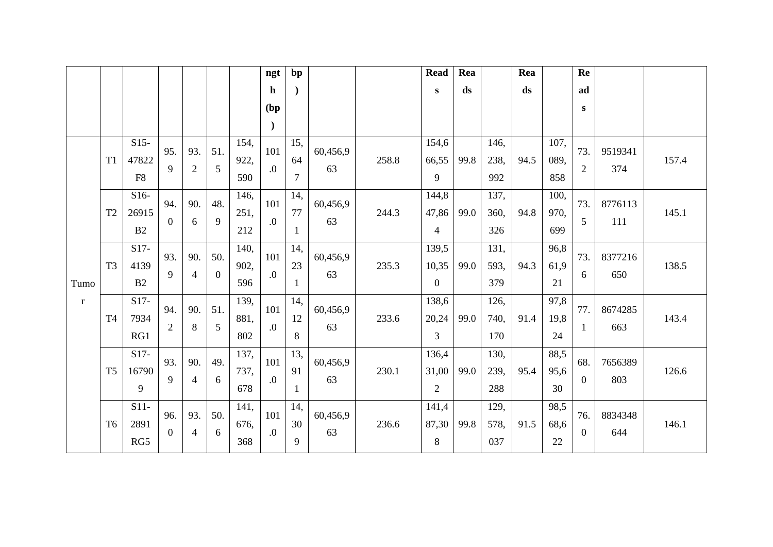|         |                |                |                |                |          |      | ngt         | bp  |          |       | <b>Read</b>    | Rea  |      | Rea  |      | Re             |         |       |
|---------|----------------|----------------|----------------|----------------|----------|------|-------------|-----|----------|-------|----------------|------|------|------|------|----------------|---------|-------|
|         |                |                |                |                |          |      | $\mathbf h$ |     |          |       | $\mathbf{s}$   | ds   |      | ds   |      | ad             |         |       |
|         |                |                |                |                |          |      | (bp)        |     |          |       |                |      |      |      |      | S              |         |       |
|         |                |                |                |                |          |      | $\lambda$   |     |          |       |                |      |      |      |      |                |         |       |
|         |                | $S15-$         | 95.            | 93.            | 51.      | 154, | 101         | 15, | 60,456,9 |       | 154,6          |      | 146, |      | 107, | 73.            | 9519341 |       |
|         | T <sub>1</sub> | 47822          | 9              | $\overline{2}$ | 5        | 922, | 0.          | 64  | 63       | 258.8 | 66,55          | 99.8 | 238, | 94.5 | 089, | $\overline{2}$ | 374     | 157.4 |
|         |                | F <sub>8</sub> |                |                |          | 590  |             | 7   |          |       | 9              |      | 992  |      | 858  |                |         |       |
|         |                | $S16-$         | 94.            | 90.            | 48.      | 146, | 101         | 14, | 60,456,9 |       | 144,8          |      | 137, |      | 100, | 73.            | 8776113 |       |
|         | T <sub>2</sub> | 26915          | $\overline{0}$ | 6              | 9        | 251, | $\cdot$ .0  | 77  | 63       | 244.3 | 47,86          | 99.0 | 360, | 94.8 | 970, | 5              | 111     | 145.1 |
|         |                | B2             |                |                |          | 212  |             |     |          |       | $\overline{4}$ |      | 326  |      | 699  |                |         |       |
|         |                | $S17-$         | 93.            | 90.            | 50.      | 140, | 101         | 14, | 60,456,9 |       | 139,5          |      | 131, |      | 96,8 | 73.            | 8377216 |       |
|         | T <sub>3</sub> | 4139           | 9              | 4              | $\theta$ | 902, | $\cdot$     | 23  | 63       | 235.3 | 10,35          | 99.0 | 593, | 94.3 | 61,9 | 6              | 650     | 138.5 |
| Tumo    |                | B2             |                |                |          | 596  |             |     |          |       | $\overline{0}$ |      | 379  |      | 21   |                |         |       |
| $\bf r$ |                | $S17-$         | 94.            | 90.            | 51.      | 139, | 101         | 14, | 60,456,9 |       | 138,6          |      | 126, |      | 97,8 | 77.            | 8674285 |       |
|         | T <sub>4</sub> | 7934           | $\overline{2}$ | 8              | 5        | 881, | $\cdot$     | 12  | 63       | 233.6 | 20,24          | 99.0 | 740, | 91.4 | 19,8 | 1              | 663     | 143.4 |
|         |                | RG1            |                |                |          | 802  |             | 8   |          |       | 3              |      | 170  |      | 24   |                |         |       |
|         |                | $S17-$         | 93.            | 90.            | 49.      | 137, | 101         | 13, | 60,456,9 |       | 136,4          |      | 130, |      | 88,5 | 68.            | 7656389 |       |
|         | T <sub>5</sub> | 16790          | 9              | 4              | 6        | 737, | $\cdot$     | 91  | 63       | 230.1 | 31,00          | 99.0 | 239, | 95.4 | 95,6 | $\overline{0}$ | 803     | 126.6 |
|         |                | 9              |                |                |          | 678  |             |     |          |       | $\overline{2}$ |      | 288  |      | 30   |                |         |       |
|         |                | $S11-$         | 96.            | 93.            | 50.      | 141, | 101         | 14, | 60,456,9 |       | 141,4          |      | 129, |      | 98,5 | 76.            | 8834348 |       |
|         | T <sub>6</sub> | 2891           | $\overline{0}$ | 4              | 6        | 676, | $\cdot$     | 30  | 63       | 236.6 | 87,30          | 99.8 | 578, | 91.5 | 68,6 | $\overline{0}$ | 644     | 146.1 |
|         |                | RG5            |                |                |          | 368  |             | 9   |          |       | 8              |      | 037  |      | 22   |                |         |       |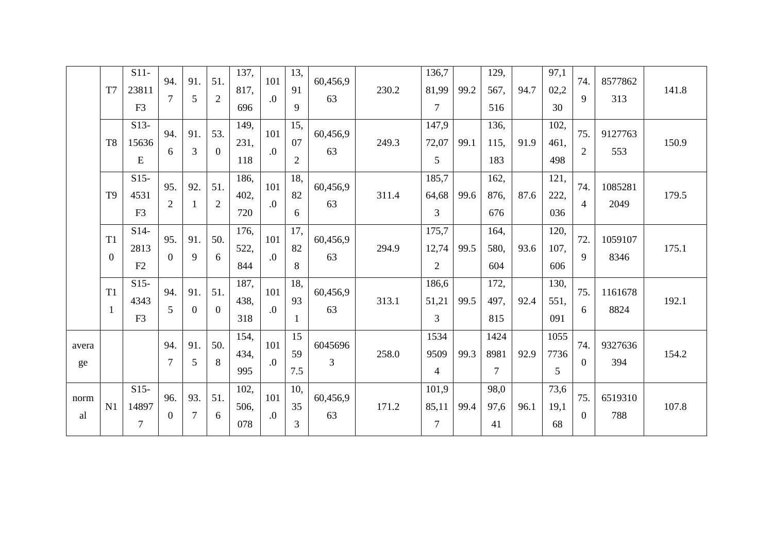|             | T7                             | $S11-$<br>23811<br>F <sub>3</sub> | 94.<br>$\tau$         | 91.<br>5 | 51.<br>$\overline{2}$ | 137,<br>817,<br>696 | 101<br>$\overline{0}$ . | 13,<br>91<br>9  | 60,456,9<br>63 | 230.2 | 136,7<br>81,99<br>$\overline{7}$ | 99.2 | 129,<br>567,<br>516            | 94.7 | 97,1<br>02,2<br>30  | 74.<br>9              | 8577862<br>313  | 141.8 |
|-------------|--------------------------------|-----------------------------------|-----------------------|----------|-----------------------|---------------------|-------------------------|-----------------|----------------|-------|----------------------------------|------|--------------------------------|------|---------------------|-----------------------|-----------------|-------|
|             | T <sub>8</sub>                 | $S13-$<br>15636<br>E              | 94.<br>6              | 91.<br>3 | 53.<br>$\overline{0}$ | 149,<br>231,<br>118 | 101<br>$\overline{0}$ . | 15,<br>07<br>2  | 60,456,9<br>63 | 249.3 | 147,9<br>72,07<br>5              | 99.1 | 136,<br>115,<br>183            | 91.9 | 102,<br>461.<br>498 | 75.<br>$\overline{2}$ | 9127763<br>553  | 150.9 |
|             | T <sub>9</sub>                 | $S15-$<br>4531<br>F <sub>3</sub>  | 95.<br>$\overline{2}$ | 92.      | 51.<br>$\overline{2}$ | 186.<br>402,<br>720 | 101<br>0.               | 18,<br>82<br>6  | 60,456,9<br>63 | 311.4 | 185,7<br>64,68<br>3              | 99.6 | 162,<br>876,<br>676            | 87.6 | 121,<br>222,<br>036 | 74.<br>$\overline{4}$ | 1085281<br>2049 | 179.5 |
|             | T1<br>$\overline{0}$           | $S14-$<br>2813<br>F2              | 95.<br>$\overline{0}$ | 91.<br>9 | 50.<br>6              | 176,<br>522,<br>844 | 101<br>$\overline{0}$ . | 17,<br>82<br>8  | 60,456,9<br>63 | 294.9 | 175,7<br>12,74<br>$\overline{2}$ | 99.5 | 164,<br>580,<br>604            | 93.6 | 120,<br>107,<br>606 | 72.<br>9              | 1059107<br>8346 | 175.1 |
|             | T <sub>1</sub><br>$\mathbf{1}$ | $S15-$<br>4343<br>F <sub>3</sub>  | 94.<br>5              | 91.<br>0 | 51.<br>$\overline{0}$ | 187,<br>438.<br>318 | 101<br>$\overline{0}$ . | 18.<br>93<br>1  | 60,456,9<br>63 | 313.1 | 186,6<br>51,21<br>3              | 99.5 | 172,<br>497.<br>815            | 92.4 | 130,<br>551.<br>091 | 75.<br>6              | 1161678<br>8824 | 192.1 |
| avera<br>ge |                                |                                   | 94.<br>$\overline{7}$ | 91.<br>5 | 50.<br>8              | 154,<br>434,<br>995 | 101<br>$\cdot$          | 15<br>59<br>7.5 | 6045696<br>3   | 258.0 | 1534<br>9509<br>$\overline{4}$   | 99.3 | 1424<br>8981<br>$\overline{7}$ | 92.9 | 1055<br>7736<br>5   | 74.<br>$\overline{0}$ | 9327636<br>394  | 154.2 |
| norm<br>al  | N1                             | $S15-$<br>14897<br>$\overline{7}$ | 96.<br>$\overline{0}$ | 93.<br>7 | 51.<br>6              | 102,<br>506,<br>078 | 101<br>$\overline{0}$ . | 10,<br>35<br>3  | 60,456,9<br>63 | 171.2 | 101,9<br>85,11<br>$\overline{7}$ | 99.4 | 98,0<br>97,6<br>41             | 96.1 | 73,6<br>19,1<br>68  | 75.<br>$\Omega$       | 6519310<br>788  | 107.8 |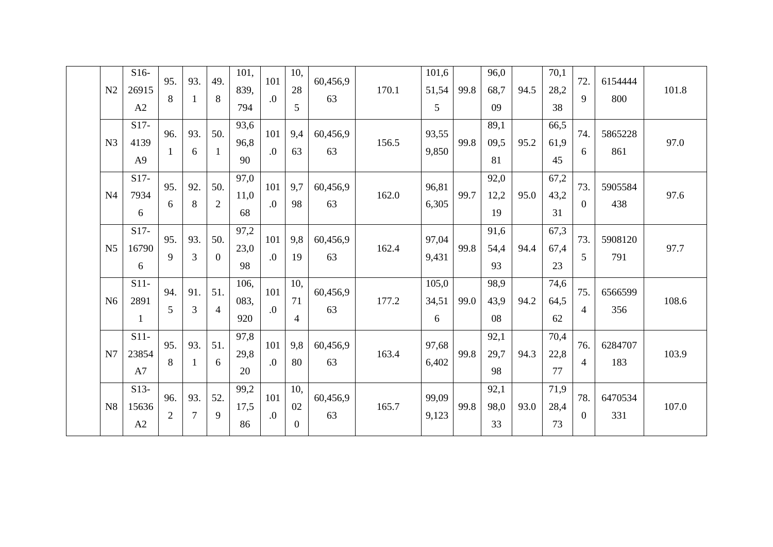| N <sub>2</sub> | $S16-$<br>26915<br>A2            | 95.<br>8              | 93.      | 49.<br>8              | 101,<br>839,<br>794 | 101<br>$\overline{0}$ . | 10,<br>28<br>5        | 60,456,9<br>63 | 170.1 | 101,6<br>51,54<br>5 | 99.8 | 96,0<br>68,7<br>09 | 94.5 | 70,1<br>28,2<br>38 | 72.<br>9              | 6154444<br>800 | 101.8 |
|----------------|----------------------------------|-----------------------|----------|-----------------------|---------------------|-------------------------|-----------------------|----------------|-------|---------------------|------|--------------------|------|--------------------|-----------------------|----------------|-------|
| N <sub>3</sub> | $S17-$<br>4139<br>A <sub>9</sub> | 96.                   | 93.<br>6 | 50.<br>-1             | 93,6<br>96,8<br>90  | 101<br>0.               | 9,4<br>63             | 60,456,9<br>63 | 156.5 | 93,55<br>9,850      | 99.8 | 89,1<br>09,5<br>81 | 95.2 | 66,5<br>61,9<br>45 | 74.<br>6              | 5865228<br>861 | 97.0  |
| N <sub>4</sub> | $S17-$<br>7934<br>6              | 95.<br>6              | 92.<br>8 | 50.<br>$\overline{2}$ | 97,0<br>11,0<br>68  | 101<br>$\cdot$          | 9,7<br>98             | 60,456,9<br>63 | 162.0 | 96,81<br>6,305      | 99.7 | 92,0<br>12,2<br>19 | 95.0 | 67,2<br>43,2<br>31 | 73.<br>$\overline{0}$ | 5905584<br>438 | 97.6  |
| N <sub>5</sub> | $S17-$<br>16790<br>6             | 95.<br>9              | 93.<br>3 | 50.<br>$\theta$       | 97,2<br>23,0<br>98  | 101<br>$\boldsymbol{0}$ | 9,8<br>19             | 60,456,9<br>63 | 162.4 | 97,04<br>9,431      | 99.8 | 91,6<br>54,4<br>93 | 94.4 | 67,3<br>67,4<br>23 | 73.<br>5              | 5908120<br>791 | 97.7  |
| N <sub>6</sub> | $S11-$<br>2891<br>1              | 94.<br>5              | 91.<br>3 | 51.<br>4              | 106,<br>083.<br>920 | 101<br>$\cdot$          | 10.<br>71<br>4        | 60,456,9<br>63 | 177.2 | 105,0<br>34,51<br>6 | 99.0 | 98,9<br>43,9<br>08 | 94.2 | 74,6<br>64,5<br>62 | 75.<br>4              | 6566599<br>356 | 108.6 |
| N7             | $S11-$<br>23854<br>A7            | 95.<br>8              | 93.<br>1 | 51.<br>6              | 97,8<br>29,8<br>20  | 101<br>$\overline{0}$ . | 9,8<br>80             | 60,456,9<br>63 | 163.4 | 97,68<br>6,402      | 99.8 | 92,1<br>29,7<br>98 | 94.3 | 70,4<br>22,8<br>77 | 76.<br>4              | 6284707<br>183 | 103.9 |
| N8             | $S13-$<br>15636<br>A2            | 96.<br>$\overline{c}$ | 93.<br>7 | 52.<br>9              | 99,2<br>17,5<br>86  | 101<br>$\overline{0}$ . | 10.<br>02<br>$\Omega$ | 60,456,9<br>63 | 165.7 | 99,09<br>9,123      | 99.8 | 92,1<br>98,0<br>33 | 93.0 | 71,9<br>28,4<br>73 | 78.<br>$\overline{0}$ | 6470534<br>331 | 107.0 |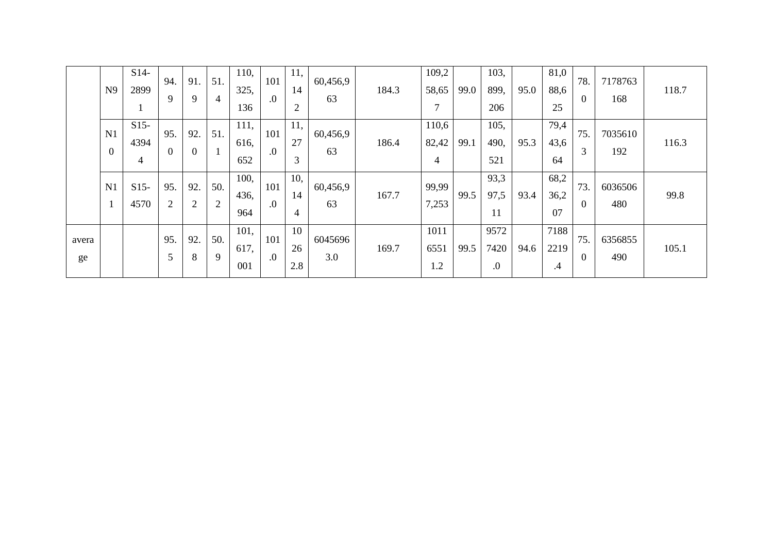|             | N <sub>9</sub>         | $S14-$<br>2899      | 94.<br>9              | 91.<br>9 | 51.<br>4              | 110,<br>325,<br>136 | 101<br>$\boldsymbol{0}$ | 11,<br>14<br>2  | 60,456,9<br>63 | 184.3 | 109,2<br>58,65<br>7 | 99.0 | 103,<br>899,<br>206 | 95.0 | 81,0<br>88,6<br>25      | 78.<br>$\overline{0}$ | 7178763<br>168 | 118.7 |
|-------------|------------------------|---------------------|-----------------------|----------|-----------------------|---------------------|-------------------------|-----------------|----------------|-------|---------------------|------|---------------------|------|-------------------------|-----------------------|----------------|-------|
|             | N1<br>$\boldsymbol{0}$ | $S15-$<br>4394<br>4 | 95.<br>$\overline{0}$ | 92.      | 51.                   | 111,<br>616,<br>652 | 101<br>$\boldsymbol{0}$ | 11,<br>27<br>3  | 60,456,9<br>63 | 186.4 | 110,6<br>82,42<br>4 | 99.1 | 105,<br>490,<br>521 | 95.3 | 79,4<br>43,6<br>64      | 75.<br>3              | 7035610<br>192 | 116.3 |
|             | N1                     | $S15-$<br>4570      | 95.<br>2              | 92.<br>2 | 50.<br>$\overline{2}$ | 100,<br>436,<br>964 | 101<br>$\cdot$          | 10,<br>14<br>4  | 60,456,9<br>63 | 167.7 | 99,99<br>7,253      | 99.5 | 93,3<br>97,5<br>11  | 93.4 | 68,2<br>36,2<br>07      | 73.<br>$\overline{0}$ | 6036506<br>480 | 99.8  |
| avera<br>ge |                        |                     | 95.<br>5              | 92.<br>8 | 50.<br>9              | 101,<br>617,<br>001 | 101<br>$\boldsymbol{0}$ | 10<br>26<br>2.8 | 6045696<br>3.0 | 169.7 | 1011<br>6551<br>1.2 | 99.5 | 9572<br>7420<br>0.  | 94.6 | 7188<br>2219<br>$\cdot$ | 75.<br>$\overline{0}$ | 6356855<br>490 | 105.1 |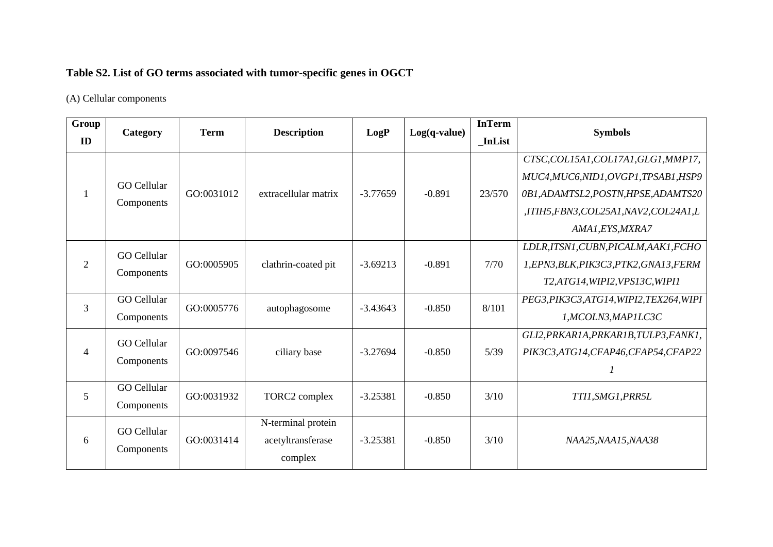## **Table S2. List of GO terms associated with tumor-specific genes in OGCT**

(A) Cellular components

| Group<br>ID    | Category                         | <b>Term</b> | <b>Description</b>                                 | LogP       | $Log(q-value)$ | <b>InTerm</b><br><b>InList</b> | <b>Symbols</b>                                                                                                                                                                  |
|----------------|----------------------------------|-------------|----------------------------------------------------|------------|----------------|--------------------------------|---------------------------------------------------------------------------------------------------------------------------------------------------------------------------------|
|                | <b>GO</b> Cellular<br>Components | GO:0031012  | extracellular matrix                               | $-3.77659$ | $-0.891$       | 23/570                         | CTSC, COL15A1, COL17A1, GLG1, MMP17,<br>MUC4, MUC6, NID1, OVGP1, TPSAB1, HSP9<br>0B1, ADAMTSL2, POSTN, HPSE, ADAMTS20<br>,ITIH5,FBN3,COL25A1,NAV2,COL24A1,L<br>AMA1, EYS, MXRA7 |
| $\overline{2}$ | <b>GO</b> Cellular<br>Components | GO:0005905  | clathrin-coated pit                                | $-3.69213$ | $-0.891$       | 7/70                           | LDLR, ITSN1, CUBN, PICALM, AAK1, FCHO<br>1, EPN3, BLK, PIK3C3, PTK2, GNA13, FERM<br>T2,ATG14,WIPI2,VPS13C,WIPI1                                                                 |
| 3              | <b>GO</b> Cellular<br>Components | GO:0005776  | autophagosome                                      | $-3.43643$ | $-0.850$       | 8/101                          | PEG3, PIK3C3, ATG14, WIPI2, TEX264, WIPI<br>1,MCOLN3,MAP1LC3C                                                                                                                   |
| $\overline{4}$ | <b>GO</b> Cellular<br>Components | GO:0097546  | ciliary base                                       | $-3.27694$ | $-0.850$       | 5/39                           | GLI2, PRKAR1A, PRKAR1B, TULP3, FANK1,<br>PIK3C3, ATG14, CFAP46, CFAP54, CFAP22                                                                                                  |
| 5              | <b>GO</b> Cellular<br>Components | GO:0031932  | TORC2 complex                                      | $-3.25381$ | $-0.850$       | 3/10                           | TTI1,SMG1,PRR5L                                                                                                                                                                 |
| 6              | <b>GO</b> Cellular<br>Components | GO:0031414  | N-terminal protein<br>acetyltransferase<br>complex | $-3.25381$ | $-0.850$       | 3/10                           | NAA25, NAA15, NAA38                                                                                                                                                             |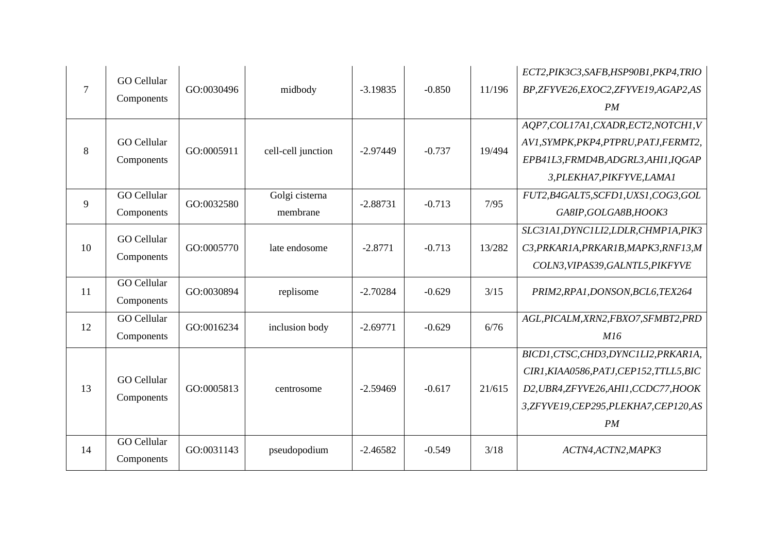| $\tau$ | <b>GO</b> Cellular<br>Components | GO:0030496 | midbody                    | $-3.19835$ | $-0.850$ | 11/196 | ECT2, PIK3C3, SAFB, HSP90B1, PKP4, TRIO<br>BP,ZFYVE26,EXOC2,ZFYVE19,AGAP2,AS<br>PM                                                                                     |
|--------|----------------------------------|------------|----------------------------|------------|----------|--------|------------------------------------------------------------------------------------------------------------------------------------------------------------------------|
| 8      | GO Cellular<br>Components        | GO:0005911 | cell-cell junction         | $-2.97449$ | $-0.737$ | 19/494 | AQP7,COL17A1,CXADR,ECT2,NOTCH1,V<br>AV1, SYMPK, PKP4, PTPRU, PATJ, FERMT2,<br>EPB41L3, FRMD4B, ADGRL3, AHI1, IQGAP<br>3, PLEKHA7, PIKFYVE, LAMA1                       |
| 9      | <b>GO Cellular</b><br>Components | GO:0032580 | Golgi cisterna<br>membrane | $-2.88731$ | $-0.713$ | 7/95   | FUT2,B4GALT5,SCFD1,UXS1,COG3,GOL<br>GA8IP, GOLGA8B, HOOK3                                                                                                              |
| 10     | <b>GO</b> Cellular<br>Components | GO:0005770 | late endosome              | $-2.8771$  | $-0.713$ | 13/282 | SLC31A1, DYNC1LI2, LDLR, CHMP1A, PIK3<br>C3, PRKAR1A, PRKAR1B, MAPK3, RNF13, M<br>COLN3, VIPAS39, GALNTL5, PIKFYVE                                                     |
| 11     | <b>GO Cellular</b><br>Components | GO:0030894 | replisome                  | $-2.70284$ | $-0.629$ | 3/15   | PRIM2, RPA1, DONSON, BCL6, TEX264                                                                                                                                      |
| 12     | <b>GO</b> Cellular<br>Components | GO:0016234 | inclusion body             | $-2.69771$ | $-0.629$ | 6/76   | AGL, PICALM, XRN2, FBXO7, SFMBT2, PRD<br>M16                                                                                                                           |
| 13     | <b>GO</b> Cellular<br>Components | GO:0005813 | centrosome                 | $-2.59469$ | $-0.617$ | 21/615 | BICD1, CTSC, CHD3, DYNC1LI2, PRKAR1A,<br>CIR1, KIAA0586, PATJ, CEP152, TTLL5, BIC<br>D2, UBR4, ZFYVE26, AHI1, CCDC77, HOOK<br>3,ZFYVE19,CEP295,PLEKHA7,CEP120,AS<br>PM |
| 14     | <b>GO Cellular</b><br>Components | GO:0031143 | pseudopodium               | $-2.46582$ | $-0.549$ | 3/18   | ACTN4, ACTN2, MAPK3                                                                                                                                                    |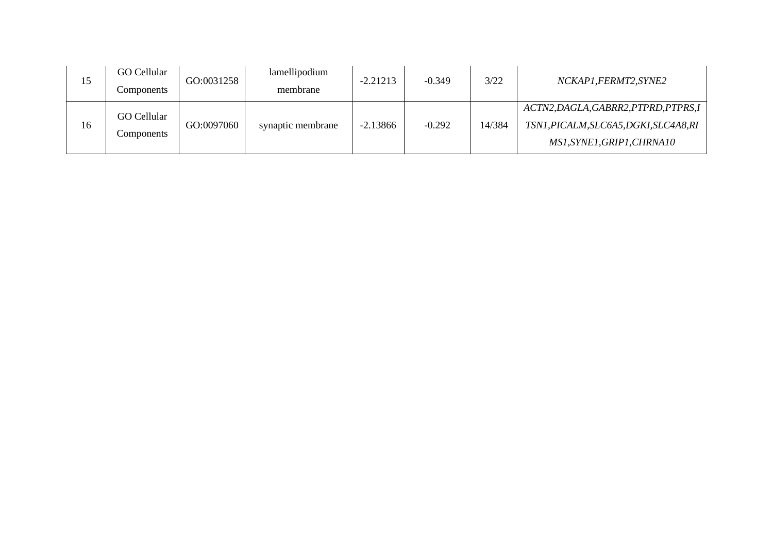| 15 | GO Cellular<br>Components | GO:0031258 | lamellipodium<br>membrane | $-2.21213$ | $-0.349$ | 3/22   | NCKAP1,FERMT2,SYNE2                                                                                           |
|----|---------------------------|------------|---------------------------|------------|----------|--------|---------------------------------------------------------------------------------------------------------------|
| 16 | GO Cellular<br>Components | GO:0097060 | synaptic membrane         | $-2.13866$ | $-0.292$ | 14/384 | ACTN2, DAGLA, GABRR2, PTPRD, PTPRS, I<br>TSN1, PICALM, SLC6A5, DGKI, SLC4A8, RI<br>MS1, SYNE1, GRIP1, CHRNA10 |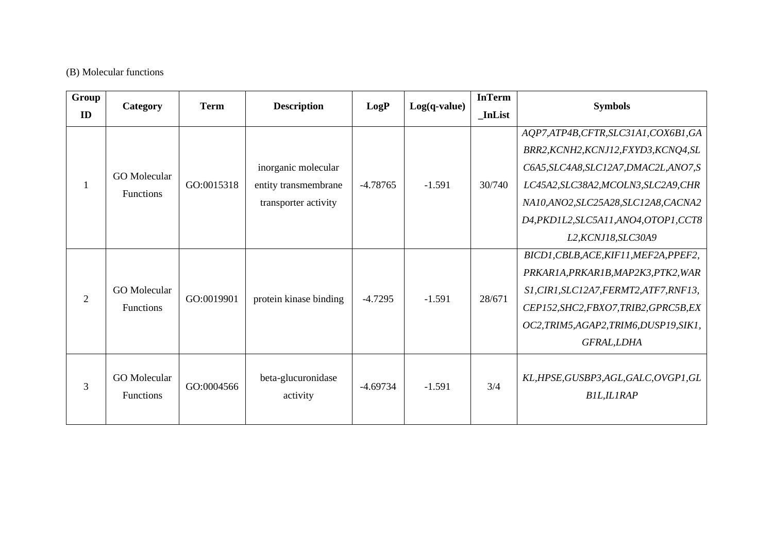#### (B) Molecular functions

| Group | Category                         | <b>Term</b> | <b>Description</b>             | LogP       | $Log(q-value)$ | <b>InTerm</b> | <b>Symbols</b>                                               |
|-------|----------------------------------|-------------|--------------------------------|------------|----------------|---------------|--------------------------------------------------------------|
| ID    |                                  |             |                                |            |                | _InList       |                                                              |
|       |                                  |             |                                |            |                |               | AQP7,ATP4B,CFTR,SLC31A1,COX6B1,GA                            |
|       |                                  |             |                                |            |                |               | BRR2, KCNH2, KCNJ12, FXYD3, KCNQ4, SL                        |
|       | <b>GO</b> Molecular              |             | inorganic molecular            |            |                |               | C6A5, SLC4A8, SLC12A7, DMAC2L, ANO7, S                       |
|       |                                  | GO:0015318  | entity transmembrane           | $-4.78765$ | $-1.591$       | 30/740        | LC45A2, SLC38A2, MCOLN3, SLC2A9, CHR                         |
|       | Functions                        |             | transporter activity           |            |                |               | NA10,ANO2,SLC25A28,SLC12A8,CACNA2                            |
|       |                                  |             |                                |            |                |               | D4, PKD1L2, SLC5A11, ANO4, OTOP1, CCT8                       |
|       |                                  |             |                                |            |                |               | L2, KCNJ18, SLC30A9                                          |
|       |                                  |             |                                |            |                |               | BICD1, CBLB, ACE, KIF11, MEF2A, PPEF2,                       |
|       |                                  |             |                                |            |                |               | PRKAR1A, PRKAR1B, MAP2K3, PTK2, WAR                          |
| 2     | <b>GO</b> Molecular              | GO:0019901  | protein kinase binding         | $-4.7295$  | $-1.591$       | 28/671        | S1, CIR1, SLC12A7, FERMT2, ATF7, RNF13,                      |
|       | <b>Functions</b>                 |             |                                |            |                |               | CEP152, SHC2, FBXO7, TRIB2, GPRC5B, EX                       |
|       |                                  |             |                                |            |                |               | OC2, TRIM5, AGAP2, TRIM6, DUSP19, SIK1,                      |
|       |                                  |             |                                |            |                |               | GFRAL, LDHA                                                  |
| 3     | GO Molecular<br><b>Functions</b> | GO:0004566  | beta-glucuronidase<br>activity | $-4.69734$ | $-1.591$       | 3/4           | KL, HPSE, GUSBP3, AGL, GALC, OVGP1, GL<br><b>BIL, ILIRAP</b> |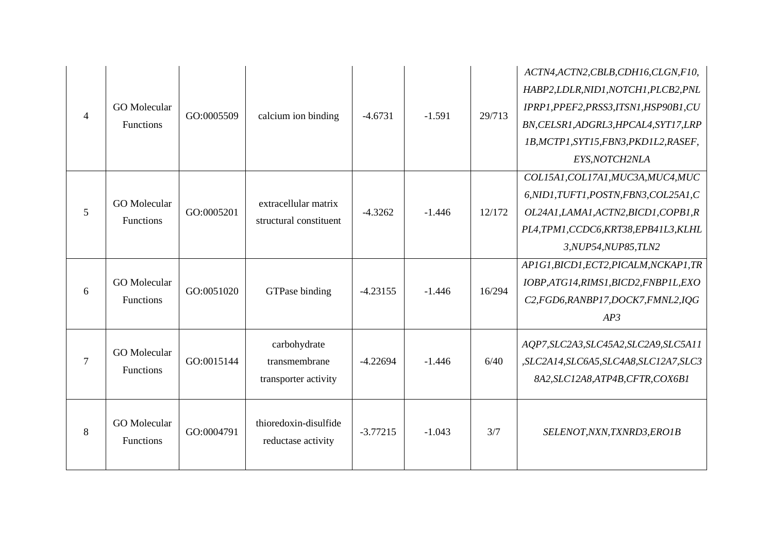| $\overline{4}$ | <b>GO</b> Molecular<br>Functions | GO:0005509 | calcium ion binding                                   | $-4.6731$  | $-1.591$ | 29/713 | ACTN4, ACTN2, CBLB, CDH16, CLGN, F10,<br>HABP2, LDLR, NID1, NOTCH1, PLCB2, PNL<br>IPRP1, PPEF2, PRSS3, ITSN1, HSP90B1, CU<br>BN, CELSR1, ADGRL3, HPCAL4, SYT17, LRP<br>1B, MCTP1, SYT15, FBN3, PKD1L2, RASEF,<br>EYS, NOTCH2NLA |
|----------------|----------------------------------|------------|-------------------------------------------------------|------------|----------|--------|---------------------------------------------------------------------------------------------------------------------------------------------------------------------------------------------------------------------------------|
| 5              | <b>GO</b> Molecular<br>Functions | GO:0005201 | extracellular matrix<br>structural constituent        | $-4.3262$  | $-1.446$ | 12/172 | COL15A1, COL17A1, MUC3A, MUC4, MUC<br>6, NID1, TUFT1, POSTN, FBN3, COL25A1, C<br>OL24A1, LAMA1, ACTN2, BICD1, COPB1, R<br>PLA,TPM1,CCDC6,KRT38,EPB41L3,KLHL<br>3, NUP54, NUP85, TLN2                                            |
| 6              | <b>GO</b> Molecular<br>Functions | GO:0051020 | GTPase binding                                        | $-4.23155$ | $-1.446$ | 16/294 | AP1G1,BICD1,ECT2,PICALM,NCKAP1,TR<br>IOBP,ATG14,RIMS1,BICD2,FNBP1L,EXO<br>C2, FGD6, RANBP17, DOCK7, FMNL2, IQG<br>AP3                                                                                                           |
| $\overline{7}$ | <b>GO</b> Molecular<br>Functions | GO:0015144 | carbohydrate<br>transmembrane<br>transporter activity | $-4.22694$ | $-1.446$ | 6/40   | AQP7, SLC2A3, SLC45A2, SLC2A9, SLC5A11<br>,SLC2A14,SLC6A5,SLC4A8,SLC12A7,SLC3<br>8A2, SLC12A8, ATP4B, CFTR, COX6B1                                                                                                              |
| 8              | <b>GO</b> Molecular<br>Functions | GO:0004791 | thioredoxin-disulfide<br>reductase activity           | $-3.77215$ | $-1.043$ | 3/7    | SELENOT, NXN, TXNRD3, ERO1B                                                                                                                                                                                                     |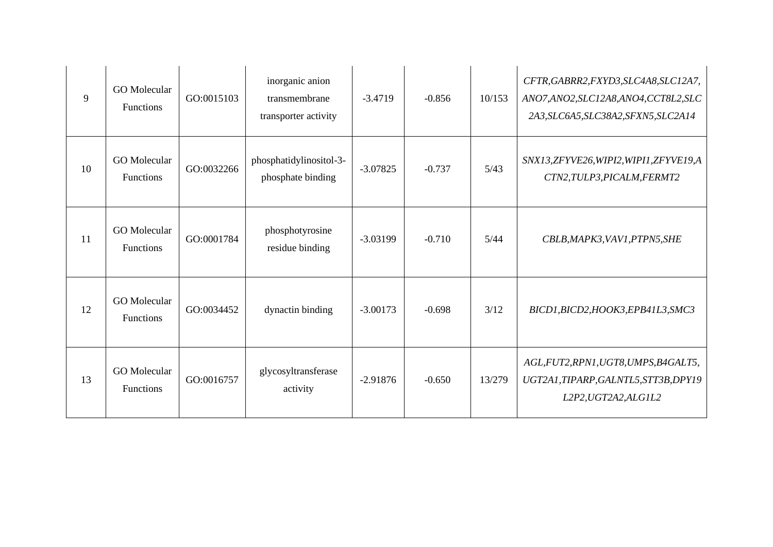| 9  | <b>GO</b> Molecular<br><b>Functions</b> | GO:0015103 | inorganic anion<br>transmembrane<br>transporter activity | $-3.4719$  | $-0.856$ | 10/153 | CFTR, GABRR2, FXYD3, SLC4A8, SLC12A7,<br>ANO7,ANO2,SLC12A8,ANO4,CCT8L2,SLC<br>2A3, SLC6A5, SLC38A2, SFXN5, SLC2A14 |
|----|-----------------------------------------|------------|----------------------------------------------------------|------------|----------|--------|--------------------------------------------------------------------------------------------------------------------|
| 10 | <b>GO</b> Molecular<br><b>Functions</b> | GO:0032266 | phosphatidylinositol-3-<br>phosphate binding             | $-3.07825$ | $-0.737$ | 5/43   | SNX13, ZFYVE26, WIPI2, WIPI1, ZFYVE19, A<br>CTN2, TULP3, PICALM, FERMT2                                            |
| 11 | <b>GO</b> Molecular<br><b>Functions</b> | GO:0001784 | phosphotyrosine<br>residue binding                       | $-3.03199$ | $-0.710$ | 5/44   | CBLB, MAPK3, VAV1, PTPN5, SHE                                                                                      |
| 12 | <b>GO</b> Molecular<br><b>Functions</b> | GO:0034452 | dynactin binding                                         | $-3.00173$ | $-0.698$ | 3/12   | BICD1, BICD2, HOOK3, EPB41L3, SMC3                                                                                 |
| 13 | <b>GO</b> Molecular<br>Functions        | GO:0016757 | glycosyltransferase<br>activity                          | $-2.91876$ | $-0.650$ | 13/279 | AGL, FUT2, RPN1, UGT8, UMPS, B4GALT5,<br>UGT2A1,TIPARP,GALNTL5,STT3B,DPY19<br>L2P2, UGT2A2, ALG1L2                 |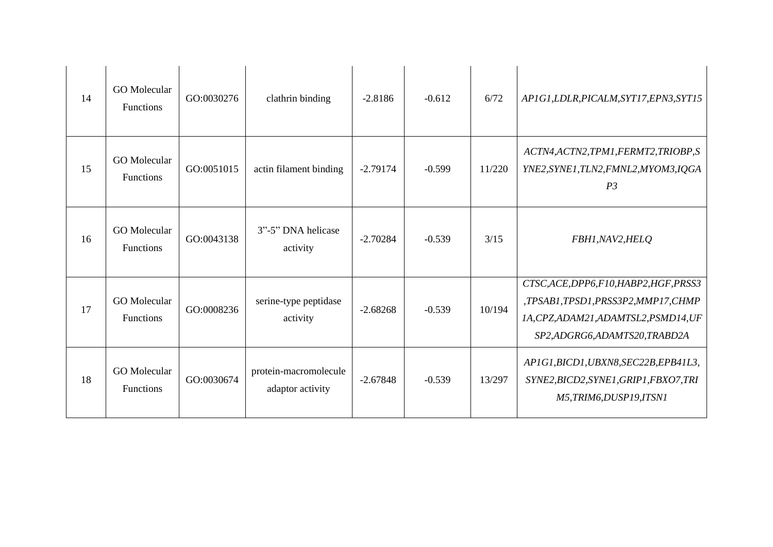| 14 | <b>GO</b> Molecular<br><b>Functions</b> | GO:0030276 | clathrin binding                          | $-2.8186$  | $-0.612$ | 6/72   | AP1G1, LDLR, PICALM, SYT17, EPN3, SYT15                                                                                                             |
|----|-----------------------------------------|------------|-------------------------------------------|------------|----------|--------|-----------------------------------------------------------------------------------------------------------------------------------------------------|
| 15 | <b>GO</b> Molecular<br>Functions        | GO:0051015 | actin filament binding                    | $-2.79174$ | $-0.599$ | 11/220 | ACTN4, ACTN2, TPM1, FERMT2, TRIOBP, S<br>YNE2, SYNE1, TLN2, FMNL2, MYOM3, IQGA<br>P <sub>3</sub>                                                    |
| 16 | <b>GO</b> Molecular<br><b>Functions</b> | GO:0043138 | 3"-5" DNA helicase<br>activity            | $-2.70284$ | $-0.539$ | 3/15   | FBH1, NAV2, HELQ                                                                                                                                    |
| 17 | <b>GO</b> Molecular<br><b>Functions</b> | GO:0008236 | serine-type peptidase<br>activity         | $-2.68268$ | $-0.539$ | 10/194 | CTSC, ACE, DPP6, F10, HABP2, HGF, PRSS3<br>,TPSAB1,TPSD1,PRSS3P2,MMP17,CHMP<br>1A, CPZ, ADAM21, ADAMTSL2, PSMD14, UF<br>SP2,ADGRG6,ADAMTS20,TRABD2A |
| 18 | <b>GO</b> Molecular<br><b>Functions</b> | GO:0030674 | protein-macromolecule<br>adaptor activity | $-2.67848$ | $-0.539$ | 13/297 | AP1G1, BICD1, UBXN8, SEC22B, EPB41L3,<br>SYNE2, BICD2, SYNE1, GRIP1, FBXO7, TRI<br>M5,TRIM6,DUSP19,ITSN1                                            |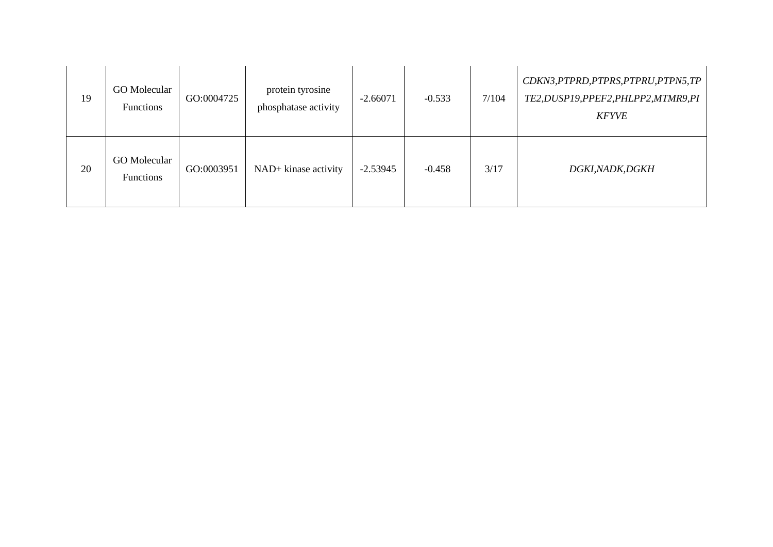| 19 | <b>GO</b> Molecular<br><b>Functions</b> | GO:0004725 | protein tyrosine<br>phosphatase activity | $-2.66071$ | $-0.533$ | 7/104 | CDKN3, PTPRD, PTPRS, PTPRU, PTPN5, TP<br>TE2, DUSP19, PPEF2, PHLPP2, MTMR9, PI<br><b>KFYVE</b> |
|----|-----------------------------------------|------------|------------------------------------------|------------|----------|-------|------------------------------------------------------------------------------------------------|
| 20 | GO Molecular<br><b>Functions</b>        | GO:0003951 | NAD+ kinase activity                     | $-2.53945$ | $-0.458$ | 3/17  | <i>DGKI,NADK,DGKH</i>                                                                          |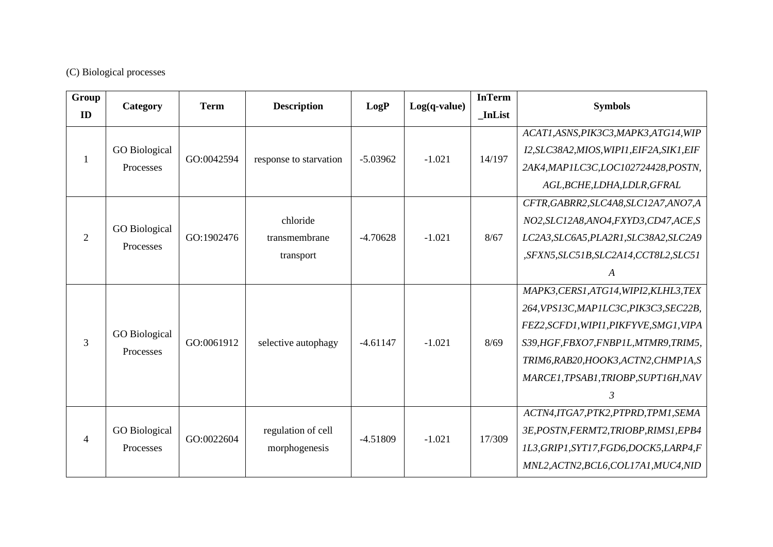## (C) Biological processes

| Group          | Category             | <b>Term</b> | <b>Description</b>     | LogP       | $Log(q-value)$ | <b>InTerm</b> | <b>Symbols</b>                             |
|----------------|----------------------|-------------|------------------------|------------|----------------|---------------|--------------------------------------------|
| ID             |                      |             |                        |            |                | <b>InList</b> |                                            |
|                |                      |             |                        |            |                |               | ACAT1, ASNS, PIK3C3, MAPK3, ATG14, WIP     |
|                | <b>GO</b> Biological | GO:0042594  |                        | $-5.03962$ | $-1.021$       | 14/197        | I2, SLC38A2, MIOS, WIPI1, EIF2A, SIK1, EIF |
|                | Processes            |             | response to starvation |            |                |               | 2AK4, MAP1LC3C, LOC102724428, POSTN,       |
|                |                      |             |                        |            |                |               | AGL, BCHE, LDHA, LDLR, GFRAL               |
|                |                      |             |                        |            |                |               | CFTR, GABRR2, SLC4A8, SLC12A7, ANO7, A     |
|                | <b>GO</b> Biological |             | chloride               |            |                |               | NO2, SLC12A8, ANO4, FXYD3, CD47, ACE, S    |
| $\overline{2}$ | Processes            | GO:1902476  | transmembrane          | $-4.70628$ | $-1.021$       | 8/67          | LC2A3, SLC6A5, PLA2R1, SLC38A2, SLC2A9     |
|                |                      |             | transport              |            |                |               | ,SFXN5,SLC51B,SLC2A14,CCT8L2,SLC51         |
|                |                      |             |                        |            |                |               | A                                          |
|                |                      |             |                        |            |                |               | MAPK3, CERS1, ATG14, WIPI2, KLHL3, TEX     |
|                |                      |             |                        |            |                |               | 264, VPS13C, MAP1LC3C, PIK3C3, SEC22B,     |
|                | <b>GO</b> Biological |             |                        |            |                |               | FEZ2, SCFD1, WIPI1, PIKFYVE, SMG1, VIPA    |
| 3              | Processes            | GO:0061912  | selective autophagy    | $-4.61147$ | $-1.021$       | 8/69          | S39, HGF, FBXO7, FNBP1L, MTMR9, TRIM5,     |
|                |                      |             |                        |            |                |               | TRIM6, RAB20, HOOK3, ACTN2, CHMP1A, S      |
|                |                      |             |                        |            |                |               | MARCE1, TPSAB1, TRIOBP, SUPT16H, NAV       |
|                |                      |             |                        |            |                |               | 3                                          |
|                |                      |             |                        |            |                |               | ACTN4,ITGA7,PTK2,PTPRD,TPM1,SEMA           |
| 4              | <b>GO</b> Biological |             | regulation of cell     | $-4.51809$ |                | 17/309        | 3E, POSTN, FERMT2, TRIOBP, RIMS1, EPB4     |
|                | Processes            | GO:0022604  | morphogenesis          |            | $-1.021$       |               | 1L3, GRIP1, SYT17, FGD6, DOCK5, LARP4, F   |
|                |                      |             |                        |            |                |               | MNL2, ACTN2, BCL6, COL17A1, MUC4, NID      |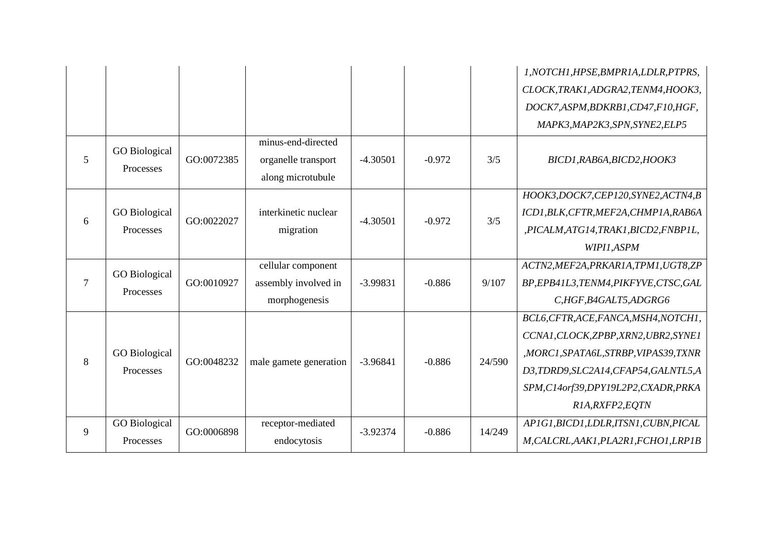|                |                      |            |                        |            |          |        | 1, NOTCH1, HPSE, BMPR1A, LDLR, PTPRS,  |
|----------------|----------------------|------------|------------------------|------------|----------|--------|----------------------------------------|
|                |                      |            |                        |            |          |        | CLOCK, TRAK1, ADGRA2, TENM4, HOOK3,    |
|                |                      |            |                        |            |          |        | DOCK7,ASPM,BDKRB1,CD47,F10,HGF,        |
|                |                      |            |                        |            |          |        | MAPK3, MAP2K3, SPN, SYNE2, ELP5        |
|                | <b>GO</b> Biological |            | minus-end-directed     |            |          |        |                                        |
| 5              | Processes            | GO:0072385 | organelle transport    | $-4.30501$ | $-0.972$ | 3/5    | BICD1, RAB6A, BICD2, HOOK3             |
|                |                      |            | along microtubule      |            |          |        |                                        |
|                |                      |            |                        |            |          |        | HOOK3,DOCK7,CEP120,SYNE2,ACTN4,B       |
| 6              | <b>GO</b> Biological | GO:0022027 | interkinetic nuclear   | $-4.30501$ | $-0.972$ | 3/5    | ICD1, BLK, CFTR, MEF2A, CHMP1A, RAB6A  |
|                | Processes            |            | migration              |            |          |        | ,PICALM,ATG14,TRAK1,BICD2,FNBP1L,      |
|                |                      |            |                        |            |          |        | WIPI1,ASPM                             |
|                | <b>GO</b> Biological |            | cellular component     |            |          |        | ACTN2, MEF2A, PRKAR1A, TPM1, UGT8, ZP  |
| $\overline{7}$ | Processes            | GO:0010927 | assembly involved in   | $-3.99831$ | $-0.886$ | 9/107  | BP, EPB41L3, TENM4, PIKFYVE, CTSC, GAL |
|                |                      |            | morphogenesis          |            |          |        | C,HGF,B4GALT5,ADGRG6                   |
|                |                      |            |                        |            |          |        | BCL6, CFTR, ACE, FANCA, MSH4, NOTCH1,  |
|                |                      |            |                        |            |          |        | CCNA1, CLOCK, ZPBP, XRN2, UBR2, SYNE1  |
| 8              | <b>GO</b> Biological | GO:0048232 | male gamete generation | $-3.96841$ | $-0.886$ | 24/590 | ,MORC1,SPATA6L,STRBP,VIPAS39,TXNR      |
|                | Processes            |            |                        |            |          |        | D3,TDRD9,SLC2A14,CFAP54,GALNTL5,A      |
|                |                      |            |                        |            |          |        | SPM, C14orf39, DPY19L2P2, CXADR, PRKA  |
|                |                      |            |                        |            |          |        | R1A, RXFP2, EQTN                       |
| 9              | <b>GO</b> Biological | GO:0006898 | receptor-mediated      | $-3.92374$ | $-0.886$ | 14/249 | AP1G1, BICD1, LDLR, ITSN1, CUBN, PICAL |
|                | Processes            |            | endocytosis            |            |          |        | M, CALCRL, AAK1, PLA2R1, FCHO1, LRP1B  |
|                |                      |            |                        |            |          |        |                                        |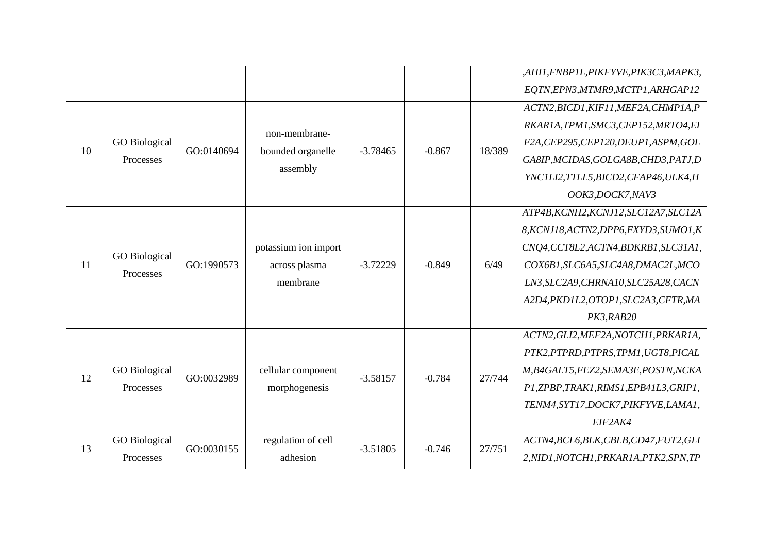|    |                                   |            |                      |            |          |        | ,AHI1,FNBP1L,PIKFYVE,PIK3C3,MAPK3,      |
|----|-----------------------------------|------------|----------------------|------------|----------|--------|-----------------------------------------|
|    |                                   |            |                      |            |          |        | EQTN, EPN3, MTMR9, MCTP1, ARHGAP12      |
|    |                                   |            |                      |            |          |        | ACTN2, BICD1, KIF11, MEF2A, CHMP1A, P   |
|    |                                   |            | non-membrane-        |            |          |        | RKAR1A,TPM1,SMC3,CEP152,MRTO4,EI        |
| 10 | <b>GO</b> Biological              | GO:0140694 | bounded organelle    | $-3.78465$ | $-0.867$ | 18/389 | F2A, CEP295, CEP120, DEUP1, ASPM, GOL   |
|    | Processes                         |            | assembly             |            |          |        | GA8IP, MCIDAS, GOLGA8B, CHD3, PATJ, D   |
|    |                                   |            |                      |            |          |        | YNC1LI2, TTLL5, BICD2, CFAP46, ULK4, H  |
|    |                                   |            |                      |            |          |        | OOK3,DOCK7,NAV3                         |
|    |                                   |            |                      |            |          |        | ATP4B, KCNH2, KCNJ12, SLC12A7, SLC12A   |
|    |                                   |            |                      |            |          |        | 8, KCNJ18, ACTN2, DPP6, FXYD3, SUMO1, K |
|    |                                   |            | potassium ion import |            |          |        | CNQ4, CCT8L2, ACTN4, BDKRB1, SLC31A1,   |
| 11 | <b>GO</b> Biological<br>Processes | GO:1990573 | across plasma        | $-3.72229$ | $-0.849$ | 6/49   | COX6B1, SLC6A5, SLC4A8, DMAC2L, MCO     |
|    |                                   |            | membrane             |            |          |        | LN3, SLC2A9, CHRNA10, SLC25A28, CACN    |
|    |                                   |            |                      |            |          |        | A2D4, PKD1L2, OTOP1, SLC2A3, CFTR, MA   |
|    |                                   |            |                      |            |          |        | PK3,RAB20                               |
|    |                                   |            |                      |            |          |        | ACTN2, GLI2, MEF2A, NOTCH1, PRKAR1A,    |
|    |                                   |            |                      |            |          |        | PTK2, PTPRD, PTPRS, TPM1, UGT8, PICAL   |
| 12 | <b>GO</b> Biological              | GO:0032989 | cellular component   | $-3.58157$ | $-0.784$ | 27/744 | M,B4GALT5,FEZ2,SEMA3E,POSTN,NCKA        |
|    | Processes                         |            | morphogenesis        |            |          |        | P1,ZPBP,TRAK1,RIMS1,EPB41L3,GRIP1,      |
|    |                                   |            |                      |            |          |        | TENM4, SYT17, DOCK7, PIKFYVE, LAMA1,    |
|    |                                   |            |                      |            |          |        | EIF2AK4                                 |
| 13 | <b>GO</b> Biological              | GO:0030155 | regulation of cell   | $-3.51805$ | $-0.746$ | 27/751 | ACTN4, BCL6, BLK, CBLB, CD47, FUT2, GLI |
|    | Processes                         |            | adhesion             |            |          |        | 2, NID1, NOTCH1, PRKAR1A, PTK2, SPN, TP |
|    |                                   |            |                      |            |          |        |                                         |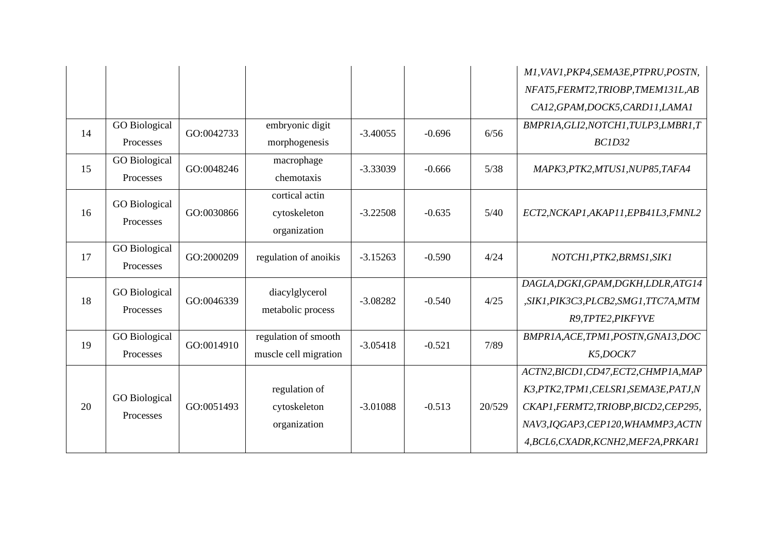|    |                      |            |                       |            |          |        | M1, VAV1, PKP4, SEMA3E, PTPRU, POSTN,   |
|----|----------------------|------------|-----------------------|------------|----------|--------|-----------------------------------------|
|    |                      |            |                       |            |          |        | NFAT5, FERMT2, TRIOBP, TMEM131L, AB     |
|    |                      |            |                       |            |          |        | CA12, GPAM, DOCK5, CARD11, LAMA1        |
| 14 | <b>GO</b> Biological | GO:0042733 | embryonic digit       | $-3.40055$ | $-0.696$ | 6/56   | BMPR1A, GLI2, NOTCH1, TULP3, LMBR1, T   |
|    | Processes            |            | morphogenesis         |            |          |        | <b>BC1D32</b>                           |
| 15 | <b>GO</b> Biological | GO:0048246 | macrophage            | $-3.33039$ | $-0.666$ | 5/38   | MAPK3, PTK2, MTUS1, NUP85, TAFA4        |
|    | Processes            |            | chemotaxis            |            |          |        |                                         |
|    | <b>GO</b> Biological |            | cortical actin        |            |          |        |                                         |
| 16 | Processes            | GO:0030866 | cytoskeleton          | $-3.22508$ | $-0.635$ | $5/40$ | ECT2, NCKAP1, AKAP11, EPB41L3, FMNL2    |
|    |                      |            | organization          |            |          |        |                                         |
| 17 | <b>GO</b> Biological | GO:2000209 | regulation of anoikis | $-3.15263$ | $-0.590$ | 4/24   | NOTCH1, PTK2, BRMS1, SIK1               |
|    | Processes            |            |                       |            |          |        |                                         |
|    | <b>GO</b> Biological |            | diacylglycerol        |            |          |        | DAGLA, DGKI, GPAM, DGKH, LDLR, ATG14    |
| 18 | Processes            | GO:0046339 | metabolic process     | $-3.08282$ | $-0.540$ | 4/25   | ,SIK1, PIK3C3, PLCB2, SMG1, TTC7A, MTM  |
|    |                      |            |                       |            |          |        | R9, TPTE2, PIKFYVE                      |
| 19 | <b>GO</b> Biological | GO:0014910 | regulation of smooth  | $-3.05418$ | $-0.521$ | 7/89   | BMPRIA, ACE, TPM1, POSTN, GNA13, DOC    |
|    | Processes            |            | muscle cell migration |            |          |        | K5,DOCK7                                |
|    |                      |            |                       |            |          |        | ACTN2, BICD1, CD47, ECT2, CHMP1A, MAP   |
|    | <b>GO</b> Biological |            | regulation of         |            |          |        | K3, PTK2, TPM1, CELSR1, SEMA3E, PATJ, N |
| 20 | Processes            | GO:0051493 | cytoskeleton          | $-3.01088$ | $-0.513$ | 20/529 | CKAP1, FERMT2, TRIOBP, BICD2, CEP295,   |
|    |                      |            | organization          |            |          |        | NAV3, IQGAP3, CEP120, WHAMMP3, ACTN     |
|    |                      |            |                       |            |          |        | 4,BCL6,CXADR,KCNH2,MEF2A,PRKAR1         |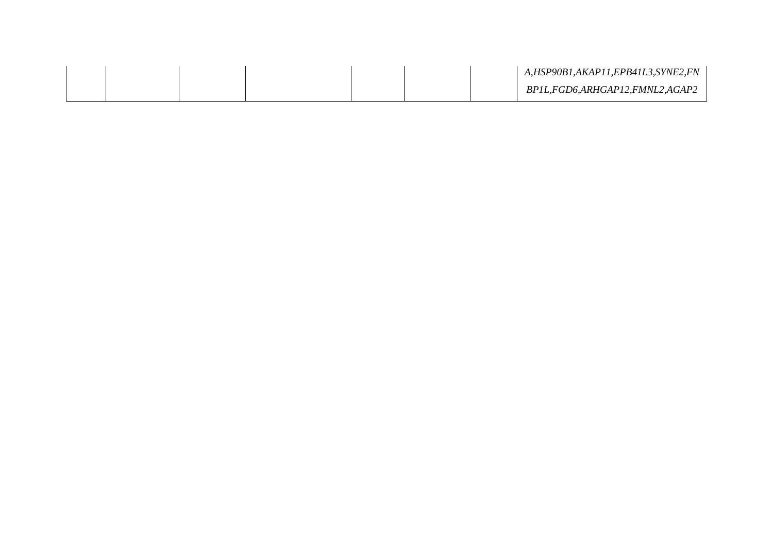|  |  |  | A,HSP90B1,AKAP11,EPB41L3,SYNE2,FN |
|--|--|--|-----------------------------------|
|  |  |  | BP1L,FGD6,ARHGAP12,FMNL2,AGAP2    |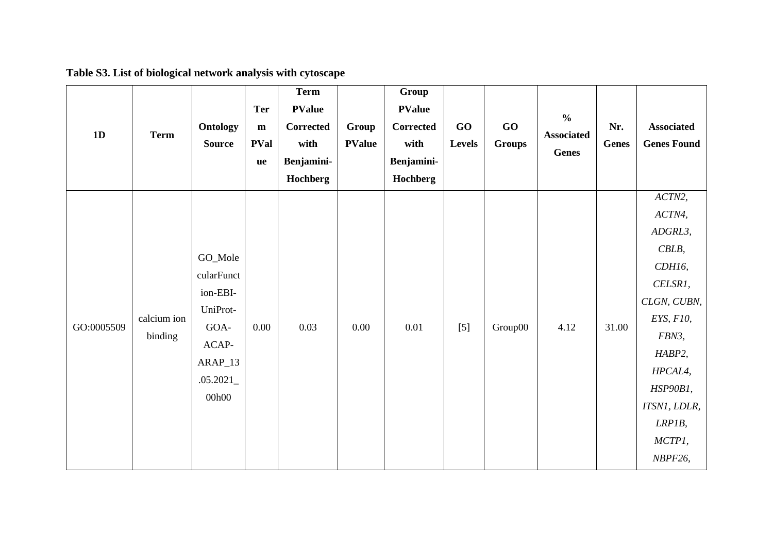| 1D         | <b>Term</b>            | Ontology<br><b>Source</b>                                                                      | <b>Ter</b><br>${\bf m}$<br><b>PVal</b><br><b>ue</b> | <b>Term</b><br><b>PValue</b><br>Corrected<br>with<br>Benjamini-<br>Hochberg | Group<br><b>PValue</b> | Group<br><b>PValue</b><br><b>Corrected</b><br>with<br>Benjamini-<br>Hochberg | GO<br><b>Levels</b> | GO<br><b>Groups</b> | $\frac{6}{6}$<br><b>Associated</b><br>Genes | Nr.<br><b>Genes</b> | <b>Associated</b><br><b>Genes Found</b>                                                                                                                                        |
|------------|------------------------|------------------------------------------------------------------------------------------------|-----------------------------------------------------|-----------------------------------------------------------------------------|------------------------|------------------------------------------------------------------------------|---------------------|---------------------|---------------------------------------------|---------------------|--------------------------------------------------------------------------------------------------------------------------------------------------------------------------------|
| GO:0005509 | calcium ion<br>binding | GO_Mole<br>cularFunct<br>ion-EBI-<br>UniProt-<br>GOA-<br>ACAP-<br>ARAP_13<br>.05.2021<br>00h00 | 0.00                                                | 0.03                                                                        | 0.00                   | 0.01                                                                         | $[5]$               | Group00             | 4.12                                        | 31.00               | ACTN2,<br>ACTN4,<br>ADGRL3,<br>CBLB,<br>CDH16,<br>CELSR1,<br>CLGN, CUBN,<br>EYS, F10,<br>FBN3,<br>HABP2,<br>HPCAL4,<br>HSP90B1,<br>ITSN1, LDLR,<br>LRPIB,<br>MCTP1,<br>NBPF26, |

# **Table S3. List of biological network analysis with cytoscape**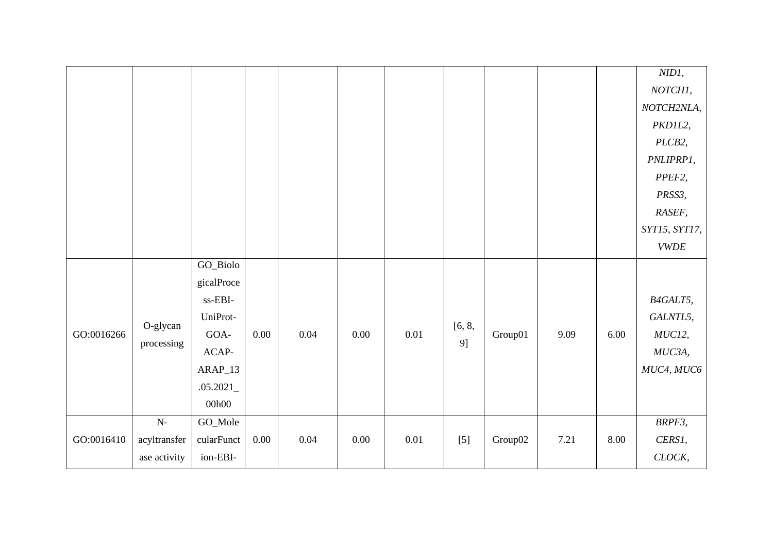|            |              |                                     |          |      |          |          |        |         |      |      | $NIDI$ ,      |
|------------|--------------|-------------------------------------|----------|------|----------|----------|--------|---------|------|------|---------------|
|            |              |                                     |          |      |          |          |        |         |      |      | NOTCH1,       |
|            |              |                                     |          |      |          |          |        |         |      |      | NOTCH2NLA,    |
|            |              |                                     |          |      |          |          |        |         |      |      | PKD1L2,       |
|            |              |                                     |          |      |          |          |        |         |      |      | PLCB2,        |
|            |              |                                     |          |      |          |          |        |         |      |      | PNLIPRP1,     |
|            |              |                                     |          |      |          |          |        |         |      |      | PPEF2,        |
|            |              |                                     |          |      |          |          |        |         |      |      | PRSS3,        |
|            |              |                                     |          |      |          |          |        |         |      |      | RASEF,        |
|            |              |                                     |          |      |          |          |        |         |      |      | SYT15, SYT17, |
|            |              |                                     |          |      |          |          |        |         |      |      | <b>VWDE</b>   |
|            |              | GO_Biolo                            |          |      |          |          |        |         |      |      |               |
|            |              | gicalProce                          |          |      |          |          |        |         |      |      |               |
|            |              | $\ensuremath{\text{ss-EBI}}\xspace$ |          |      |          |          |        |         |      |      | B4GALT5,      |
|            | O-glycan     | UniProt-                            |          |      |          |          | [6, 8, |         |      |      | GALNTL5,      |
| GO:0016266 | processing   | GOA-                                | $0.00\,$ | 0.04 | $0.00\,$ | $0.01\,$ | 9]     | Group01 | 9.09 | 6.00 | MUC12,        |
|            |              | ACAP-                               |          |      |          |          |        |         |      |      | MUC3A,        |
|            |              | $ARAP_13$                           |          |      |          |          |        |         |      |      | MUC4, MUC6    |
|            |              | .05.2021                            |          |      |          |          |        |         |      |      |               |
|            |              | 00h00                               |          |      |          |          |        |         |      |      |               |
|            | $N-$         | GO_Mole                             |          |      |          |          |        |         |      |      | BRPF3,        |
| GO:0016410 | acyltransfer | cularFunct                          | $0.00\,$ | 0.04 | $0.00\,$ | $0.01\,$ | $[5]$  | Group02 | 7.21 | 8.00 | CERS1,        |
|            | ase activity | ion-EBI-                            |          |      |          |          |        |         |      |      | CLOCK,        |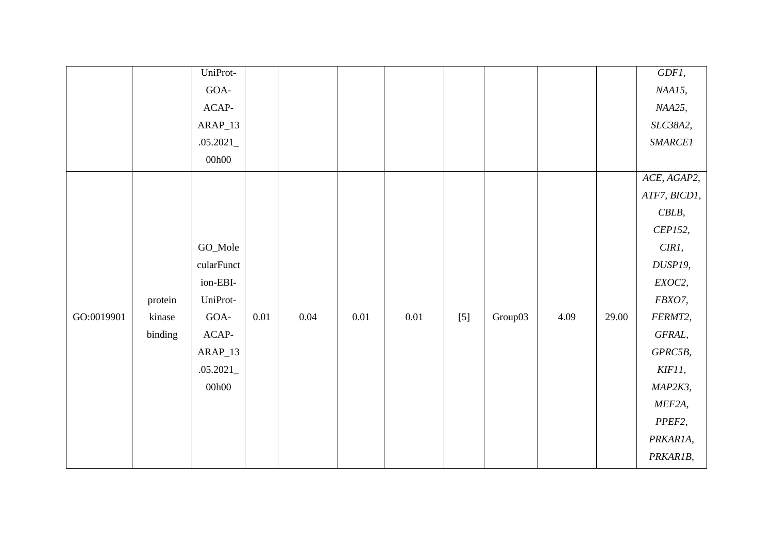|            |         | UniProt-   |          |          |          |          |       |         |      |       | GDF1,          |
|------------|---------|------------|----------|----------|----------|----------|-------|---------|------|-------|----------------|
|            |         | GOA-       |          |          |          |          |       |         |      |       | NAA15,         |
|            |         | $ACAP-$    |          |          |          |          |       |         |      |       | NAA25,         |
|            |         | $ARAP_13$  |          |          |          |          |       |         |      |       | SLC38A2,       |
|            |         | .05.2021   |          |          |          |          |       |         |      |       | <b>SMARCE1</b> |
|            |         | 00h00      |          |          |          |          |       |         |      |       |                |
|            |         |            |          |          |          |          |       |         |      |       | ACE, AGAP2,    |
|            |         |            |          |          |          |          |       |         |      |       | ATF7, BICD1,   |
|            |         |            |          |          |          |          |       |         |      |       | $CBLB$ ,       |
|            |         |            |          |          |          |          |       |         |      |       | CEP152,        |
|            |         | GO_Mole    |          |          |          |          |       |         |      |       | CIR1,          |
|            |         | cularFunct |          |          |          |          |       |         |      |       | DUSP19,        |
|            |         | ion-EBI-   |          |          |          |          |       |         |      |       | EXOC2,         |
|            | protein | UniProt-   |          |          |          |          |       |         |      |       | FBXO7,         |
| GO:0019901 | kinase  | GOA-       | $0.01\,$ | $0.04\,$ | $0.01\,$ | $0.01\,$ | $[5]$ | Group03 | 4.09 | 29.00 | FERMT2,        |
|            | binding | $ACAP-$    |          |          |          |          |       |         |      |       | GFRAL,         |
|            |         | $ARAP_13$  |          |          |          |          |       |         |      |       | GPRC5B,        |
|            |         | .05.2021   |          |          |          |          |       |         |      |       | KIF11,         |
|            |         | 00h00      |          |          |          |          |       |         |      |       | MAP2K3,        |
|            |         |            |          |          |          |          |       |         |      |       | MEF2A,         |
|            |         |            |          |          |          |          |       |         |      |       | PPEF2,         |
|            |         |            |          |          |          |          |       |         |      |       | PRKAR1A,       |
|            |         |            |          |          |          |          |       |         |      |       | PRKAR1B,       |
|            |         |            |          |          |          |          |       |         |      |       |                |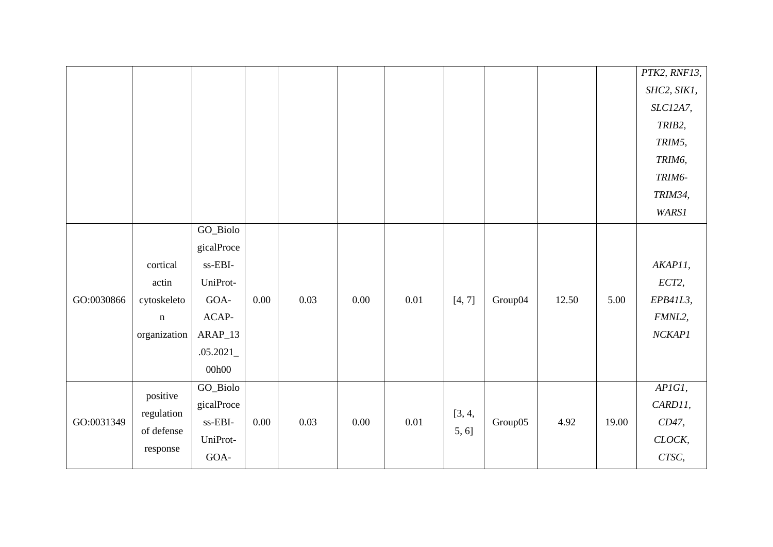|            |              |                                     |          |      |          |      |        |         |       |       | PTK2, RNF13,      |
|------------|--------------|-------------------------------------|----------|------|----------|------|--------|---------|-------|-------|-------------------|
|            |              |                                     |          |      |          |      |        |         |       |       | SHC2, SIK1,       |
|            |              |                                     |          |      |          |      |        |         |       |       | SLC12A7,          |
|            |              |                                     |          |      |          |      |        |         |       |       | TRIB2,            |
|            |              |                                     |          |      |          |      |        |         |       |       | TRIM5,            |
|            |              |                                     |          |      |          |      |        |         |       |       | TRIM6,            |
|            |              |                                     |          |      |          |      |        |         |       |       | TRIM6-            |
|            |              |                                     |          |      |          |      |        |         |       |       | TRIM34,           |
|            |              |                                     |          |      |          |      |        |         |       |       | <b>WARS1</b>      |
|            |              | GO_Biolo                            |          |      |          |      |        |         |       |       |                   |
|            |              | gicalProce                          |          |      |          |      |        |         |       |       |                   |
|            | cortical     | $\ensuremath{\text{ss-EBI}}\xspace$ |          |      |          |      |        |         |       |       | AKAP11,           |
|            | actin        | UniProt-                            |          |      |          |      |        |         |       |       | ECT2,             |
| GO:0030866 | cytoskeleto  | GOA-                                | $0.00\,$ | 0.03 | 0.00     | 0.01 | [4, 7] | Group04 | 12.50 | 5.00  | EPB41L3,          |
|            | $\mathbf n$  | $ACAP-$                             |          |      |          |      |        |         |       |       | FMNL2,            |
|            | organization | $ARAP_13$                           |          |      |          |      |        |         |       |       | NCKAPI            |
|            |              | .05.2021                            |          |      |          |      |        |         |       |       |                   |
|            |              | 00h00                               |          |      |          |      |        |         |       |       |                   |
|            |              | GO_Biolo                            |          |      |          |      |        |         |       |       | $APIGI$ ,         |
|            | positive     | gicalProce                          |          |      |          |      |        |         |       |       | CARD11,           |
| GO:0031349 | regulation   | ss-EBI-                             | $0.00\,$ | 0.03 | $0.00\,$ | 0.01 | [3, 4, | Group05 | 4.92  | 19.00 | CD47,             |
|            | of defense   | UniProt-                            |          |      |          |      | 5, 6]  |         |       |       | $\mathit{CLOCK},$ |
|            | response     | GOA-                                |          |      |          |      |        |         |       |       | CTSC,             |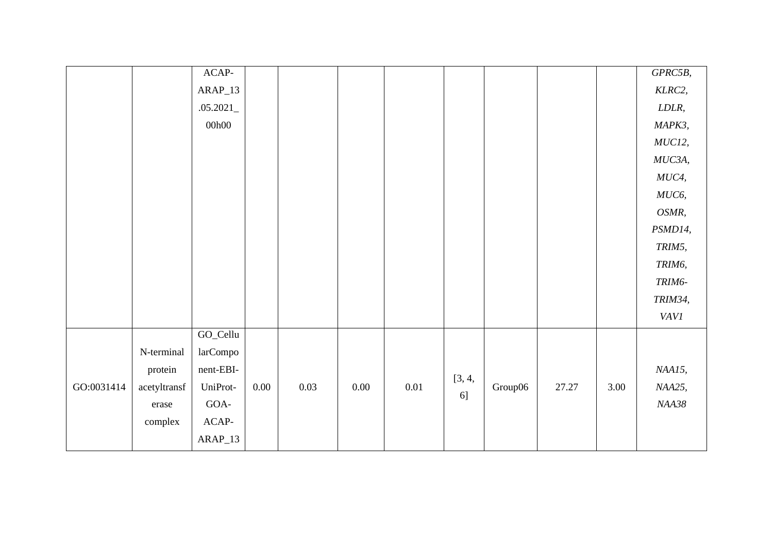|            |              | ACAP-       |          |      |      |      |        |         |       |      | GPRC5B,     |
|------------|--------------|-------------|----------|------|------|------|--------|---------|-------|------|-------------|
|            |              | $ARAP_13$   |          |      |      |      |        |         |       |      | KLRC2,      |
|            |              | .05.2021    |          |      |      |      |        |         |       |      | LDLR,       |
|            |              | 00h00       |          |      |      |      |        |         |       |      | MAPK3,      |
|            |              |             |          |      |      |      |        |         |       |      | MUC12,      |
|            |              |             |          |      |      |      |        |         |       |      | MUC3A,      |
|            |              |             |          |      |      |      |        |         |       |      | $MUC4$ ,    |
|            |              |             |          |      |      |      |        |         |       |      | MUC6,       |
|            |              |             |          |      |      |      |        |         |       |      | OSMR,       |
|            |              |             |          |      |      |      |        |         |       |      | PSMD14,     |
|            |              |             |          |      |      |      |        |         |       |      | TRIM5,      |
|            |              |             |          |      |      |      |        |         |       |      | TRIM6,      |
|            |              |             |          |      |      |      |        |         |       |      | TRIM6-      |
|            |              |             |          |      |      |      |        |         |       |      | TRIM34,     |
|            |              |             |          |      |      |      |        |         |       |      | <b>VAVI</b> |
|            |              | GO_Cellu    |          |      |      |      |        |         |       |      |             |
|            | N-terminal   | larCompo    |          |      |      |      |        |         |       |      |             |
|            | protein      | nent-EBI-   |          |      |      |      |        |         |       |      | NAA15,      |
| GO:0031414 | acetyltransf | UniProt-    | $0.00\,$ | 0.03 | 0.00 | 0.01 | [3, 4, | Group06 | 27.27 | 3.00 | NAA25,      |
|            | erase        | $GOA-$      |          |      |      |      | 6]     |         |       |      | NAA38       |
|            | complex      | $\sf ACAP-$ |          |      |      |      |        |         |       |      |             |
|            |              | $ARAP_13$   |          |      |      |      |        |         |       |      |             |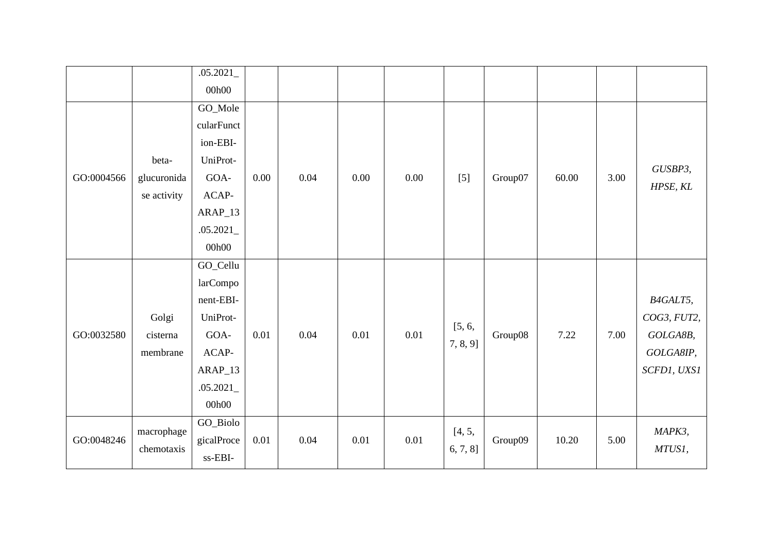|            |             | .05.2021   |      |      |      |      |             |         |       |      |             |
|------------|-------------|------------|------|------|------|------|-------------|---------|-------|------|-------------|
|            |             | 00h00      |      |      |      |      |             |         |       |      |             |
|            |             | GO_Mole    |      |      |      |      |             |         |       |      |             |
|            |             | cularFunct |      |      |      |      |             |         |       |      |             |
|            |             | ion-EBI-   |      |      |      |      |             |         |       |      |             |
|            | beta-       | UniProt-   |      |      |      |      |             |         |       |      |             |
| GO:0004566 | glucuronida | GOA-       | 0.00 | 0.04 | 0.00 | 0.00 | $[5]$       | Group07 | 60.00 | 3.00 | GUSBP3,     |
|            | se activity | ACAP-      |      |      |      |      |             |         |       |      | HPSE, KL    |
|            |             | $ARAP_13$  |      |      |      |      |             |         |       |      |             |
|            |             | .05.2021   |      |      |      |      |             |         |       |      |             |
|            |             | 00h00      |      |      |      |      |             |         |       |      |             |
|            |             | GO_Cellu   |      |      |      |      |             |         |       |      |             |
|            |             | larCompo   |      |      |      |      |             |         |       |      |             |
|            |             | nent-EBI-  |      |      |      |      |             |         |       |      | B4GALT5,    |
|            | Golgi       | UniProt-   |      |      |      |      |             |         |       |      | COG3, FUT2, |
| GO:0032580 | cisterna    | GOA-       | 0.01 | 0.04 | 0.01 | 0.01 | [5, 6,      | Group08 | 7.22  | 7.00 | GOLGA8B,    |
|            | membrane    | ACAP-      |      |      |      |      | $7, 8, 9$ ] |         |       |      | GOLGA8IP,   |
|            |             | ARAP_13    |      |      |      |      |             |         |       |      | SCFD1, UXS1 |
|            |             | .05.2021   |      |      |      |      |             |         |       |      |             |
|            |             | 00h00      |      |      |      |      |             |         |       |      |             |
|            |             | GO_Biolo   |      |      |      |      |             |         |       |      |             |
| GO:0048246 | macrophage  | gicalProce | 0.01 | 0.04 | 0.01 | 0.01 | [4, 5,      | Group09 | 10.20 | 5.00 | MAPK3,      |
|            | chemotaxis  | ss-EBI-    |      |      |      |      | 6, 7, 8]    |         |       |      | MTUS1,      |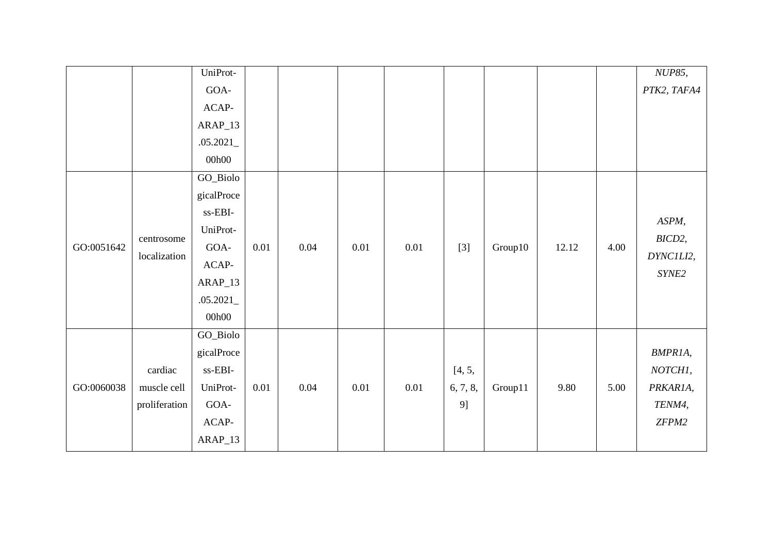|            |               | UniProt-                            |          |      |      |          |          |         |       |      | NUP85,      |
|------------|---------------|-------------------------------------|----------|------|------|----------|----------|---------|-------|------|-------------|
|            |               | GOA-                                |          |      |      |          |          |         |       |      | PTK2, TAFA4 |
|            |               | ACAP-                               |          |      |      |          |          |         |       |      |             |
|            |               | $ARAP_13$                           |          |      |      |          |          |         |       |      |             |
|            |               | .05.2021                            |          |      |      |          |          |         |       |      |             |
|            |               | 00h00                               |          |      |      |          |          |         |       |      |             |
|            |               | $\rm GO\_Biolo$                     |          |      |      |          |          |         |       |      |             |
|            |               | gicalProce                          |          |      |      |          |          |         |       |      |             |
|            |               | ss-EBI-                             |          |      |      |          |          |         |       |      |             |
|            |               | UniProt-                            |          |      |      |          |          |         |       |      | ASPM,       |
| GO:0051642 | centrosome    | GOA-                                | 0.01     | 0.04 | 0.01 | 0.01     | $[3]$    | Group10 | 12.12 | 4.00 | BICD2,      |
|            | localization  | $ACAP-$                             |          |      |      |          |          |         |       |      | DYNC1LI2,   |
|            |               | $ARAP_13$                           |          |      |      |          |          |         |       |      | SYNE2       |
|            |               | .05.2021                            |          |      |      |          |          |         |       |      |             |
|            |               | 00h00                               |          |      |      |          |          |         |       |      |             |
|            |               | GO_Biolo                            |          |      |      |          |          |         |       |      |             |
|            |               | gicalProce                          |          |      |      |          |          |         |       |      | BMPR1A,     |
|            | cardiac       | $\ensuremath{\text{ss-EBI}}\xspace$ |          |      |      |          | [4, 5,   |         |       |      | NOTCH1,     |
| GO:0060038 | muscle cell   | UniProt-                            | $0.01\,$ | 0.04 | 0.01 | $0.01\,$ | 6, 7, 8, | Group11 | 9.80  | 5.00 | PRKAR1A,    |
|            | proliferation | GOA-                                |          |      |      |          | 9]       |         |       |      | TENM4,      |
|            |               | $ACAP-$                             |          |      |      |          |          |         |       |      | ZFPM2       |
|            |               | ARAP_13                             |          |      |      |          |          |         |       |      |             |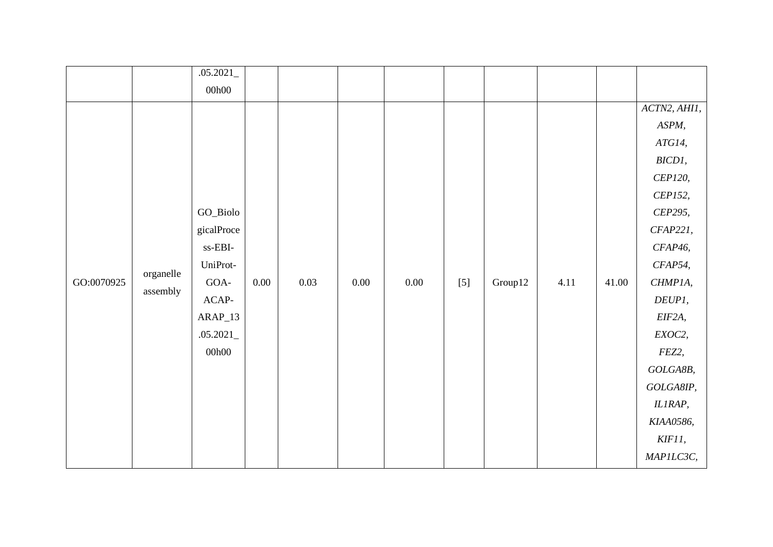|            |                       | .05.2021                            |          |      |      |      |       |         |      |       |              |
|------------|-----------------------|-------------------------------------|----------|------|------|------|-------|---------|------|-------|--------------|
|            |                       | 00h00                               |          |      |      |      |       |         |      |       |              |
|            |                       |                                     |          |      |      |      |       |         |      |       | ACTN2, AHII, |
|            |                       |                                     |          |      |      |      |       |         |      |       | ASPM,        |
|            |                       |                                     |          |      |      |      |       |         |      |       | ATG14,       |
|            |                       |                                     |          |      |      |      |       |         |      |       | BICD1,       |
|            |                       |                                     |          |      |      |      |       |         |      |       | CEP120,      |
|            |                       |                                     |          |      |      |      |       |         |      |       | CEP152,      |
|            |                       | GO_Biolo                            |          |      |      |      |       |         |      |       | CEP295,      |
|            |                       | gicalProce                          |          |      |      |      |       |         |      |       | CFAP221,     |
|            |                       | $\ensuremath{\text{ss-EBI}}\xspace$ |          |      |      |      |       |         |      |       | CFAP46,      |
|            |                       | UniProt-                            |          |      |      |      |       |         |      |       | CFAP54,      |
| GO:0070925 | organelle<br>assembly | GOA-                                | $0.00\,$ | 0.03 | 0.00 | 0.00 | $[5]$ | Group12 | 4.11 | 41.00 | CHMP1A,      |
|            |                       | $ACAP-$                             |          |      |      |      |       |         |      |       | DEUPI,       |
|            |                       | $ARAP_13$                           |          |      |      |      |       |         |      |       | EIF2A,       |
|            |                       | .05.2021                            |          |      |      |      |       |         |      |       | EXOC2,       |
|            |                       | 00h00                               |          |      |      |      |       |         |      |       | FEZ2,        |
|            |                       |                                     |          |      |      |      |       |         |      |       | GOLGA8B,     |
|            |                       |                                     |          |      |      |      |       |         |      |       | GOLGA8IP,    |
|            |                       |                                     |          |      |      |      |       |         |      |       | IL1RAP,      |
|            |                       |                                     |          |      |      |      |       |         |      |       | KIAA0586,    |
|            |                       |                                     |          |      |      |      |       |         |      |       | KIF11,       |
|            |                       |                                     |          |      |      |      |       |         |      |       | MAPILC3C,    |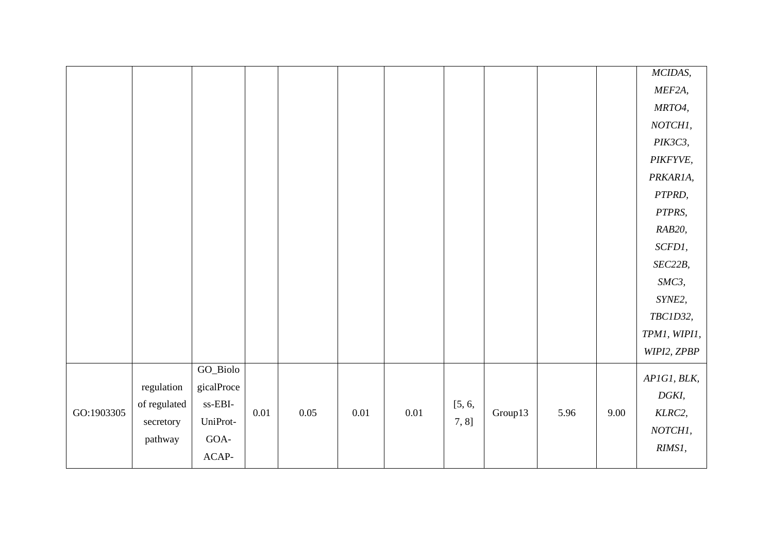|            |              |                                                        |          |          |          |          |        |         |      |      | MCIDAS,      |
|------------|--------------|--------------------------------------------------------|----------|----------|----------|----------|--------|---------|------|------|--------------|
|            |              |                                                        |          |          |          |          |        |         |      |      | MEF2A,       |
|            |              |                                                        |          |          |          |          |        |         |      |      | MRTO4,       |
|            |              |                                                        |          |          |          |          |        |         |      |      | NOTCH1,      |
|            |              |                                                        |          |          |          |          |        |         |      |      | PIK3C3,      |
|            |              |                                                        |          |          |          |          |        |         |      |      | PIKFYVE,     |
|            |              |                                                        |          |          |          |          |        |         |      |      | PRKAR1A,     |
|            |              |                                                        |          |          |          |          |        |         |      |      | PTPRD,       |
|            |              |                                                        |          |          |          |          |        |         |      |      | PTPRS,       |
|            |              |                                                        |          |          |          |          |        |         |      |      | RAB20,       |
|            |              |                                                        |          |          |          |          |        |         |      |      | SCFD1,       |
|            |              |                                                        |          |          |          |          |        |         |      |      | SEC22B,      |
|            |              |                                                        |          |          |          |          |        |         |      |      | SMC3,        |
|            |              |                                                        |          |          |          |          |        |         |      |      | SYNE2,       |
|            |              |                                                        |          |          |          |          |        |         |      |      | TBC1D32,     |
|            |              |                                                        |          |          |          |          |        |         |      |      | TPM1, WIPI1, |
|            |              |                                                        |          |          |          |          |        |         |      |      | WIPI2, ZPBP  |
|            |              | GO_Biolo                                               |          |          |          |          |        |         |      |      | AP1G1, BLK,  |
|            | regulation   | gicalProce                                             |          |          |          |          |        |         |      |      | DGKI,        |
| GO:1903305 | of regulated | $\ensuremath{\mathsf{ss}\text{-}\mathsf{EBI}\text{-}}$ | $0.01\,$ | $0.05\,$ | $0.01\,$ | $0.01\,$ | [5, 6, | Group13 | 5.96 | 9.00 | KLRC2,       |
|            | secretory    | UniProt-                                               |          |          |          |          | 7, 8]  |         |      |      | NOTCH1,      |
|            | pathway      | GOA-                                                   |          |          |          |          |        |         |      |      | RIMS1,       |
|            |              | $ACAP-$                                                |          |          |          |          |        |         |      |      |              |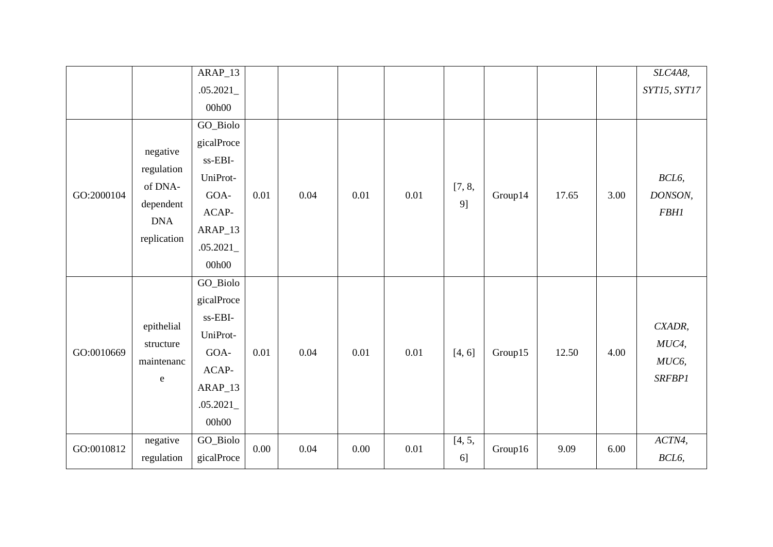|            |                                                                             | $ARAP_13$                                                                                        |      |      |      |      |              |         |       |      | SLC4A8,                                   |
|------------|-----------------------------------------------------------------------------|--------------------------------------------------------------------------------------------------|------|------|------|------|--------------|---------|-------|------|-------------------------------------------|
|            |                                                                             | .05.2021                                                                                         |      |      |      |      |              |         |       |      | SYT15, SYT17                              |
|            |                                                                             | 00h00                                                                                            |      |      |      |      |              |         |       |      |                                           |
| GO:2000104 | negative<br>regulation<br>of DNA-<br>dependent<br><b>DNA</b><br>replication | GO_Biolo<br>gicalProce<br>ss-EBI-<br>UniProt-<br>GOA-<br>ACAP-<br>$ARAP_13$<br>.05.2021<br>00h00 | 0.01 | 0.04 | 0.01 | 0.01 | [7, 8,<br>9] | Group14 | 17.65 | 3.00 | BCL6,<br>DONSON,<br><b>FBH1</b>           |
| GO:0010669 | epithelial<br>structure<br>maintenanc<br>${\bf e}$                          | GO_Biolo<br>gicalProce<br>ss-EBI-<br>UniProt-<br>GOA-<br>ACAP-<br>$ARAP_13$<br>.05.2021<br>00h00 | 0.01 | 0.04 | 0.01 | 0.01 | [4, 6]       | Group15 | 12.50 | 4.00 | CXADR,<br>MUC4,<br>MUC6,<br><b>SRFBP1</b> |
| GO:0010812 | negative<br>regulation                                                      | GO_Biolo<br>gicalProce                                                                           | 0.00 | 0.04 | 0.00 | 0.01 | [4, 5,<br>6] | Group16 | 9.09  | 6.00 | ACTN4,<br>BCL6,                           |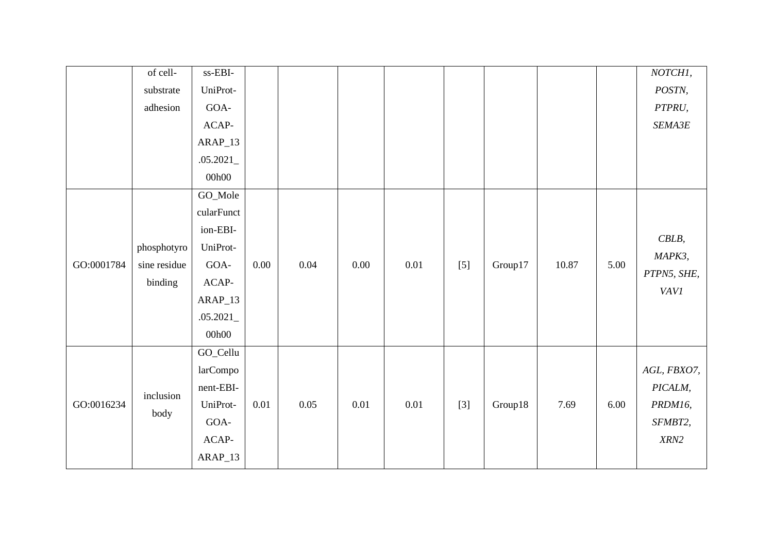|            | of cell-     | ss-EBI-    |          |          |          |          |       |         |       |          | NOTCHI,     |
|------------|--------------|------------|----------|----------|----------|----------|-------|---------|-------|----------|-------------|
|            | substrate    | UniProt-   |          |          |          |          |       |         |       |          | POSTN,      |
|            | adhesion     | $GOA-$     |          |          |          |          |       |         |       |          | PTPRU,      |
|            |              | ACAP-      |          |          |          |          |       |         |       |          | SEMA3E      |
|            |              | $ARAP_13$  |          |          |          |          |       |         |       |          |             |
|            |              | .05.2021   |          |          |          |          |       |         |       |          |             |
|            |              | 00h00      |          |          |          |          |       |         |       |          |             |
|            |              | GO_Mole    |          |          |          |          |       |         |       |          |             |
|            |              | cularFunct |          |          |          |          |       |         |       |          |             |
|            |              | ion-EBI-   |          |          |          |          |       |         |       |          |             |
|            | phosphotyro  | UniProt-   |          |          |          |          |       |         |       |          | $CBLB$ ,    |
| GO:0001784 | sine residue | GOA-       | 0.00     | 0.04     | $0.00\,$ | 0.01     | $[5]$ | Group17 | 10.87 | 5.00     | MAPK3,      |
|            | binding      | $ACAP-$    |          |          |          |          |       |         |       |          | PTPN5, SHE, |
|            |              | $ARAP_13$  |          |          |          |          |       |         |       |          | <b>VAV1</b> |
|            |              | .05.2021   |          |          |          |          |       |         |       |          |             |
|            |              | 00h00      |          |          |          |          |       |         |       |          |             |
|            |              | GO_Cellu   |          |          |          |          |       |         |       |          |             |
|            |              | larCompo   |          |          |          |          |       |         |       |          | AGL, FBXO7, |
|            |              | nent-EBI-  |          |          |          |          |       |         |       |          | PICALM,     |
| GO:0016234 | inclusion    | UniProt-   | $0.01\,$ | $0.05\,$ | $0.01\,$ | $0.01\,$ | $[3]$ | Group18 | 7.69  | $6.00\,$ | PRDM16,     |
|            | body         | GOA-       |          |          |          |          |       |         |       |          | SFMBT2,     |
|            |              | ACAP-      |          |          |          |          |       |         |       |          | XRN2        |
|            |              | $ARAP_13$  |          |          |          |          |       |         |       |          |             |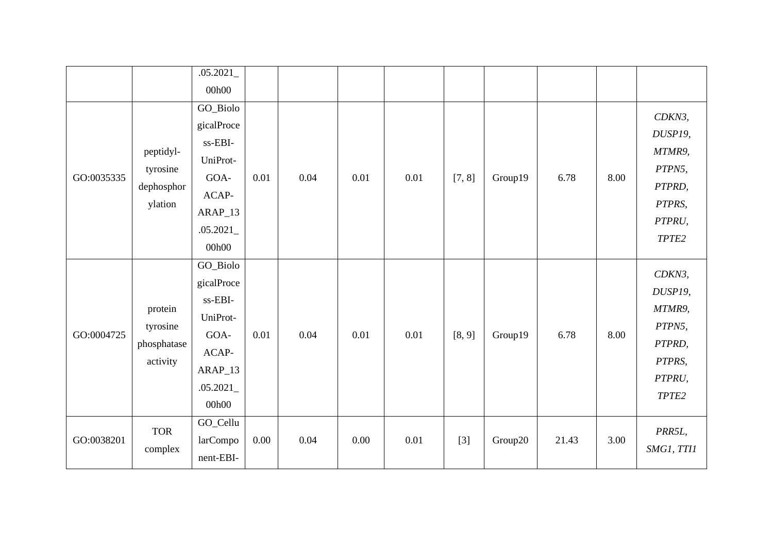|            |             | .05.2021   |      |      |      |      |        |         |       |      |            |
|------------|-------------|------------|------|------|------|------|--------|---------|-------|------|------------|
|            |             | 00h00      |      |      |      |      |        |         |       |      |            |
|            |             | GO_Biolo   |      |      |      |      |        |         |       |      | CDKN3,     |
|            |             | gicalProce |      |      |      |      |        |         |       |      | DUSP19,    |
|            | peptidyl-   | ss-EBI-    |      |      |      |      |        |         |       |      | MTMR9,     |
|            | tyrosine    | UniProt-   |      |      |      |      |        |         |       |      | PTPN5,     |
| GO:0035335 | dephosphor  | GOA-       | 0.01 | 0.04 | 0.01 | 0.01 | [7, 8] | Group19 | 6.78  | 8.00 | PTPRD,     |
|            | ylation     | ACAP-      |      |      |      |      |        |         |       |      | PTPRS,     |
|            |             | $ARAP_13$  |      |      |      |      |        |         |       |      | PTPRU,     |
|            |             | .05.2021   |      |      |      |      |        |         |       |      | TPTE2      |
|            |             | 00h00      |      |      |      |      |        |         |       |      |            |
|            |             | GO_Biolo   |      |      |      |      |        |         |       |      | CDKN3,     |
|            |             | gicalProce |      |      |      |      |        |         |       |      |            |
|            |             | ss-EBI-    |      |      |      |      |        |         |       |      | DUSP19,    |
|            | protein     | UniProt-   |      |      |      |      |        |         |       |      | MTMR9,     |
| GO:0004725 | tyrosine    | GOA-       | 0.01 | 0.04 | 0.01 | 0.01 | [8, 9] | Group19 | 6.78  | 8.00 | PTPN5,     |
|            | phosphatase | ACAP-      |      |      |      |      |        |         |       |      | PTPRD,     |
|            | activity    | ARAP_13    |      |      |      |      |        |         |       |      | PTPRS,     |
|            |             | .05.2021   |      |      |      |      |        |         |       |      | PTPRU,     |
|            |             | 00h00      |      |      |      |      |        |         |       |      | TPTE2      |
|            |             | GO_Cellu   |      |      |      |      |        |         |       |      |            |
| GO:0038201 | <b>TOR</b>  | larCompo   | 0.00 | 0.04 | 0.00 | 0.01 | $[3]$  | Group20 | 21.43 | 3.00 | PRR5L,     |
|            | complex     | nent-EBI-  |      |      |      |      |        |         |       |      | SMG1, TT11 |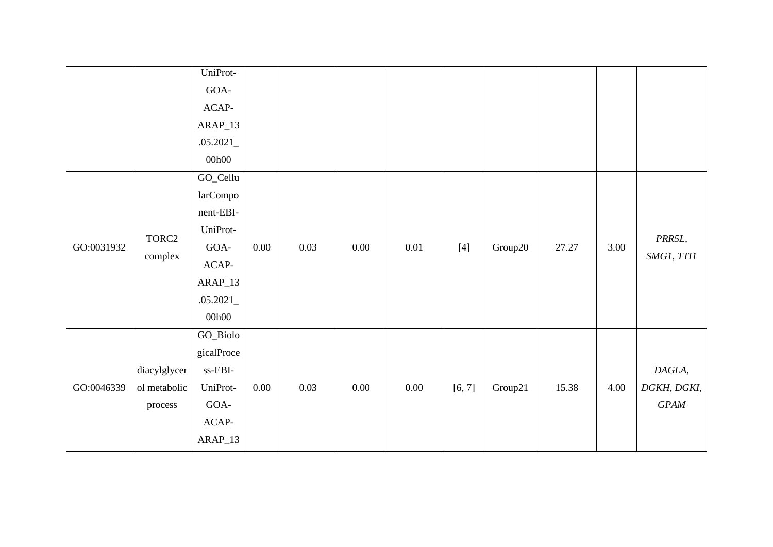|            |                                         | UniProt-<br>GOA-<br>ACAP-<br>$ARAP_13$<br>.05.2021<br>00h00                                               |          |      |      |          |        |         |       |      |                                  |
|------------|-----------------------------------------|-----------------------------------------------------------------------------------------------------------|----------|------|------|----------|--------|---------|-------|------|----------------------------------|
| GO:0031932 | TORC2<br>complex                        | GO_Cellu<br>larCompo<br>nent-EBI-<br>UniProt-<br>$GOA-$<br>$ACAP-$<br>ARAP_13<br>.05.2021<br>00h00        | $0.00\,$ | 0.03 | 0.00 | $0.01\,$ | $[4]$  | Group20 | 27.27 | 3.00 | PRR5L,<br>SMG1, TT11             |
| GO:0046339 | diacylglycer<br>ol metabolic<br>process | GO_Biolo<br>gicalProce<br>$\ensuremath{\text{ss-EBI}}\xspace$<br>UniProt-<br>GOA-<br>$ACAP-$<br>$ARAP_13$ | $0.00\,$ | 0.03 | 0.00 | $0.00\,$ | [6, 7] | Group21 | 15.38 | 4.00 | DAGLA,<br>DGKH, DGKI,<br>$G PAM$ |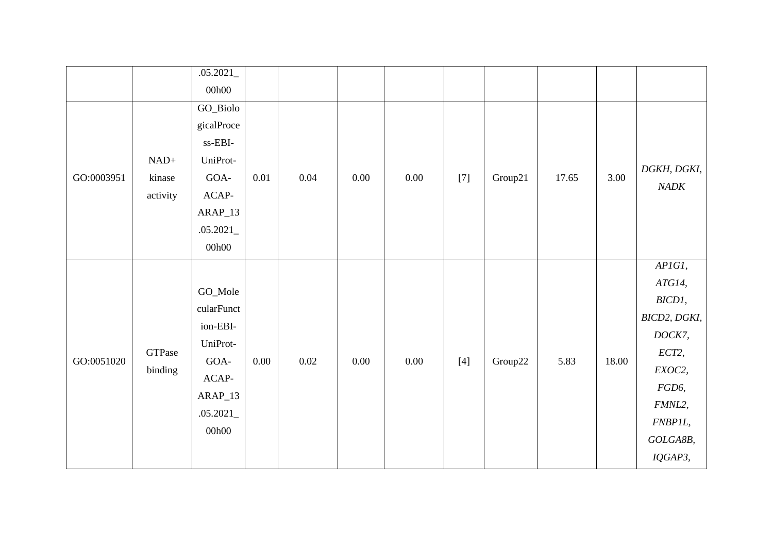|            |          | .05.2021    |      |          |          |          |       |         |       |       |                     |
|------------|----------|-------------|------|----------|----------|----------|-------|---------|-------|-------|---------------------|
|            |          | 00h00       |      |          |          |          |       |         |       |       |                     |
|            |          | GO_Biolo    |      |          |          |          |       |         |       |       |                     |
|            |          | gicalProce  |      |          |          |          |       |         |       |       |                     |
|            |          | ss-EBI-     |      |          |          |          |       |         |       |       |                     |
|            | $NAD+$   | UniProt-    |      |          |          |          |       |         |       |       |                     |
| GO:0003951 | kinase   | GOA-        | 0.01 | 0.04     | 0.00     | $0.00\,$ | $[7]$ | Group21 | 17.65 | 3.00  | DGKH, DGKI,<br>NADK |
|            | activity | $\sf ACAP-$ |      |          |          |          |       |         |       |       |                     |
|            |          | $ARAP_13$   |      |          |          |          |       |         |       |       |                     |
|            |          | .05.2021    |      |          |          |          |       |         |       |       |                     |
|            |          | 00h00       |      |          |          |          |       |         |       |       |                     |
|            |          |             |      |          |          |          |       |         |       |       | APIGI,              |
|            |          | GO_Mole     |      |          |          |          |       |         |       |       | ATG14,              |
|            |          |             |      |          |          |          |       |         |       |       | BICD1,              |
|            |          | cularFunct  |      |          |          |          |       |         |       |       | BICD2, DGKI,        |
|            |          | ion-EBI-    |      |          |          |          |       |         |       |       | DOCK7,              |
|            | GTPase   | UniProt-    |      |          |          |          |       |         |       |       | ECT2,               |
| GO:0051020 | binding  | GOA-        | 0.00 | $0.02\,$ | $0.00\,$ | $0.00\,$ | $[4]$ | Group22 | 5.83  | 18.00 | EXOC2,              |
|            |          | $ACAP-$     |      |          |          |          |       |         |       |       | FGD6,               |
|            |          | $ARAP_13$   |      |          |          |          |       |         |       |       | FMNL2,              |
|            |          | .05.2021    |      |          |          |          |       |         |       |       | FNBP1L,             |
|            |          | 00h00       |      |          |          |          |       |         |       |       | GOLGA8B,            |
|            |          |             |      |          |          |          |       |         |       |       | IQGAP3,             |
|            |          |             |      |          |          |          |       |         |       |       |                     |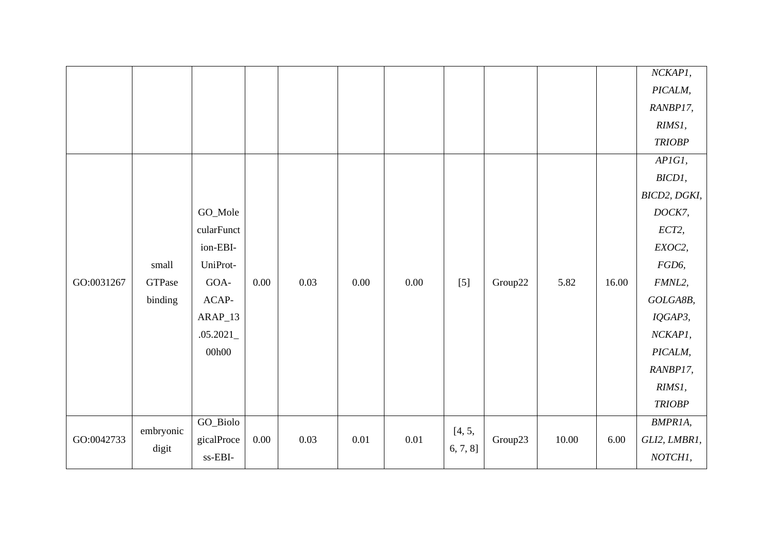|            |           |                                     |          |      |      |      |          |         |       |       | NCKAP1,       |
|------------|-----------|-------------------------------------|----------|------|------|------|----------|---------|-------|-------|---------------|
|            |           |                                     |          |      |      |      |          |         |       |       | PICALM,       |
|            |           |                                     |          |      |      |      |          |         |       |       | RANBP17,      |
|            |           |                                     |          |      |      |      |          |         |       |       | RIMS1,        |
|            |           |                                     |          |      |      |      |          |         |       |       | <b>TRIOBP</b> |
|            |           |                                     |          |      |      |      |          |         |       |       | APIGI,        |
|            |           |                                     |          |      |      |      |          |         |       |       | BICD1,        |
|            |           |                                     |          |      |      |      |          |         |       |       | BICD2, DGKI,  |
|            |           | GO_Mole                             |          |      |      |      |          |         |       |       | DOCK7,        |
|            |           | cularFunct                          |          |      |      |      |          |         |       |       | ECT2,         |
|            |           | ion-EBI-                            |          |      |      |      |          |         |       |       | EXOC2,        |
|            | small     | UniProt-                            |          |      |      |      |          |         |       |       | FGD6,         |
| GO:0031267 | GTPase    | GOA-                                | $0.00\,$ | 0.03 | 0.00 | 0.00 | $[5]$    | Group22 | 5.82  | 16.00 | FMNL2,        |
|            | binding   | ACAP-                               |          |      |      |      |          |         |       |       | GOLGA8B,      |
|            |           | $ARAP_13$                           |          |      |      |      |          |         |       |       | IQGAP3,       |
|            |           | .05.2021                            |          |      |      |      |          |         |       |       | NCKAP1,       |
|            |           | 00h00                               |          |      |      |      |          |         |       |       | PICALM,       |
|            |           |                                     |          |      |      |      |          |         |       |       | RANBP17,      |
|            |           |                                     |          |      |      |      |          |         |       |       | RIMS1,        |
|            |           |                                     |          |      |      |      |          |         |       |       | <b>TRIOBP</b> |
|            |           | GO_Biolo                            |          |      |      |      |          |         |       |       | BMPR1A,       |
| GO:0042733 | embryonic | gicalProce                          | $0.00\,$ | 0.03 | 0.01 | 0.01 | [4, 5,   | Group23 | 10.00 | 6.00  | GLI2, LMBR1,  |
|            | digit     | $\ensuremath{\text{ss-EBI}}\xspace$ |          |      |      |      | 6, 7, 8] |         |       |       | NOTCH1,       |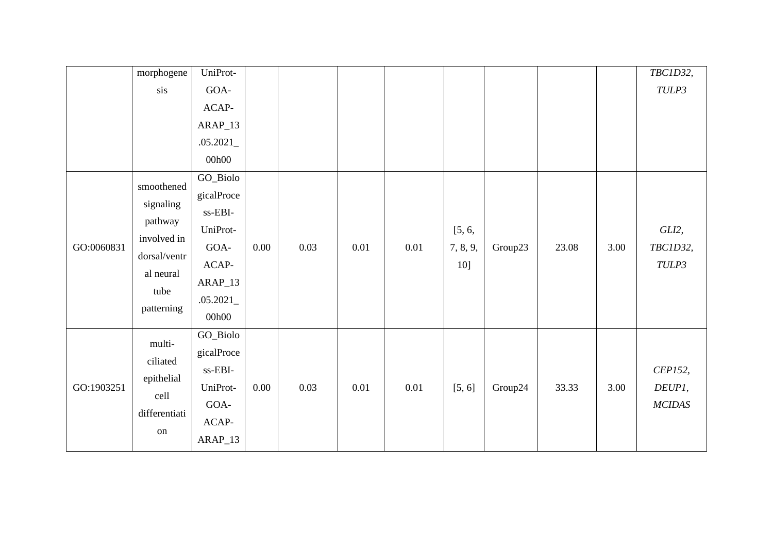|            | morphogene    | UniProt-                            |          |      |      |      |          |         |       |      | TBC1D32,      |
|------------|---------------|-------------------------------------|----------|------|------|------|----------|---------|-------|------|---------------|
|            | sis           | GOA-                                |          |      |      |      |          |         |       |      | TULP3         |
|            |               | $ACAP-$                             |          |      |      |      |          |         |       |      |               |
|            |               | $ARAP_13$                           |          |      |      |      |          |         |       |      |               |
|            |               | .05.2021                            |          |      |      |      |          |         |       |      |               |
|            |               | 00h00                               |          |      |      |      |          |         |       |      |               |
|            | smoothened    | GO_Biolo                            |          |      |      |      |          |         |       |      |               |
|            |               | gicalProce                          |          |      |      |      |          |         |       |      |               |
|            | signaling     | ss-EBI-                             |          |      |      |      |          |         |       |      |               |
|            | pathway       | UniProt-                            |          |      |      |      | [5, 6,   |         |       |      | GLI2,         |
| GO:0060831 | involved in   | GOA-                                | 0.00     | 0.03 | 0.01 | 0.01 | 7, 8, 9, | Group23 | 23.08 | 3.00 | TBC1D32,      |
|            | dorsal/ventr  | $ACAP-$                             |          |      |      |      | 10]      |         |       |      | TULP3         |
|            | al neural     | $ARAP_13$                           |          |      |      |      |          |         |       |      |               |
|            | tube          | .05.2021                            |          |      |      |      |          |         |       |      |               |
|            | patterning    | 00h00                               |          |      |      |      |          |         |       |      |               |
|            | multi-        | GO_Biolo                            |          |      |      |      |          |         |       |      |               |
|            |               | gicalProce                          |          |      |      |      |          |         |       |      |               |
|            | ciliated      | $\ensuremath{\text{ss-EBI}}\xspace$ |          |      |      |      |          |         |       |      | CEP152,       |
| GO:1903251 | epithelial    | UniProt-                            | $0.00\,$ | 0.03 | 0.01 | 0.01 | [5, 6]   | Group24 | 33.33 | 3.00 | DEUP1,        |
|            | cell          | GOA-                                |          |      |      |      |          |         |       |      | <b>MCIDAS</b> |
|            | differentiati | $ACAP-$                             |          |      |      |      |          |         |       |      |               |
|            | on            | ARAP_13                             |          |      |      |      |          |         |       |      |               |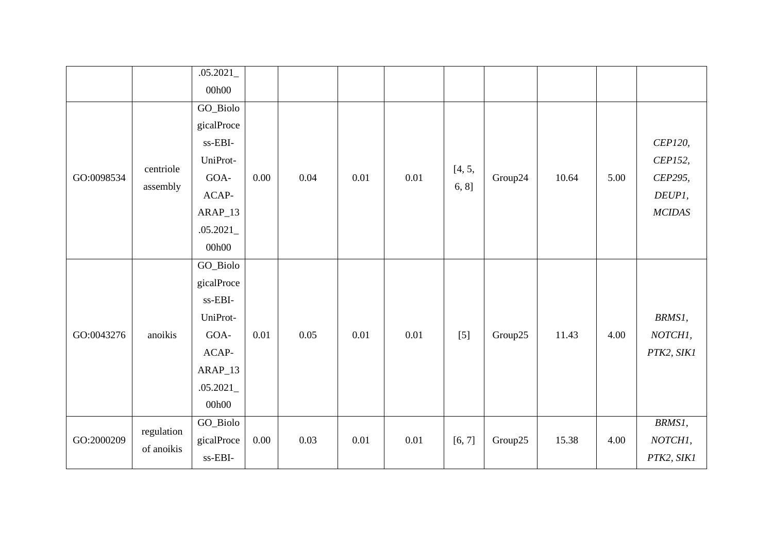|            |                          | .05.2021                            |          |      |      |      |        |         |       |      |               |
|------------|--------------------------|-------------------------------------|----------|------|------|------|--------|---------|-------|------|---------------|
|            |                          | 00h00                               |          |      |      |      |        |         |       |      |               |
|            |                          | GO_Biolo                            |          |      |      |      |        |         |       |      |               |
|            |                          | gicalProce                          |          |      |      |      |        |         |       |      |               |
|            |                          | ss-EBI-                             |          |      |      |      |        |         |       |      | CEP120,       |
|            | centriole                | UniProt-                            |          |      |      |      | [4, 5, |         |       |      | CEP152,       |
| GO:0098534 | assembly                 | GOA-                                | 0.00     | 0.04 | 0.01 | 0.01 | 6, 8]  | Group24 | 10.64 | 5.00 | CEP295,       |
|            |                          | $ACAP-$                             |          |      |      |      |        |         |       |      | DEUP1,        |
|            |                          | $ARAP_13$                           |          |      |      |      |        |         |       |      | <b>MCIDAS</b> |
|            |                          | .05.2021                            |          |      |      |      |        |         |       |      |               |
|            |                          | 00h00                               |          |      |      |      |        |         |       |      |               |
|            |                          | GO_Biolo                            |          |      |      |      |        |         |       |      |               |
|            |                          | gicalProce                          |          |      |      |      |        |         |       |      |               |
|            |                          | ss-EBI-                             |          |      |      |      |        |         |       |      |               |
|            |                          | UniProt-                            |          |      |      |      |        |         |       |      | BRMS1,        |
| GO:0043276 | anoikis                  | GOA-                                | 0.01     | 0.05 | 0.01 | 0.01 | $[5]$  | Group25 | 11.43 | 4.00 | NOTCH1,       |
|            |                          | ACAP-                               |          |      |      |      |        |         |       |      | PTK2, SIK1    |
|            |                          | $ARAP_13$                           |          |      |      |      |        |         |       |      |               |
|            |                          | .05.2021                            |          |      |      |      |        |         |       |      |               |
|            |                          | 00h00                               |          |      |      |      |        |         |       |      |               |
|            |                          | GO_Biolo                            |          |      |      |      |        |         |       |      | BRMS1,        |
| GO:2000209 | regulation<br>of anoikis | gicalProce                          | $0.00\,$ | 0.03 | 0.01 | 0.01 | [6, 7] | Group25 | 15.38 | 4.00 | NOTCH1,       |
|            |                          | $\ensuremath{\text{ss-EBI}}\xspace$ |          |      |      |      |        |         |       |      | PTK2, SIK1    |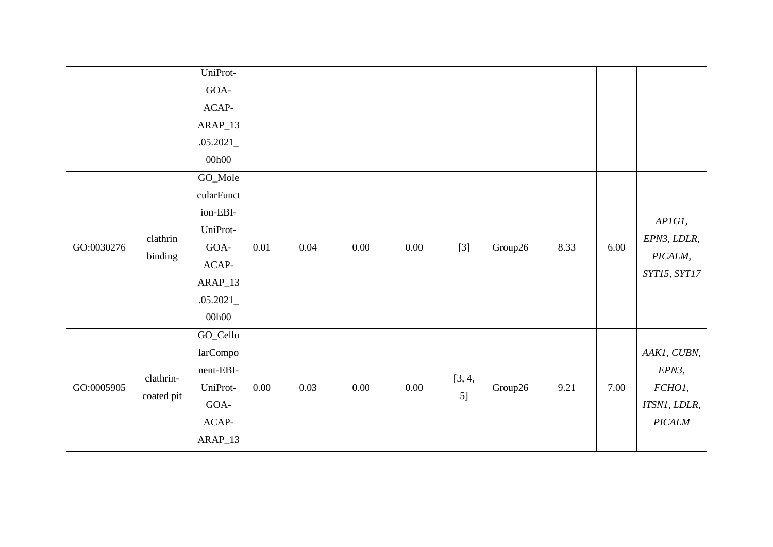|            |                         | UniProt-<br>GOA-<br>ACAP-<br>ARAP_13<br>.05.2021<br>00h00                                          |          |      |      |          |              |         |      |      |                                                          |
|------------|-------------------------|----------------------------------------------------------------------------------------------------|----------|------|------|----------|--------------|---------|------|------|----------------------------------------------------------|
| GO:0030276 | clathrin<br>binding     | GO_Mole<br>cularFunct<br>ion-EBI-<br>UniProt-<br>GOA-<br>$ACAP-$<br>$ARAP_13$<br>.05.2021<br>00h00 | $0.01\,$ | 0.04 | 0.00 | $0.00\,$ | $[3]$        | Group26 | 8.33 | 6.00 | APIGI,<br>EPN3, LDLR,<br>PICALM,<br>SYT15, SYT17         |
| GO:0005905 | clathrin-<br>coated pit | GO_Cellu<br>larCompo<br>nent-EBI-<br>UniProt-<br>GOA-<br>$ACAP-$<br>ARAP_13                        | $0.00\,$ | 0.03 | 0.00 | $0.00\,$ | [3, 4,<br>5] | Group26 | 9.21 | 7.00 | AAK1, CUBN,<br>EPN3,<br>FCHO1,<br>ITSN1, LDLR,<br>PICALM |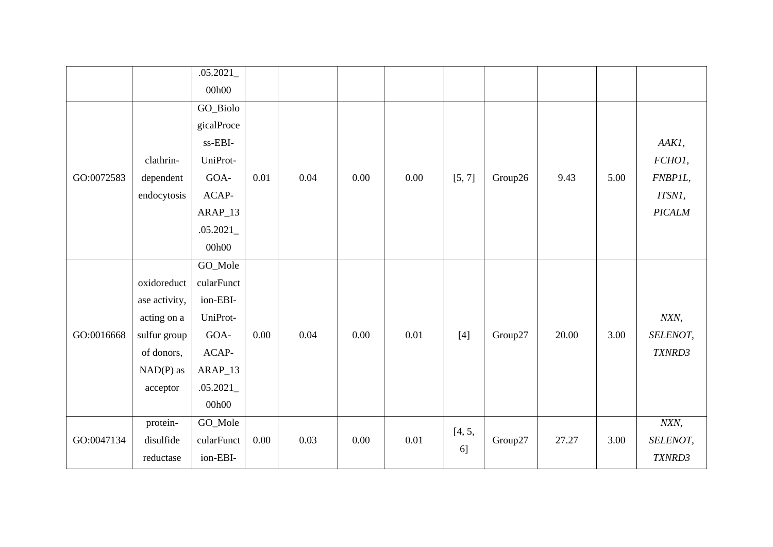|            |               | .05.2021   |          |      |          |      |        |         |       |      |               |
|------------|---------------|------------|----------|------|----------|------|--------|---------|-------|------|---------------|
|            |               | 00h00      |          |      |          |      |        |         |       |      |               |
|            |               | GO_Biolo   |          |      |          |      |        |         |       |      |               |
|            |               | gicalProce |          |      |          |      |        |         |       |      |               |
|            |               | ss-EBI-    |          |      |          |      |        |         |       |      | AAK1,         |
|            | clathrin-     | UniProt-   |          |      |          |      |        |         |       |      | FCHO1,        |
| GO:0072583 | dependent     | GOA-       | 0.01     | 0.04 | 0.00     | 0.00 | [5, 7] | Group26 | 9.43  | 5.00 | FNBP1L,       |
|            | endocytosis   | ACAP-      |          |      |          |      |        |         |       |      | ITSN1,        |
|            |               | $ARAP_13$  |          |      |          |      |        |         |       |      | <b>PICALM</b> |
|            |               | .05.2021   |          |      |          |      |        |         |       |      |               |
|            |               | 00h00      |          |      |          |      |        |         |       |      |               |
|            |               | GO_Mole    |          |      |          |      |        |         |       |      |               |
|            | oxidoreduct   | cularFunct |          |      |          |      |        |         |       |      |               |
|            | ase activity, | ion-EBI-   |          |      |          |      |        |         |       |      |               |
|            | acting on a   | UniProt-   |          |      |          |      |        |         |       |      | NXN,          |
| GO:0016668 | sulfur group  | GOA-       | $0.00\,$ | 0.04 | 0.00     | 0.01 | $[4]$  | Group27 | 20.00 | 3.00 | SELENOT,      |
|            | of donors,    | ACAP-      |          |      |          |      |        |         |       |      | TXNRD3        |
|            | $NAD(P)$ as   | $ARAP_13$  |          |      |          |      |        |         |       |      |               |
|            | acceptor      | .05.2021   |          |      |          |      |        |         |       |      |               |
|            |               | 00h00      |          |      |          |      |        |         |       |      |               |
|            | protein-      | GO_Mole    |          |      |          |      |        |         |       |      | NXN,          |
| GO:0047134 | disulfide     | cularFunct | 0.00     | 0.03 | $0.00\,$ | 0.01 | [4, 5, | Group27 | 27.27 | 3.00 | SELENOT,      |
|            | reductase     | ion-EBI-   |          |      |          |      | 6]     |         |       |      | TXNRD3        |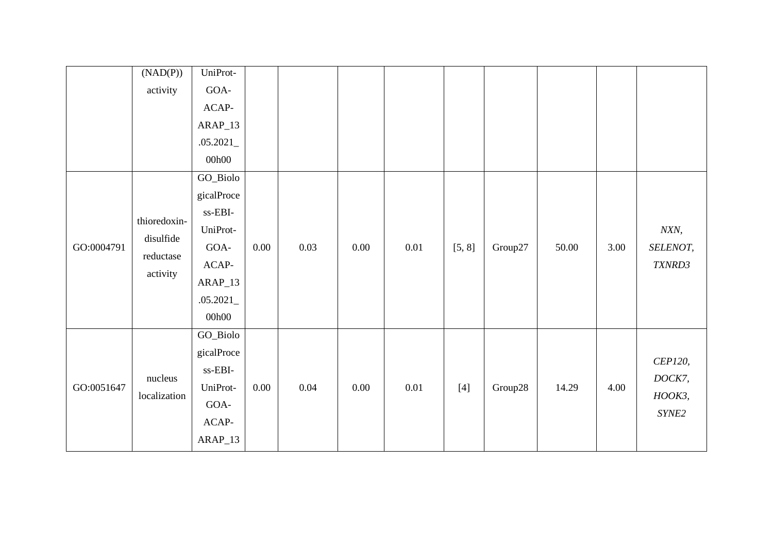|            | (NAD(P))     | UniProt-                            |          |      |      |      |        |         |       |      |          |
|------------|--------------|-------------------------------------|----------|------|------|------|--------|---------|-------|------|----------|
|            | activity     | GOA-                                |          |      |      |      |        |         |       |      |          |
|            |              | ACAP-                               |          |      |      |      |        |         |       |      |          |
|            |              | ARAP_13                             |          |      |      |      |        |         |       |      |          |
|            |              | .05.2021                            |          |      |      |      |        |         |       |      |          |
|            |              | 00h00                               |          |      |      |      |        |         |       |      |          |
|            |              | GO_Biolo                            |          |      |      |      |        |         |       |      |          |
|            |              | gicalProce                          |          |      |      |      |        |         |       |      |          |
|            | thioredoxin- | $\ensuremath{\text{ss-EBI}}\xspace$ |          |      |      |      |        |         |       |      |          |
|            |              | UniProt-                            |          |      |      |      |        |         |       |      | NXN,     |
| GO:0004791 | disulfide    | GOA-                                | $0.00\,$ | 0.03 | 0.00 | 0.01 | [5, 8] | Group27 | 50.00 | 3.00 | SELENOT, |
|            | reductase    | $ACAP-$                             |          |      |      |      |        |         |       |      | TXNRD3   |
|            | activity     | $ARAP_13$                           |          |      |      |      |        |         |       |      |          |
|            |              | .05.2021                            |          |      |      |      |        |         |       |      |          |
|            |              | 00h00                               |          |      |      |      |        |         |       |      |          |
|            |              | GO_Biolo                            |          |      |      |      |        |         |       |      |          |
|            |              | gicalProce                          |          |      |      |      |        |         |       |      |          |
|            | nucleus      | $\ensuremath{\text{ss-EBI}}\xspace$ |          |      |      |      |        |         |       |      | CEP120,  |
| GO:0051647 |              | UniProt-                            | $0.00\,$ | 0.04 | 0.00 | 0.01 | $[4]$  | Group28 | 14.29 | 4.00 | DOCK7,   |
|            | localization | $GOA-$                              |          |      |      |      |        |         |       |      | НООКЗ,   |
|            |              | $ACAP-$                             |          |      |      |      |        |         |       |      | SYNE2    |
|            |              | ARAP_13                             |          |      |      |      |        |         |       |      |          |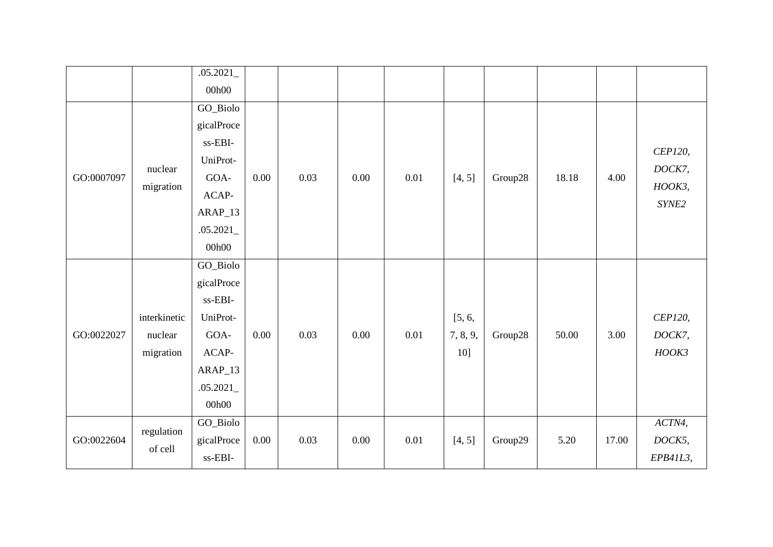|            |              | .05.2021   |          |      |          |      |          |         |       |       |          |
|------------|--------------|------------|----------|------|----------|------|----------|---------|-------|-------|----------|
|            |              | 00h00      |          |      |          |      |          |         |       |       |          |
|            |              | GO_Biolo   |          |      |          |      |          |         |       |       |          |
|            |              | gicalProce |          |      |          |      |          |         |       |       |          |
|            |              | ss-EBI-    |          |      |          |      |          |         |       |       | CEP120,  |
|            | nuclear      | UniProt-   |          |      |          |      |          |         |       |       | DOCK7,   |
| GO:0007097 | migration    | GOA-       | 0.00     | 0.03 | 0.00     | 0.01 | [4, 5]   | Group28 | 18.18 | 4.00  | HOOK3,   |
|            |              | ACAP-      |          |      |          |      |          |         |       |       | SYNE2    |
|            |              | $ARAP_13$  |          |      |          |      |          |         |       |       |          |
|            |              | .05.2021   |          |      |          |      |          |         |       |       |          |
|            |              | 00h00      |          |      |          |      |          |         |       |       |          |
|            |              | GO_Biolo   |          |      |          |      |          |         |       |       |          |
|            |              | gicalProce |          |      |          |      |          |         |       |       |          |
|            |              | ss-EBI-    |          |      |          |      |          |         |       |       |          |
|            | interkinetic | UniProt-   |          |      |          |      | [5, 6,   |         |       |       | CEP120,  |
| GO:0022027 | nuclear      | GOA-       | 0.00     | 0.03 | 0.00     | 0.01 | 7, 8, 9, | Group28 | 50.00 | 3.00  | DOCK7,   |
|            | migration    | ACAP-      |          |      |          |      | 10]      |         |       |       | HOOK3    |
|            |              | ARAP_13    |          |      |          |      |          |         |       |       |          |
|            |              | .05.2021   |          |      |          |      |          |         |       |       |          |
|            |              | 00h00      |          |      |          |      |          |         |       |       |          |
|            |              | GO_Biolo   |          |      |          |      |          |         |       |       | ACTN4,   |
| GO:0022604 | regulation   | gicalProce | $0.00\,$ | 0.03 | $0.00\,$ | 0.01 | [4, 5]   | Group29 | 5.20  | 17.00 | DOCK5,   |
| of cell    |              | ss-EBI-    |          |      |          |      |          |         |       |       | EPB41L3, |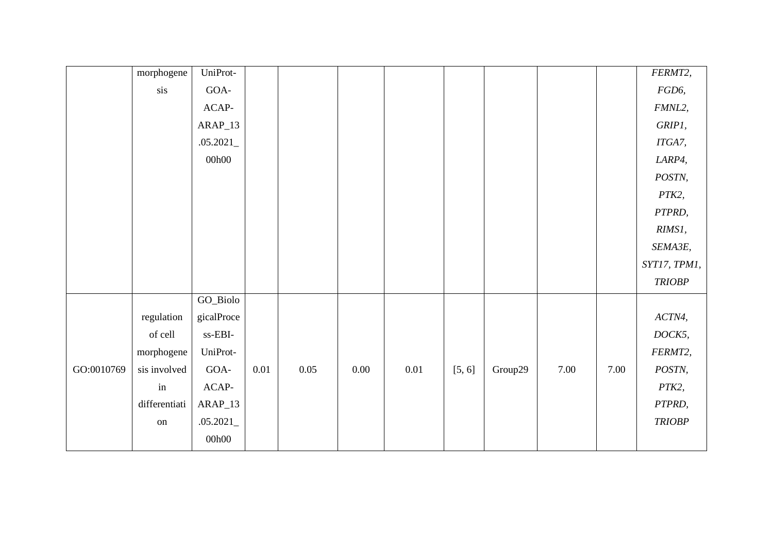|            | morphogene          | UniProt-   |          |          |          |          |        |         |      |      | FERMT2,       |
|------------|---------------------|------------|----------|----------|----------|----------|--------|---------|------|------|---------------|
|            | sis                 | $GOA-$     |          |          |          |          |        |         |      |      | FGD6,         |
|            |                     | $ACAP-$    |          |          |          |          |        |         |      |      | FMNL2,        |
|            |                     | $ARAP_13$  |          |          |          |          |        |         |      |      | GRIP1,        |
|            |                     | .05.2021   |          |          |          |          |        |         |      |      | ITGA7,        |
|            |                     | 00h00      |          |          |          |          |        |         |      |      | LARP4,        |
|            |                     |            |          |          |          |          |        |         |      |      | POSTN,        |
|            |                     |            |          |          |          |          |        |         |      |      | PTK2,         |
|            |                     |            |          |          |          |          |        |         |      |      | PTPRD,        |
|            |                     |            |          |          |          |          |        |         |      |      | RIMS1,        |
|            |                     |            |          |          |          |          |        |         |      |      | SEMA3E,       |
|            |                     |            |          |          |          |          |        |         |      |      | SYT17, TPM1,  |
|            |                     |            |          |          |          |          |        |         |      |      | <b>TRIOBP</b> |
|            |                     | GO_Biolo   |          |          |          |          |        |         |      |      |               |
|            | regulation          | gicalProce |          |          |          |          |        |         |      |      | ACTN4,        |
|            | of cell             | ss-EBI-    |          |          |          |          |        |         |      |      | DOCK5,        |
|            | morphogene          | UniProt-   |          |          |          |          |        |         |      |      | FERMT2,       |
| GO:0010769 | sis involved        | $GOA-$     | $0.01\,$ | $0.05\,$ | $0.00\,$ | $0.01\,$ | [5, 6] | Group29 | 7.00 | 7.00 | POSTN,        |
|            | $\operatorname{in}$ | $ACAP-$    |          |          |          |          |        |         |      |      | PTK2,         |
|            | differentiati       | $ARAP_13$  |          |          |          |          |        |         |      |      | PTPRD,        |
|            | on                  | .05.2021   |          |          |          |          |        |         |      |      | <b>TRIOBP</b> |
|            |                     | 00h00      |          |          |          |          |        |         |      |      |               |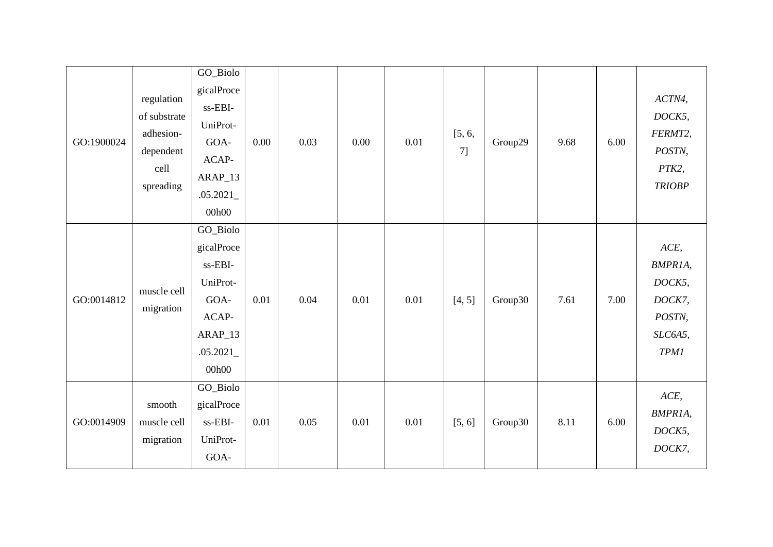| GO:1900024 | regulation<br>of substrate<br>adhesion-<br>dependent<br>cell<br>spreading | GO_Biolo<br>gicalProce<br>$\ensuremath{\text{ss-EBI}}\xspace$<br>UniProt-<br>GOA-<br>ACAP-<br>$ARAP_13$<br>.05.2021<br>00h00 | 0.00 | 0.03 | 0.00 | 0.01 | [5, 6,<br>7] | Group29 | 9.68 | 6.00 | ACTN4,<br>DOCK5,<br>FERMT2,<br>POSTN,<br>PTK2,<br><b>TRIOBP</b>         |
|------------|---------------------------------------------------------------------------|------------------------------------------------------------------------------------------------------------------------------|------|------|------|------|--------------|---------|------|------|-------------------------------------------------------------------------|
| GO:0014812 | muscle cell<br>migration                                                  | GO_Biolo<br>gicalProce<br>ss-EBI-<br>UniProt-<br>GOA-<br>ACAP-<br>ARAP_13<br>.05.2021<br>00h00                               | 0.01 | 0.04 | 0.01 | 0.01 | [4, 5]       | Group30 | 7.61 | 7.00 | ACE,<br>BMPR1A,<br>DOCK5,<br>DOCK7,<br>POSTN,<br>SLC6A5,<br><b>TPM1</b> |
| GO:0014909 | smooth<br>muscle cell<br>migration                                        | GO_Biolo<br>gicalProce<br>ss-EBI-<br>UniProt-<br>GOA-                                                                        | 0.01 | 0.05 | 0.01 | 0.01 | [5, 6]       | Group30 | 8.11 | 6.00 | ACE,<br>BMPR1A,<br>DOCK5,<br>DOCK7,                                     |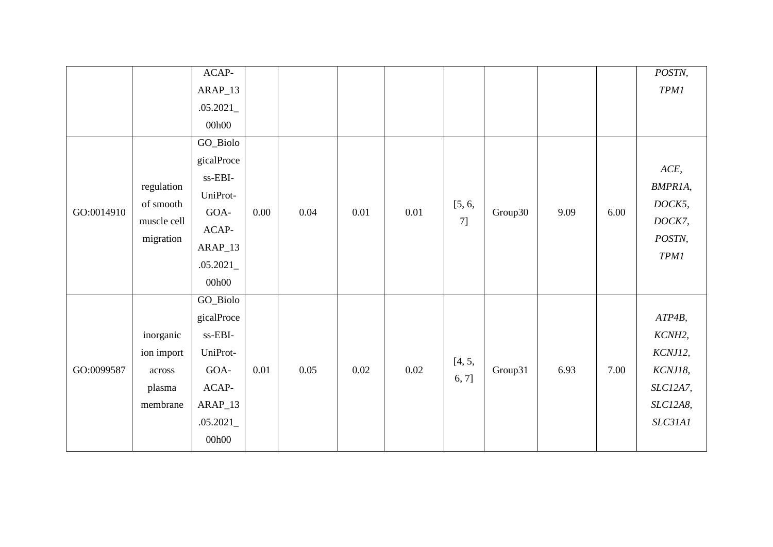|            |             | $ACAP-$    |      |      |      |      |        |         |      |      | POSTN,      |
|------------|-------------|------------|------|------|------|------|--------|---------|------|------|-------------|
|            |             | $ARAP_13$  |      |      |      |      |        |         |      |      | TPMI        |
|            |             | .05.2021   |      |      |      |      |        |         |      |      |             |
|            |             | 00h00      |      |      |      |      |        |         |      |      |             |
|            |             | GO_Biolo   |      |      |      |      |        |         |      |      |             |
|            |             | gicalProce |      |      |      |      |        |         |      |      | ACE,        |
|            |             | ss-EBI-    |      |      |      |      |        |         |      |      |             |
|            | regulation  | UniProt-   |      |      |      |      |        |         |      |      | BMPR1A,     |
| GO:0014910 | of smooth   | GOA-       | 0.00 | 0.04 | 0.01 | 0.01 | [5, 6, | Group30 | 9.09 | 6.00 | DOCK5,      |
|            | muscle cell | $ACAP-$    |      |      |      |      | 7]     |         |      |      | DOCK7,      |
|            | migration   | ARAP_13    |      |      |      |      |        |         |      |      | POSTN,      |
|            |             | .05.2021   |      |      |      |      |        |         |      |      | <b>TPM1</b> |
|            |             | 00h00      |      |      |      |      |        |         |      |      |             |
|            |             | GO_Biolo   |      |      |      |      |        |         |      |      |             |
|            |             | gicalProce |      |      |      |      |        |         |      |      | ATP4B,      |
|            | inorganic   | $ss-EBI-$  |      |      |      |      |        |         |      |      | KCNH2,      |
|            | ion import  | UniProt-   |      |      |      |      |        |         |      |      | KCNJ12,     |
| GO:0099587 | across      | GOA-       | 0.01 | 0.05 | 0.02 | 0.02 | [4, 5, | Group31 | 6.93 | 7.00 | KCNJ18,     |
|            | plasma      | ACAP-      |      |      |      |      | 6, 7]  |         |      |      | SLC12A7,    |
|            | membrane    | ARAP_13    |      |      |      |      |        |         |      |      | SLC12A8,    |
|            |             | .05.2021   |      |      |      |      |        |         |      |      | SLC31A1     |
|            |             | 00h00      |      |      |      |      |        |         |      |      |             |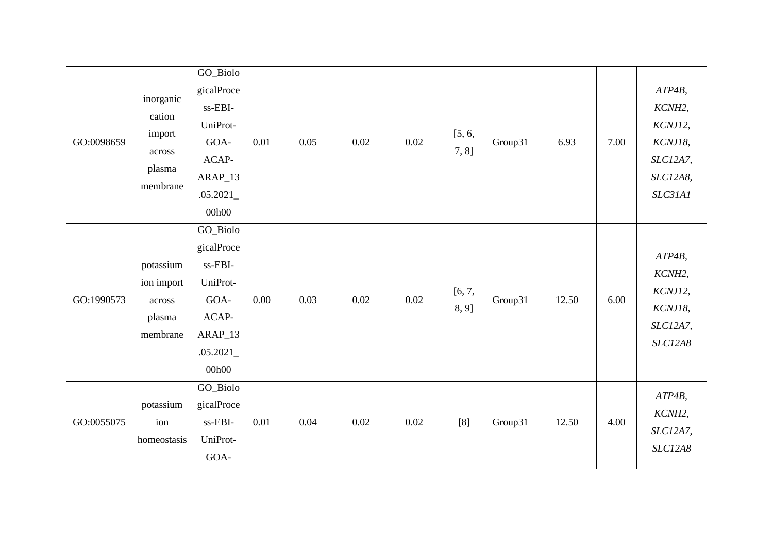| GO:0098659 | inorganic<br>cation<br>import<br>across<br>plasma<br>membrane | GO_Biolo<br>gicalProce<br>ss-EBI-<br>UniProt-<br>GOA-<br>ACAP-<br>ARAP_13<br>.05.2021<br>00h00 | 0.01 | 0.05 | 0.02 | 0.02 | [5, 6,<br>7, 8] | Group31 | 6.93  | 7.00 | ATP4B,<br>KCNH2,<br>KCNJ12,<br>KCNJ18,<br>SLC12A7,<br>SLC12A8,<br>SLC31A1 |
|------------|---------------------------------------------------------------|------------------------------------------------------------------------------------------------|------|------|------|------|-----------------|---------|-------|------|---------------------------------------------------------------------------|
| GO:1990573 | potassium<br>ion import<br>across<br>plasma<br>membrane       | GO_Biolo<br>gicalProce<br>ss-EBI-<br>UniProt-<br>GOA-<br>ACAP-<br>ARAP_13<br>.05.2021<br>00h00 | 0.00 | 0.03 | 0.02 | 0.02 | [6, 7,<br>8, 9] | Group31 | 12.50 | 6.00 | $ATP4B$ ,<br>KCNH2,<br>KCNJ12,<br>KCNJ18,<br>SLC12A7,<br>SLC12A8          |
| GO:0055075 | potassium<br>ion<br>homeostasis                               | GO_Biolo<br>gicalProce<br>ss-EBI-<br>UniProt-<br>GOA-                                          | 0.01 | 0.04 | 0.02 | 0.02 | [8]             | Group31 | 12.50 | 4.00 | ATP4B,<br>KCNH2,<br>SLC12A7,<br><b>SLC12A8</b>                            |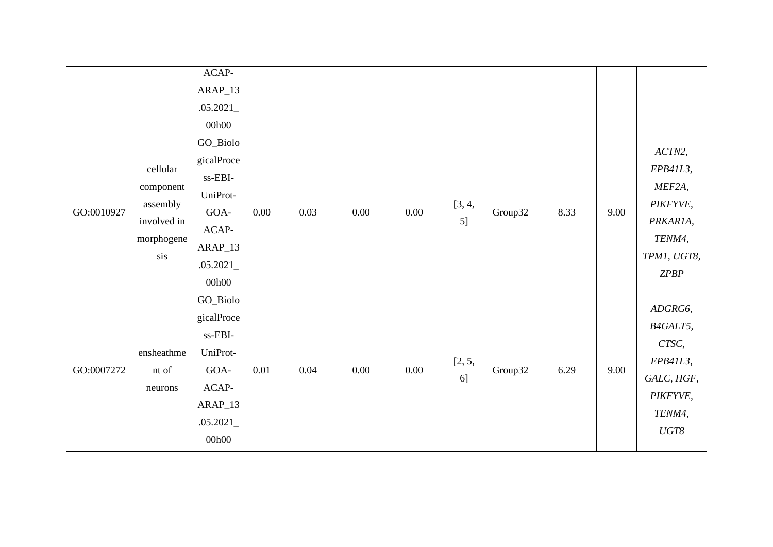|            |                                                                       | ACAP-<br>$ARAP_13$<br>.05.2021<br>00h00                                                                                        |      |      |      |          |              |         |      |      |                                                                                                              |
|------------|-----------------------------------------------------------------------|--------------------------------------------------------------------------------------------------------------------------------|------|------|------|----------|--------------|---------|------|------|--------------------------------------------------------------------------------------------------------------|
| GO:0010927 | cellular<br>component<br>assembly<br>involved in<br>morphogene<br>sis | GO_Biolo<br>gicalProce<br>$\ensuremath{\text{ss-EBI}}\xspace$<br>UniProt-<br>GOA-<br>$ACAP-$<br>$ARAP_13$<br>.05.2021<br>00h00 | 0.00 | 0.03 | 0.00 | 0.00     | [3, 4,<br>5] | Group32 | 8.33 | 9.00 | ACTN2,<br>EPB41L3,<br>MEF2A,<br>PIKFYVE,<br>PRKAR1A,<br>TENM4,<br>TPM1, UGT8,<br>ZPBP                        |
| GO:0007272 | ensheathme<br>nt of<br>neurons                                        | GO_Biolo<br>gicalProce<br>ss-EBI-<br>UniProt-<br>GOA-<br>ACAP-<br>$ARAP_13$<br>.05.2021<br>00h00                               | 0.01 | 0.04 | 0.00 | $0.00\,$ | [2, 5,<br>6] | Group32 | 6.29 | 9.00 | ADGRG6,<br>B4GALT5,<br>CTSC,<br>EPB41L3,<br>GALC, HGF,<br>PIKFYVE,<br>TENM4,<br>$\ensuremath{\mathit{UGT8}}$ |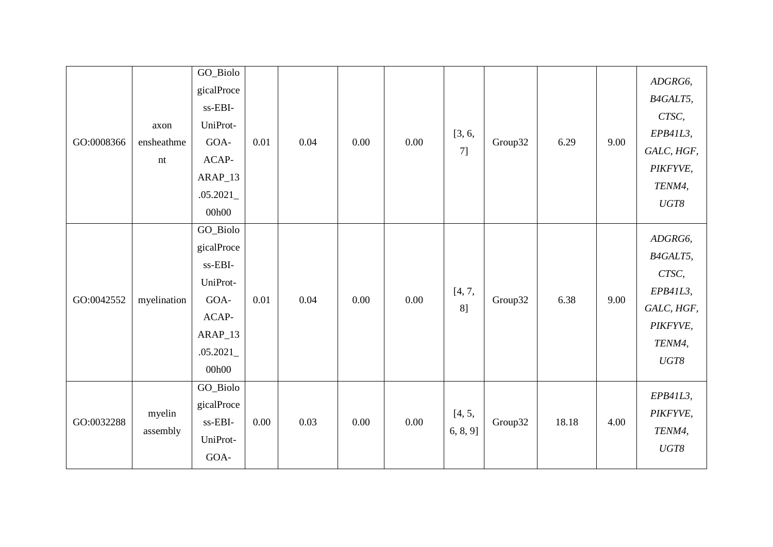| GO:0008366 | axon<br>ensheathme<br>nt | GO_Biolo<br>gicalProce<br>ss-EBI-<br>UniProt-<br>GOA-<br>ACAP-<br>$ARAP_13$<br>.05.2021<br>00h00 | 0.01 | 0.04 | 0.00 | 0.00 | [3, 6,<br>7]       | Group32 | 6.29  | 9.00 | ADGRG6,<br>B4GALT5,<br>CTSC,<br>EPB41L3,<br>GALC, HGF,<br>PIKFYVE,<br>TENM4,<br>$\ensuremath{\mathit{UGT8}}$ |
|------------|--------------------------|--------------------------------------------------------------------------------------------------|------|------|------|------|--------------------|---------|-------|------|--------------------------------------------------------------------------------------------------------------|
| GO:0042552 | myelination              | GO_Biolo<br>gicalProce<br>ss-EBI-<br>UniProt-<br>GOA-<br>ACAP-<br>ARAP_13<br>.05.2021<br>00h00   | 0.01 | 0.04 | 0.00 | 0.00 | [4, 7,<br>8]       | Group32 | 6.38  | 9.00 | ADGRG6,<br>B4GALT5,<br>CTSC,<br>EPB41L3,<br>GALC, HGF,<br>PIKFYVE,<br>TENM4,<br>$UGT8$                       |
| GO:0032288 | myelin<br>assembly       | GO_Biolo<br>gicalProce<br>ss-EBI-<br>UniProt-<br>GOA-                                            | 0.00 | 0.03 | 0.00 | 0.00 | [4, 5,<br>6, 8, 9] | Group32 | 18.18 | 4.00 | EPB41L3,<br>PIKFYVE,<br>TENM4,<br>$\ensuremath{\mathit{UGT8}}$                                               |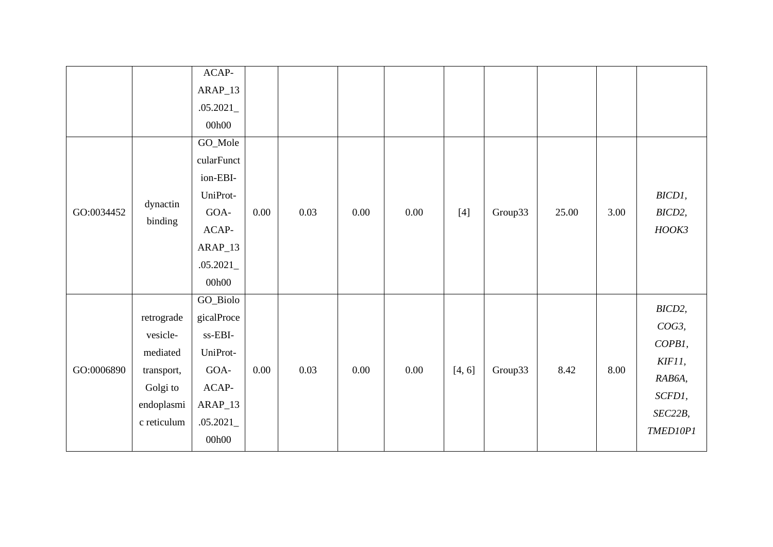|            |                     | $ACAP-$    |          |      |      |      |        |         |       |      |          |
|------------|---------------------|------------|----------|------|------|------|--------|---------|-------|------|----------|
|            |                     | $ARAP_13$  |          |      |      |      |        |         |       |      |          |
|            |                     | .05.2021   |          |      |      |      |        |         |       |      |          |
|            |                     | 00h00      |          |      |      |      |        |         |       |      |          |
|            |                     | GO_Mole    |          |      |      |      |        |         |       |      |          |
|            |                     | cularFunct |          |      |      |      |        |         |       |      |          |
|            |                     | ion-EBI-   |          |      |      |      |        |         |       |      |          |
|            |                     | UniProt-   |          |      |      |      |        |         |       |      | BICD1,   |
| GO:0034452 | dynactin<br>binding | $GOA-$     | 0.00     | 0.03 | 0.00 | 0.00 | $[4]$  | Group33 | 25.00 | 3.00 | BICD2,   |
|            |                     | $ACAP-$    |          |      |      |      |        |         |       |      | HOOK3    |
|            |                     | $ARAP_13$  |          |      |      |      |        |         |       |      |          |
|            |                     | .05.2021   |          |      |      |      |        |         |       |      |          |
|            |                     | 00h00      |          |      |      |      |        |         |       |      |          |
|            |                     | GO_Biolo   |          |      |      |      |        |         |       |      | BICD2,   |
|            | retrograde          | gicalProce |          |      |      |      |        |         |       |      | COG3,    |
|            | vesicle-            | ss-EBI-    |          |      |      |      |        |         |       |      | COPB1,   |
|            | mediated            | UniProt-   |          |      |      |      |        |         |       |      |          |
| GO:0006890 | transport,          | GOA-       | $0.00\,$ | 0.03 | 0.00 | 0.00 | [4, 6] | Group33 | 8.42  | 8.00 | KIF11,   |
|            | Golgi to            | $ACAP-$    |          |      |      |      |        |         |       |      | RAB6A,   |
|            | endoplasmi          | $ARAP_13$  |          |      |      |      |        |         |       |      | SCFD1,   |
|            | c reticulum         | .05.2021   |          |      |      |      |        |         |       |      | SEC22B,  |
|            |                     | 00h00      |          |      |      |      |        |         |       |      | TMED10P1 |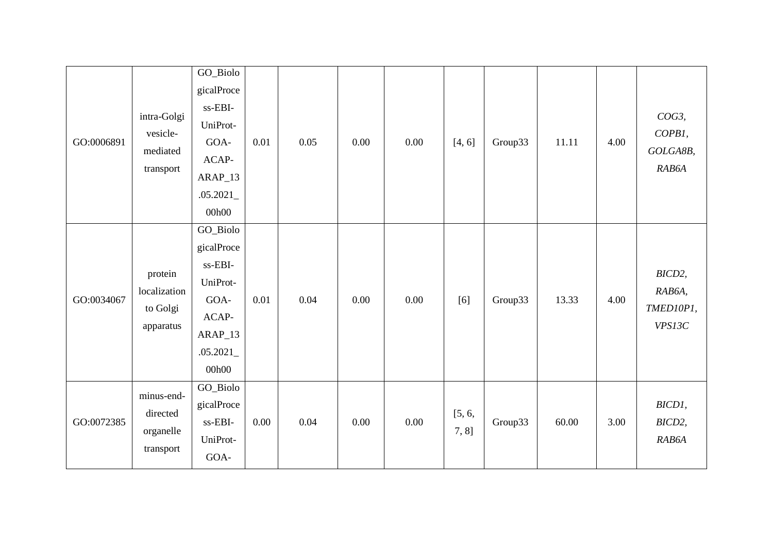| GO:0006891 | intra-Golgi<br>vesicle-<br>mediated<br>transport | GO_Biolo<br>gicalProce<br>ss-EBI-<br>UniProt-<br>GOA-<br>$ACAP-$<br>$ARAP_13$<br>.05.2021<br>00h00 | 0.01 | 0.05 | 0.00 | 0.00 | [4, 6]          | Group33 | 11.11 | 4.00 | $COG3$ ,<br>COPB1,<br>GOLGA8B,<br>RAB6A |
|------------|--------------------------------------------------|----------------------------------------------------------------------------------------------------|------|------|------|------|-----------------|---------|-------|------|-----------------------------------------|
| GO:0034067 | protein<br>localization<br>to Golgi<br>apparatus | GO_Biolo<br>gicalProce<br>ss-EBI-<br>UniProt-<br>GOA-<br>ACAP-<br>ARAP_13<br>.05.2021<br>00h00     | 0.01 | 0.04 | 0.00 | 0.00 | [6]             | Group33 | 13.33 | 4.00 | BICD2,<br>RAB6A,<br>TMED10P1,<br>VPS13C |
| GO:0072385 | minus-end-<br>directed<br>organelle<br>transport | GO_Biolo<br>gicalProce<br>ss-EBI-<br>UniProt-<br>GOA-                                              | 0.00 | 0.04 | 0.00 | 0.00 | [5, 6,<br>7, 8] | Group33 | 60.00 | 3.00 | BICD1,<br>BICD2,<br>RAB6A               |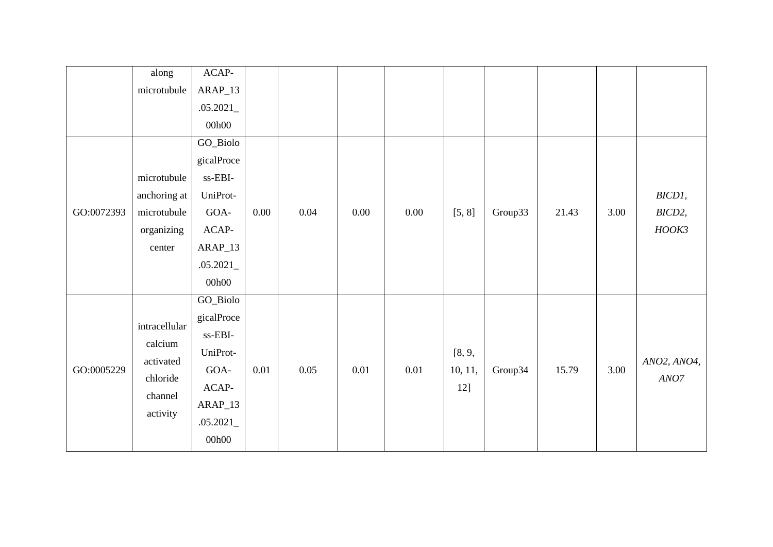|            | along         | $ACAP-$                             |          |      |      |          |         |         |       |      |                              |
|------------|---------------|-------------------------------------|----------|------|------|----------|---------|---------|-------|------|------------------------------|
|            | microtubule   | $ARAP_13$                           |          |      |      |          |         |         |       |      |                              |
|            |               | .05.2021                            |          |      |      |          |         |         |       |      |                              |
|            |               | 00h00                               |          |      |      |          |         |         |       |      |                              |
|            |               | GO_Biolo                            |          |      |      |          |         |         |       |      |                              |
|            |               | gicalProce                          |          |      |      |          |         |         |       |      |                              |
|            | microtubule   | $\ensuremath{\text{ss-EBI}}\xspace$ |          |      |      |          |         |         |       |      |                              |
|            | anchoring at  | UniProt-                            |          |      |      |          |         |         |       |      | BICD1,                       |
| GO:0072393 | microtubule   | GOA-                                | 0.00     | 0.04 | 0.00 | 0.00     | [5, 8]  | Group33 | 21.43 | 3.00 | BICD2,                       |
|            | organizing    | $ACAP-$                             |          |      |      |          |         |         |       |      | HOOK3                        |
|            | center        | $ARAP_13$                           |          |      |      |          |         |         |       |      |                              |
|            |               | .05.2021                            |          |      |      |          |         |         |       |      |                              |
|            |               | 00h00                               |          |      |      |          |         |         |       |      |                              |
|            |               | GO_Biolo                            |          |      |      |          |         |         |       |      |                              |
|            | intracellular | gicalProce                          |          |      |      |          |         |         |       |      |                              |
|            |               | ss-EBI-                             |          |      |      |          |         |         |       |      |                              |
|            | calcium       | UniProt-                            |          |      |      |          | [8, 9,  |         |       |      |                              |
| GO:0005229 | activated     | GOA-                                | $0.01\,$ | 0.05 | 0.01 | $0.01\,$ | 10, 11, | Group34 | 15.79 | 3.00 | ANO2, ANO4,                  |
|            | chloride      | ACAP-                               |          |      |      |          | 12]     |         |       |      | $\ensuremath{\textit{ANO7}}$ |
|            | channel       | $ARAP_13$                           |          |      |      |          |         |         |       |      |                              |
|            | activity      | .05.2021                            |          |      |      |          |         |         |       |      |                              |
|            |               | 00h00                               |          |      |      |          |         |         |       |      |                              |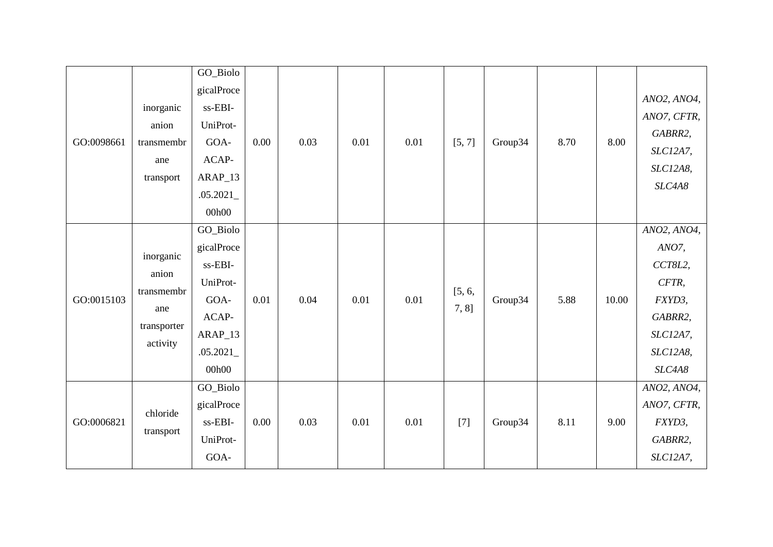| GO:0098661 | inorganic<br>anion<br>transmembr<br>ane<br>transport               | GO_Biolo<br>gicalProce<br>ss-EBI-<br>UniProt-<br>GOA-<br>ACAP-<br>ARAP_13<br>.05.2021<br>00h00   | 0.00 | 0.03 | 0.01 | 0.01 | [5, 7]          | Group34 | 8.70 | 8.00  | ANO2, ANO4,<br>ANO7, CFTR,<br>GABRR2,<br>SLC12A7,<br>SLC12A8,<br>SLC4A8                         |
|------------|--------------------------------------------------------------------|--------------------------------------------------------------------------------------------------|------|------|------|------|-----------------|---------|------|-------|-------------------------------------------------------------------------------------------------|
| GO:0015103 | inorganic<br>anion<br>transmembr<br>ane<br>transporter<br>activity | GO_Biolo<br>gicalProce<br>ss-EBI-<br>UniProt-<br>GOA-<br>ACAP-<br>$ARAP_13$<br>.05.2021<br>00h00 | 0.01 | 0.04 | 0.01 | 0.01 | [5, 6,<br>7, 8] | Group34 | 5.88 | 10.00 | ANO2, ANO4,<br>ANO7,<br>CCT8L2,<br>CFTR,<br>FXYD3,<br>GABRR2,<br>SLC12A7,<br>SLC12A8,<br>SLC4A8 |
| GO:0006821 | chloride<br>transport                                              | GO_Biolo<br>gicalProce<br>ss-EBI-<br>UniProt-<br>GOA-                                            | 0.00 | 0.03 | 0.01 | 0.01 | $[7]$           | Group34 | 8.11 | 9.00  | ANO2, ANO4,<br>ANO7, CFTR,<br>FXYD3,<br>GABRR2,<br>SLC12A7,                                     |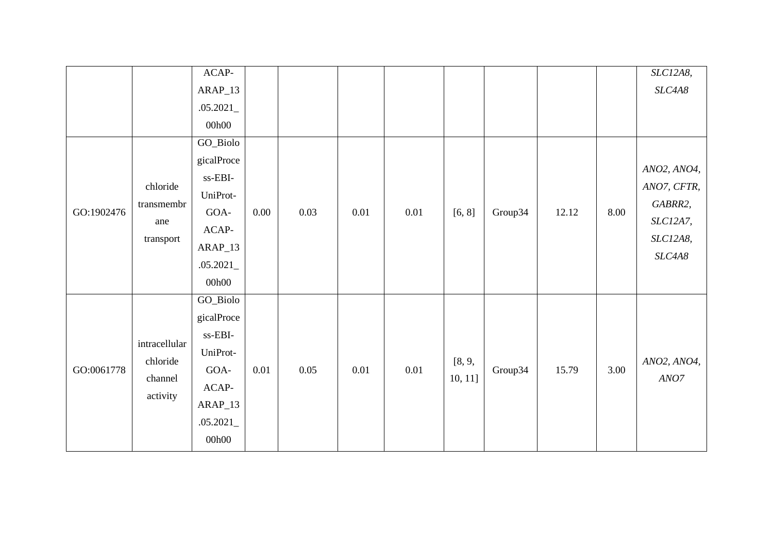|            |               | $ACAP-$                             |      |          |          |      |         |         |       |      | SLC12A8,    |
|------------|---------------|-------------------------------------|------|----------|----------|------|---------|---------|-------|------|-------------|
|            |               | $ARAP_13$                           |      |          |          |      |         |         |       |      | SLC4A8      |
|            |               | .05.2021                            |      |          |          |      |         |         |       |      |             |
|            |               | 00h00                               |      |          |          |      |         |         |       |      |             |
|            |               | GO_Biolo                            |      |          |          |      |         |         |       |      |             |
|            |               | gicalProce                          |      |          |          |      |         |         |       |      |             |
|            |               | $\ensuremath{\text{ss-EBI}}\xspace$ |      |          |          |      |         |         |       |      | ANO2, ANO4, |
|            | chloride      | UniProt-                            |      |          |          |      |         |         |       |      | ANO7, CFTR, |
| GO:1902476 | transmembr    | GOA-                                | 0.00 | 0.03     | 0.01     | 0.01 | [6, 8]  | Group34 | 12.12 | 8.00 | GABRR2,     |
|            | ane           | ACAP-                               |      |          |          |      |         |         |       |      | SLC12A7,    |
|            | transport     | $ARAP_13$                           |      |          |          |      |         |         |       |      | SLC12A8,    |
|            |               | .05.2021                            |      |          |          |      |         |         |       |      | SLC4A8      |
|            |               | 00h00                               |      |          |          |      |         |         |       |      |             |
|            |               | GO_Biolo                            |      |          |          |      |         |         |       |      |             |
|            |               | gicalProce                          |      |          |          |      |         |         |       |      |             |
|            |               | ss-EBI-                             |      |          |          |      |         |         |       |      |             |
|            | intracellular | UniProt-                            |      |          |          |      |         |         |       |      |             |
| GO:0061778 | chloride      | GOA-                                | 0.01 | $0.05\,$ | $0.01\,$ | 0.01 | [8, 9,  | Group34 | 15.79 | 3.00 | ANO2, ANO4, |
|            | channel       | $ACAP-$                             |      |          |          |      | 10, 11] |         |       |      | ANO7        |
|            | activity      | $ARAP_13$                           |      |          |          |      |         |         |       |      |             |
|            |               | .05.2021                            |      |          |          |      |         |         |       |      |             |
|            |               | 00h00                               |      |          |          |      |         |         |       |      |             |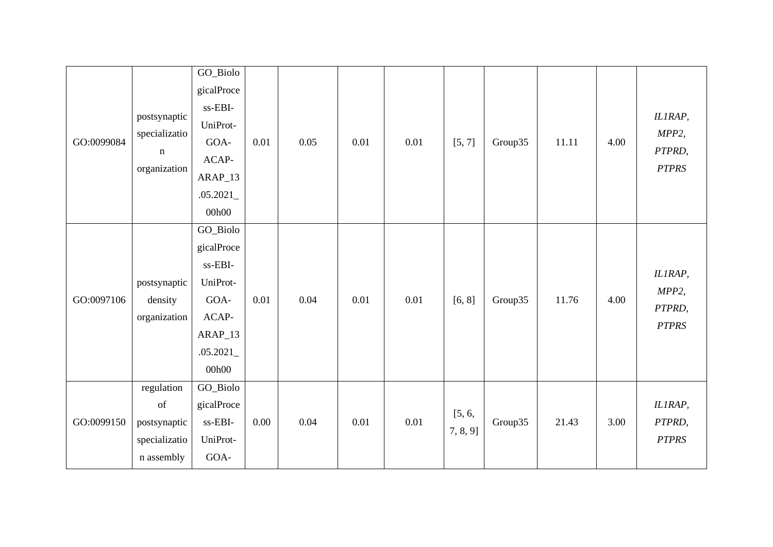| GO:0099084 | postsynaptic<br>specializatio<br>$\mathbf n$<br>organization    | GO_Biolo<br>gicalProce<br>ss-EBI-<br>UniProt-<br>GOA-<br>ACAP-<br>$ARAP_13$<br>.05.2021<br>00h00 | 0.01 | 0.05 | 0.01 | 0.01 | [5, 7]                | Group35 | 11.11 | 4.00 | IL1RAP,<br>MPP2,<br>PTPRD,<br><b>PTPRS</b> |
|------------|-----------------------------------------------------------------|--------------------------------------------------------------------------------------------------|------|------|------|------|-----------------------|---------|-------|------|--------------------------------------------|
| GO:0097106 | postsynaptic<br>density<br>organization                         | GO_Biolo<br>gicalProce<br>ss-EBI-<br>UniProt-<br>GOA-<br>ACAP-<br>$ARAP_13$<br>.05.2021<br>00h00 | 0.01 | 0.04 | 0.01 | 0.01 | [6, 8]                | Group35 | 11.76 | 4.00 | IL1RAP,<br>MPP2,<br>PTPRD,<br><b>PTPRS</b> |
| GO:0099150 | regulation<br>of<br>postsynaptic<br>specializatio<br>n assembly | GO_Biolo<br>gicalProce<br>ss-EBI-<br>UniProt-<br>GOA-                                            | 0.00 | 0.04 | 0.01 | 0.01 | [5, 6,<br>$7, 8, 9$ ] | Group35 | 21.43 | 3.00 | IL1RAP,<br>PTPRD,<br><b>PTPRS</b>          |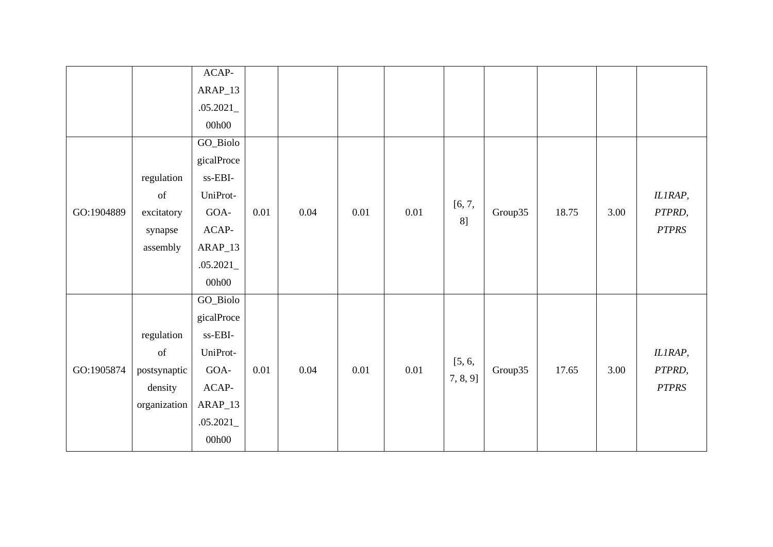|            |                                                                                                    | $ACAP-$                             |          |          |          |          |             |         |       |      |              |
|------------|----------------------------------------------------------------------------------------------------|-------------------------------------|----------|----------|----------|----------|-------------|---------|-------|------|--------------|
|            |                                                                                                    | $ARAP_13$                           |          |          |          |          |             |         |       |      |              |
|            |                                                                                                    | .05.2021                            |          |          |          |          |             |         |       |      |              |
|            |                                                                                                    | 00h00                               |          |          |          |          |             |         |       |      |              |
|            |                                                                                                    | GO_Biolo                            |          |          |          |          |             |         |       |      |              |
|            |                                                                                                    | gicalProce                          |          |          |          |          |             |         |       |      |              |
|            | regulation                                                                                         | $\ensuremath{\text{ss-EBI}}\xspace$ |          |          |          |          |             |         |       |      |              |
|            | $% \left( \left( \mathcal{A},\mathcal{A}\right) \right) =\left( \mathcal{A},\mathcal{A}\right)$ of | UniProt-                            |          |          |          |          |             |         |       |      | IL1RAP,      |
| GO:1904889 | excitatory                                                                                         | $GOA-$                              | $0.01\,$ | 0.04     | 0.01     | 0.01     | [6, 7,      | Group35 | 18.75 | 3.00 | PTPRD,       |
|            | synapse                                                                                            | ACAP-                               |          |          |          |          | 8]          |         |       |      | <b>PTPRS</b> |
|            | assembly                                                                                           | $ARAP_13$                           |          |          |          |          |             |         |       |      |              |
|            |                                                                                                    | .05.2021                            |          |          |          |          |             |         |       |      |              |
|            |                                                                                                    | 00h00                               |          |          |          |          |             |         |       |      |              |
|            |                                                                                                    | GO_Biolo                            |          |          |          |          |             |         |       |      |              |
|            |                                                                                                    | gicalProce                          |          |          |          |          |             |         |       |      |              |
|            | regulation                                                                                         | ss-EBI-                             |          |          |          |          |             |         |       |      |              |
|            | of                                                                                                 | UniProt-                            |          |          |          |          |             |         |       |      | IL1RAP,      |
| GO:1905874 | postsynaptic                                                                                       | $GOA-$                              | 0.01     | $0.04\,$ | $0.01\,$ | $0.01\,$ | [5, 6,      | Group35 | 17.65 | 3.00 | PTPRD,       |
|            | density                                                                                            | $ACAP-$                             |          |          |          |          | $7, 8, 9$ ] |         |       |      | <b>PTPRS</b> |
|            | organization                                                                                       | $ARAP_13$                           |          |          |          |          |             |         |       |      |              |
|            |                                                                                                    | .05.2021                            |          |          |          |          |             |         |       |      |              |
|            |                                                                                                    | 00h00                               |          |          |          |          |             |         |       |      |              |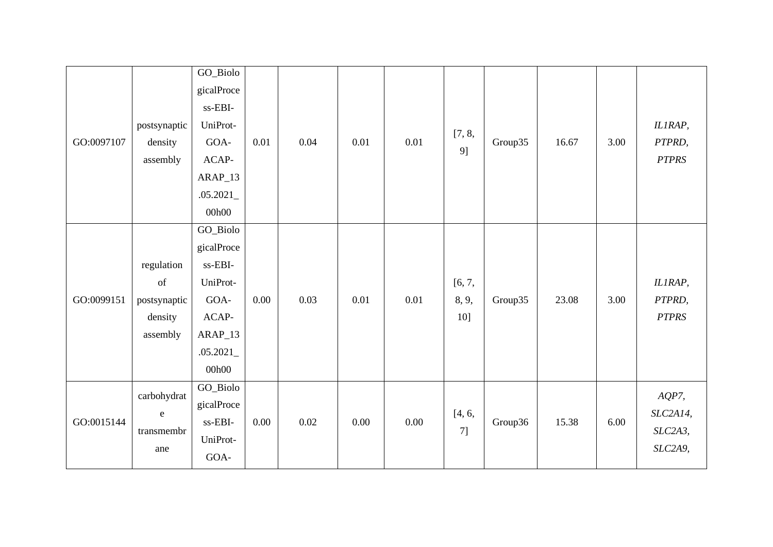| GO:0097107 | postsynaptic<br>density<br>assembly                     | GO_Biolo<br>gicalProce<br>$\ensuremath{\text{ss-EBI}}\xspace$<br>UniProt-<br>GOA-<br>$ACAP-$<br>ARAP_13<br>.05.2021<br>00h00 | 0.01 | 0.04 | 0.01 | 0.01 | [7, 8,<br>9]           | Group35 | 16.67 | 3.00 | IL1RAP,<br>PTPRD,<br><b>PTPRS</b>          |
|------------|---------------------------------------------------------|------------------------------------------------------------------------------------------------------------------------------|------|------|------|------|------------------------|---------|-------|------|--------------------------------------------|
| GO:0099151 | regulation<br>of<br>postsynaptic<br>density<br>assembly | GO_Biolo<br>gicalProce<br>ss-EBI-<br>UniProt-<br>GOA-<br>ACAP-<br>$ARAP_13$<br>.05.2021<br>00h00                             | 0.00 | 0.03 | 0.01 | 0.01 | [6, 7,<br>8, 9,<br>10] | Group35 | 23.08 | 3.00 | IL1RAP,<br>PTPRD,<br><b>PTPRS</b>          |
| GO:0015144 | carbohydrat<br>${\bf e}$<br>transmembr<br>ane           | GO_Biolo<br>gicalProce<br>ss-EBI-<br>UniProt-<br>GOA-                                                                        | 0.00 | 0.02 | 0.00 | 0.00 | [4, 6,<br>7]           | Group36 | 15.38 | 6.00 | $AQP7$ ,<br>SLC2A14,<br>SLC2A3,<br>SLC2A9, |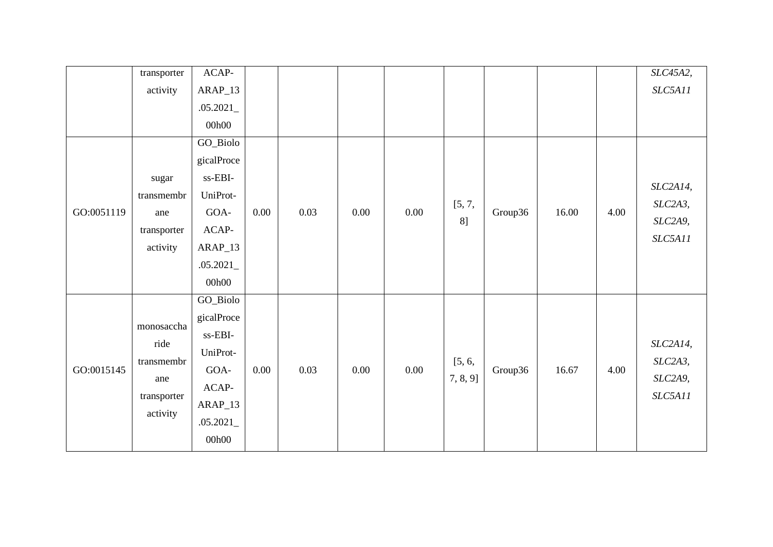|            | transporter | $ACAP-$    |          |      |          |          |             |         |       |      | SLC45A2, |
|------------|-------------|------------|----------|------|----------|----------|-------------|---------|-------|------|----------|
|            | activity    | $ARAP_13$  |          |      |          |          |             |         |       |      | SLC5A11  |
|            |             | .05.2021   |          |      |          |          |             |         |       |      |          |
|            |             | 00h00      |          |      |          |          |             |         |       |      |          |
|            |             | GO_Biolo   |          |      |          |          |             |         |       |      |          |
|            |             | gicalProce |          |      |          |          |             |         |       |      |          |
|            | sugar       | ss-EBI-    |          |      |          |          |             |         |       |      |          |
|            | transmembr  | UniProt-   |          |      |          |          |             |         |       |      | SLC2A14, |
| GO:0051119 | ane         | GOA-       | $0.00\,$ | 0.03 | 0.00     | 0.00     | [5, 7,      | Group36 | 16.00 | 4.00 | SLC2A3,  |
|            | transporter | $ACAP-$    |          |      |          |          | 8]          |         |       |      | SLC2A9,  |
|            | activity    | $ARAP_13$  |          |      |          |          |             |         |       |      | SLC5A11  |
|            |             | .05.2021   |          |      |          |          |             |         |       |      |          |
|            |             | 00h00      |          |      |          |          |             |         |       |      |          |
|            |             | GO_Biolo   |          |      |          |          |             |         |       |      |          |
|            |             | gicalProce |          |      |          |          |             |         |       |      |          |
|            | monosaccha  | ss-EBI-    |          |      |          |          |             |         |       |      |          |
|            | ride        | UniProt-   |          |      |          |          |             |         |       |      | SLC2A14, |
| GO:0015145 | transmembr  | GOA-       | 0.00     | 0.03 | $0.00\,$ | $0.00\,$ | [5, 6,      | Group36 | 16.67 | 4.00 | SLC2A3,  |
|            | ane         | ACAP-      |          |      |          |          | $7, 8, 9$ ] |         |       |      | SLC2A9,  |
|            | transporter | $ARAP_13$  |          |      |          |          |             |         |       |      | SLC5A11  |
|            | activity    | .05.2021   |          |      |          |          |             |         |       |      |          |
|            |             | 00h00      |          |      |          |          |             |         |       |      |          |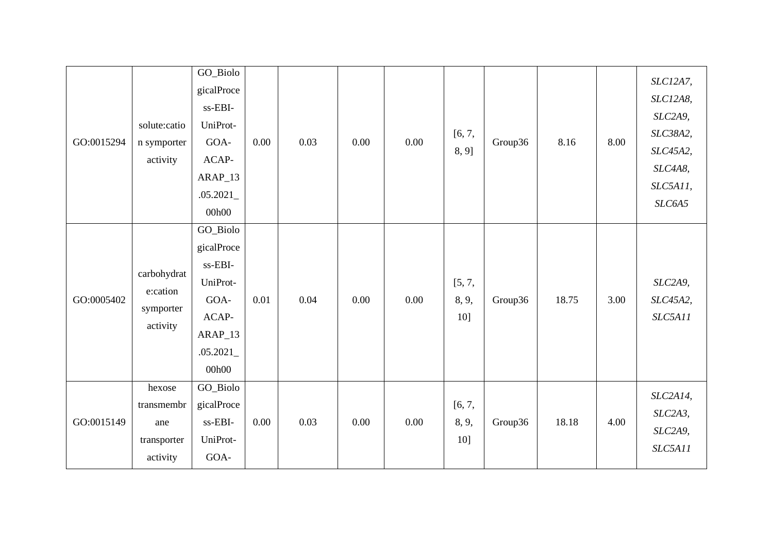| GO:0015294 | solute:catio<br>n symporter<br>activity                | GO_Biolo<br>gicalProce<br>ss-EBI-<br>UniProt-<br>GOA-<br>ACAP-<br>ARAP_13<br>.05.2021<br>00h00   | 0.00 | 0.03 | 0.00 | 0.00 | [6, 7,<br>8, 9]        | Group36 | 8.16  | 8.00 | SLC12A7,<br>SLC12A8,<br>SLC2A9,<br>SLC38A2,<br>SLC45A2,<br>SLC4A8,<br>SLC5A11,<br>SLC6A5 |
|------------|--------------------------------------------------------|--------------------------------------------------------------------------------------------------|------|------|------|------|------------------------|---------|-------|------|------------------------------------------------------------------------------------------|
| GO:0005402 | carbohydrat<br>e:cation<br>symporter<br>activity       | GO_Biolo<br>gicalProce<br>ss-EBI-<br>UniProt-<br>GOA-<br>ACAP-<br>$ARAP_13$<br>.05.2021<br>00h00 | 0.01 | 0.04 | 0.00 | 0.00 | [5, 7,<br>8, 9,<br>10] | Group36 | 18.75 | 3.00 | SLC2A9,<br>SLC45A2,<br>SLC5A11                                                           |
| GO:0015149 | hexose<br>transmembr<br>ane<br>transporter<br>activity | GO_Biolo<br>gicalProce<br>ss-EBI-<br>UniProt-<br>GOA-                                            | 0.00 | 0.03 | 0.00 | 0.00 | [6, 7,<br>8, 9,<br>10] | Group36 | 18.18 | 4.00 | SLC2A14,<br>SLC2A3,<br>SLC2A9,<br>SLC5A11                                                |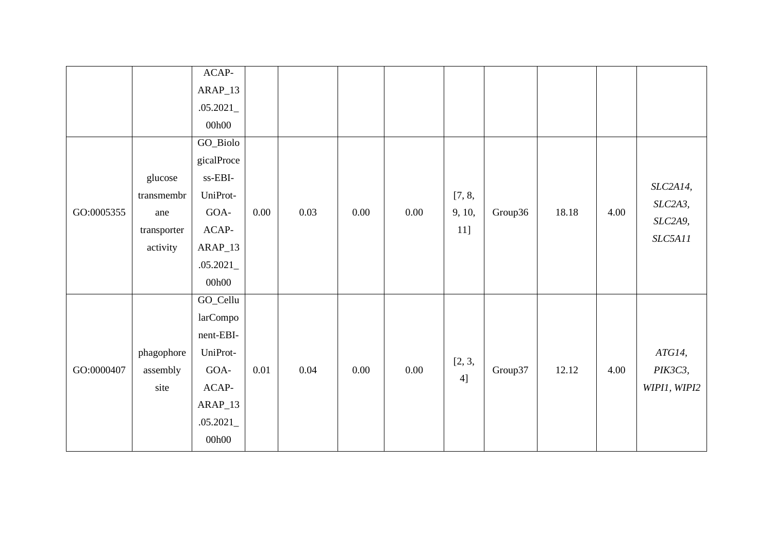|            |                                                         | $ACAP-$<br>$ARAP_13$<br>.05.2021<br>00h00                                                             |          |      |      |          |                         |         |       |      |                                           |
|------------|---------------------------------------------------------|-------------------------------------------------------------------------------------------------------|----------|------|------|----------|-------------------------|---------|-------|------|-------------------------------------------|
| GO:0005355 | glucose<br>transmembr<br>ane<br>transporter<br>activity | GO_Biolo<br>gicalProce<br>$ss$ -EBI-<br>UniProt-<br>GOA-<br>$ACAP-$<br>$ARAP_13$<br>.05.2021<br>00h00 | 0.00     | 0.03 | 0.00 | 0.00     | [7, 8,<br>9, 10,<br>11] | Group36 | 18.18 | 4.00 | SLC2A14,<br>SLC2A3,<br>SLC2A9,<br>SLC5A11 |
| GO:0000407 | phagophore<br>assembly<br>site                          | GO_Cellu<br>larCompo<br>nent-EBI-<br>UniProt-<br>GOA-<br>$ACAP-$<br>$ARAP_13$<br>.05.2021<br>00h00    | $0.01\,$ | 0.04 | 0.00 | $0.00\,$ | [2, 3,<br>4]            | Group37 | 12.12 | 4.00 | ATG14,<br>PIK3C3,<br>WIPI1, WIPI2         |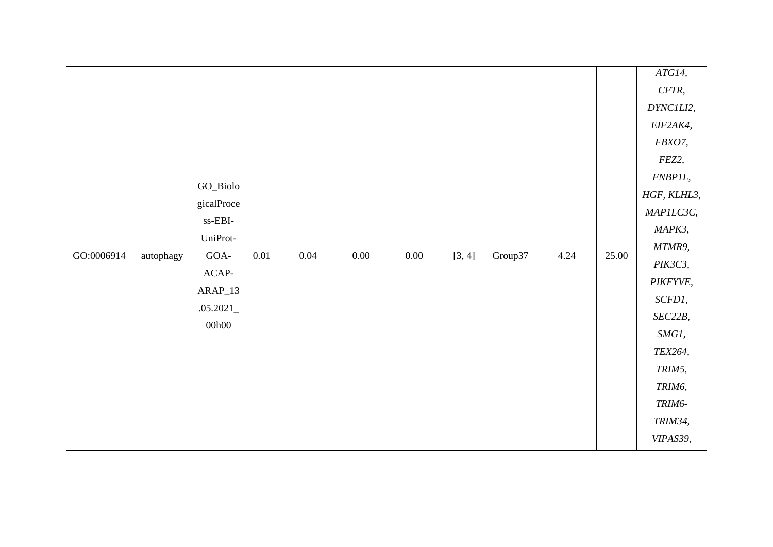|            |           |                                                   |      |      |      |      |        |         |      |       | ATG14,      |
|------------|-----------|---------------------------------------------------|------|------|------|------|--------|---------|------|-------|-------------|
|            |           |                                                   |      |      |      |      |        |         |      |       | CFTR,       |
|            |           |                                                   |      |      |      |      |        |         |      |       | DYNC1LI2,   |
|            |           |                                                   |      |      |      |      |        |         |      |       | EIF2AK4,    |
|            |           |                                                   |      |      |      |      |        |         |      |       | FBXO7,      |
|            |           |                                                   |      |      |      |      |        |         |      |       | FEZ2,       |
|            |           |                                                   |      |      |      |      |        |         |      |       | FNBP1L,     |
|            |           | GO_Biolo                                          |      |      |      |      |        |         |      |       | HGF, KLHL3, |
|            |           | gicalProce<br>$\ensuremath{\text{ss-EBI}}\xspace$ |      |      |      |      |        |         |      |       | MAPILC3C,   |
|            |           |                                                   |      |      |      |      |        |         |      |       | MAPK3,      |
| GO:0006914 |           | UniProt-<br>GOA-                                  | 0.01 | 0.04 | 0.00 | 0.00 |        | Group37 | 4.24 | 25.00 | MTMR9,      |
|            | autophagy | $ACAP-$                                           |      |      |      |      | [3, 4] |         |      |       | PIK3C3,     |
|            |           | $ARAP_13$                                         |      |      |      |      |        |         |      |       | PIKFYVE,    |
|            |           |                                                   |      |      |      |      |        |         |      |       | SCFD1,      |
|            |           | .05.2021<br>00h00                                 |      |      |      |      |        |         |      |       | SEC22B,     |
|            |           |                                                   |      |      |      |      |        |         |      |       | SMG1,       |
|            |           |                                                   |      |      |      |      |        |         |      |       | TEX264,     |
|            |           |                                                   |      |      |      |      |        |         |      |       | TRIM5,      |
|            |           |                                                   |      |      |      |      |        |         |      |       | TRIM6,      |
|            |           |                                                   |      |      |      |      |        |         |      |       | TRIM6-      |
|            |           |                                                   |      |      |      |      |        |         |      |       | TRIM34,     |
|            |           |                                                   |      |      |      |      |        |         |      |       | VIPAS39,    |
|            |           |                                                   |      |      |      |      |        |         |      |       |             |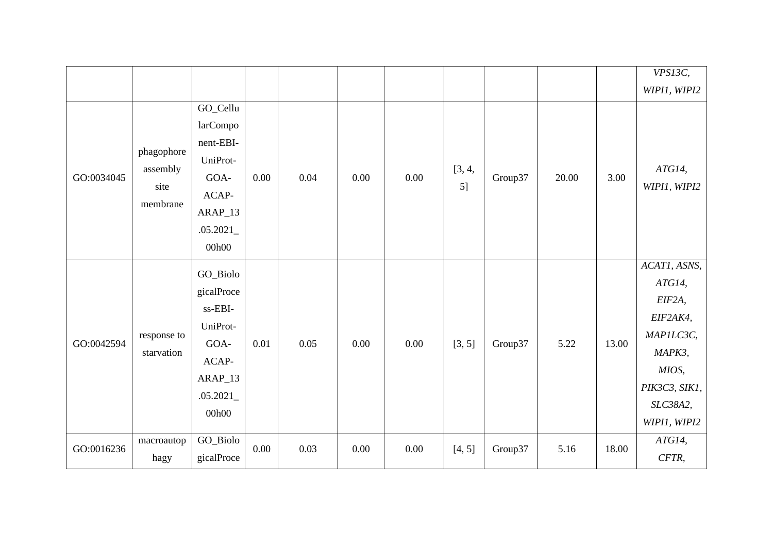|            |                                            |                                                                                                  |      |      |      |      |              |         |       |       | VPS13C,<br>WIPI1, WIPI2                                                                                                   |
|------------|--------------------------------------------|--------------------------------------------------------------------------------------------------|------|------|------|------|--------------|---------|-------|-------|---------------------------------------------------------------------------------------------------------------------------|
| GO:0034045 | phagophore<br>assembly<br>site<br>membrane | GO_Cellu<br>larCompo<br>nent-EBI-<br>UniProt-<br>GOA-<br>ACAP-<br>$ARAP_13$<br>.05.2021<br>00h00 | 0.00 | 0.04 | 0.00 | 0.00 | [3, 4,<br>5] | Group37 | 20.00 | 3.00  | ATG14,<br>WIPI1, WIPI2                                                                                                    |
| GO:0042594 | response to<br>starvation                  | GO_Biolo<br>gicalProce<br>ss-EBI-<br>UniProt-<br>GOA-<br>ACAP-<br>$ARAP_13$<br>.05.2021<br>00h00 | 0.01 | 0.05 | 0.00 | 0.00 | [3, 5]       | Group37 | 5.22  | 13.00 | ACAT1, ASNS,<br>ATG14,<br>EIF2A,<br>EIF2AK4,<br>MAPILC3C,<br>MAPK3,<br>MIOS,<br>PIK3C3, SIK1,<br>SLC38A2,<br>WIPI1, WIPI2 |
| GO:0016236 | macroautop<br>hagy                         | GO_Biolo<br>gicalProce                                                                           | 0.00 | 0.03 | 0.00 | 0.00 | [4, 5]       | Group37 | 5.16  | 18.00 | ATG14,<br>CFTR,                                                                                                           |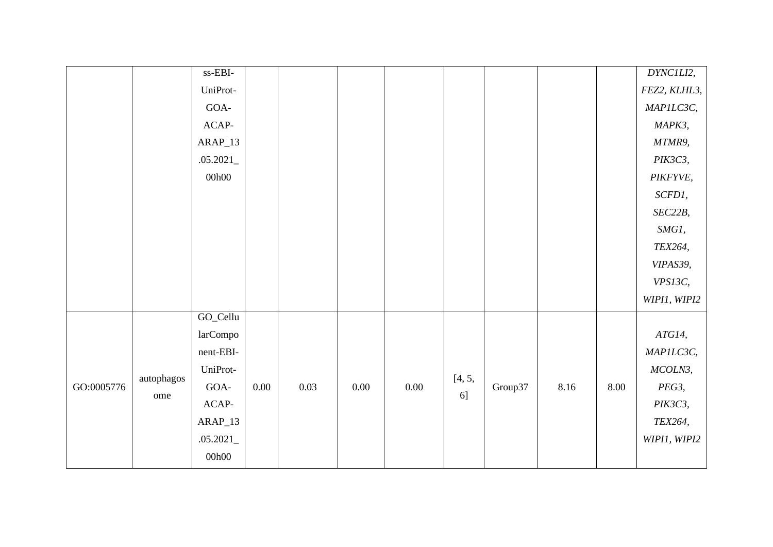|            |            | $ss-EBI-$ |      |      |      |          |        |         |      |      | DYNC1LI2,    |
|------------|------------|-----------|------|------|------|----------|--------|---------|------|------|--------------|
|            |            | UniProt-  |      |      |      |          |        |         |      |      | FEZ2, KLHL3, |
|            |            | $GOA-$    |      |      |      |          |        |         |      |      | MAPILC3C,    |
|            |            | $ACAP-$   |      |      |      |          |        |         |      |      | MAPK3,       |
|            |            | ARAP_13   |      |      |      |          |        |         |      |      | MTMR9,       |
|            |            | .05.2021  |      |      |      |          |        |         |      |      | PIK3C3,      |
|            |            | 00h00     |      |      |      |          |        |         |      |      | PIKFYVE,     |
|            |            |           |      |      |      |          |        |         |      |      | SCFD1,       |
|            |            |           |      |      |      |          |        |         |      |      | SEC22B,      |
|            |            |           |      |      |      |          |        |         |      |      | SMG1,        |
|            |            |           |      |      |      |          |        |         |      |      | TEX264,      |
|            |            |           |      |      |      |          |        |         |      |      | VIPAS39,     |
|            |            |           |      |      |      |          |        |         |      |      | VPS13C,      |
|            |            |           |      |      |      |          |        |         |      |      | WIPI1, WIPI2 |
|            |            | GO_Cellu  |      |      |      |          |        |         |      |      |              |
|            |            | larCompo  |      |      |      |          |        |         |      |      | ATG14,       |
|            |            | nent-EBI- |      |      |      |          |        |         |      |      | MAPILC3C,    |
|            | autophagos | UniProt-  |      |      |      |          | [4, 5, |         |      |      | MCOLN3,      |
| GO:0005776 |            | GOA-      | 0.00 | 0.03 | 0.00 | $0.00\,$ | 6]     | Group37 | 8.16 | 8.00 | PEG3,        |
|            | ome        | $ACAP-$   |      |      |      |          |        |         |      |      | PIK3C3,      |
|            |            | $ARAP_13$ |      |      |      |          |        |         |      |      | TEX264,      |
|            |            | .05.2021  |      |      |      |          |        |         |      |      | WIPI1, WIPI2 |
|            |            | 00h00     |      |      |      |          |        |         |      |      |              |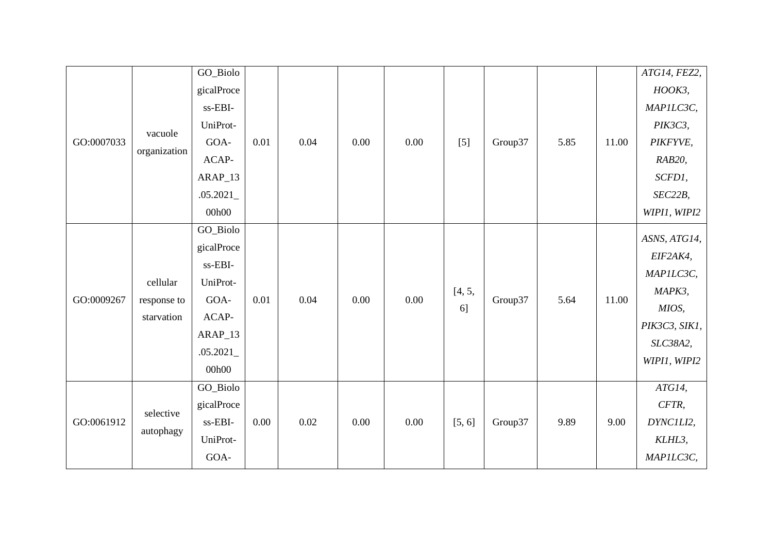|            |              | GO_Biolo   |      |      |      |      |        |         |      |       | ATG14, FEZ2,  |
|------------|--------------|------------|------|------|------|------|--------|---------|------|-------|---------------|
|            |              | gicalProce |      |      |      |      |        |         |      |       | $HOOK3$ ,     |
|            |              | ss-EBI-    |      |      |      |      |        |         |      |       | MAPILC3C,     |
|            |              | UniProt-   |      |      |      |      |        |         |      |       | PIK3C3,       |
| GO:0007033 | vacuole      | GOA-       | 0.01 | 0.04 | 0.00 | 0.00 | $[5]$  | Group37 | 5.85 | 11.00 | PIKFYVE,      |
|            | organization | ACAP-      |      |      |      |      |        |         |      |       | RAB20,        |
|            |              | $ARAP_13$  |      |      |      |      |        |         |      |       | SCFD1,        |
|            |              | .05.2021   |      |      |      |      |        |         |      |       | SEC22B,       |
|            |              | 00h00      |      |      |      |      |        |         |      |       | WIPI1, WIPI2  |
|            |              | GO_Biolo   |      |      |      |      |        |         |      |       | ASNS, ATG14,  |
|            |              | gicalProce |      |      |      |      |        |         |      |       | EIF2AK4,      |
|            |              | ss-EBI-    |      |      |      |      |        |         |      |       |               |
|            | cellular     | UniProt-   |      |      |      |      |        |         |      |       | MAPILC3C,     |
| GO:0009267 | response to  | GOA-       | 0.01 | 0.04 | 0.00 | 0.00 | [4, 5, | Group37 | 5.64 | 11.00 | MAPK3,        |
|            | starvation   | ACAP-      |      |      |      |      | 6]     |         |      |       | MIOS,         |
|            |              | $ARAP_13$  |      |      |      |      |        |         |      |       | PIK3C3, SIK1, |
|            |              | .05.2021   |      |      |      |      |        |         |      |       | SLC38A2,      |
|            |              | 00h00      |      |      |      |      |        |         |      |       | WIPI1, WIPI2  |
|            |              | GO_Biolo   |      |      |      |      |        |         |      |       | ATG14,        |
|            |              | gicalProce |      |      |      |      |        |         |      |       | CFTR,         |
| GO:0061912 | selective    | ss-EBI-    | 0.00 | 0.02 | 0.00 | 0.00 | [5, 6] | Group37 | 9.89 | 9.00  | DYNC1LI2,     |
|            | autophagy    | UniProt-   |      |      |      |      |        |         |      |       | KLHL3,        |
|            |              | GOA-       |      |      |      |      |        |         |      |       | MAPILC3C,     |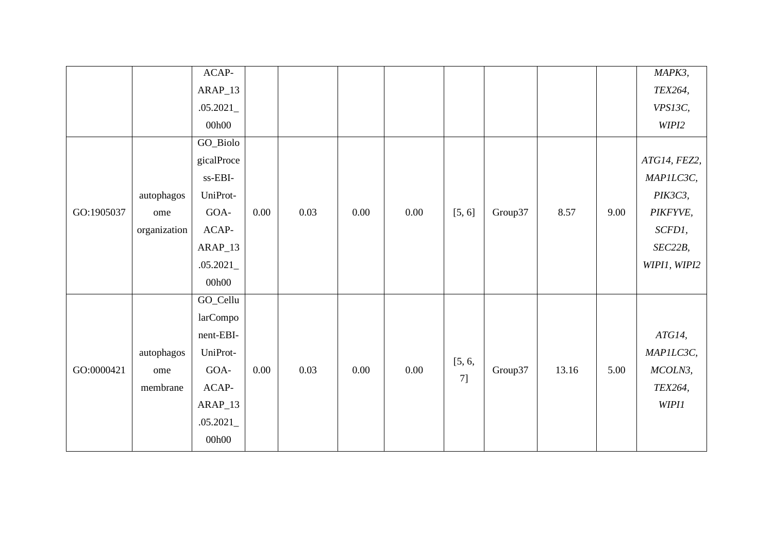|            |              | $ACAP-$                             |      |      |      |      |        |         |       |      | MAPK3,       |
|------------|--------------|-------------------------------------|------|------|------|------|--------|---------|-------|------|--------------|
|            |              | $ARAP_13$                           |      |      |      |      |        |         |       |      | TEX264,      |
|            |              | .05.2021                            |      |      |      |      |        |         |       |      | VPS13C,      |
|            |              | 00h00                               |      |      |      |      |        |         |       |      | WIPI2        |
|            |              | GO_Biolo                            |      |      |      |      |        |         |       |      |              |
|            |              | gicalProce                          |      |      |      |      |        |         |       |      | ATG14, FEZ2, |
|            |              | $\ensuremath{\text{ss-EBI}}\xspace$ |      |      |      |      |        |         |       |      | MAPILC3C,    |
|            | autophagos   | UniProt-                            |      |      |      |      |        |         |       |      | PIK3C3,      |
| GO:1905037 | ome          | GOA-                                | 0.00 | 0.03 | 0.00 | 0.00 | [5, 6] | Group37 | 8.57  | 9.00 | PIKFYVE,     |
|            | organization | $ACAP-$                             |      |      |      |      |        |         |       |      | SCFD1,       |
|            |              | $ARAP_13$                           |      |      |      |      |        |         |       |      | SEC22B,      |
|            |              | .05.2021                            |      |      |      |      |        |         |       |      | WIPI1, WIPI2 |
|            |              | 00h00                               |      |      |      |      |        |         |       |      |              |
|            |              | GO_Cellu                            |      |      |      |      |        |         |       |      |              |
|            |              | larCompo                            |      |      |      |      |        |         |       |      |              |
|            |              | nent-EBI-                           |      |      |      |      |        |         |       |      | ATG14,       |
|            | autophagos   | UniProt-                            |      |      |      |      |        |         |       |      | MAPILC3C,    |
| GO:0000421 | ome          | GOA-                                | 0.00 | 0.03 | 0.00 | 0.00 | [5, 6, | Group37 | 13.16 | 5.00 | MCOLN3,      |
|            | membrane     | $ACAP-$                             |      |      |      |      | 7]     |         |       |      | TEX264,      |
|            |              | $ARAP_13$                           |      |      |      |      |        |         |       |      | WIPI1        |
|            |              | .05.2021                            |      |      |      |      |        |         |       |      |              |
|            |              | 00h00                               |      |      |      |      |        |         |       |      |              |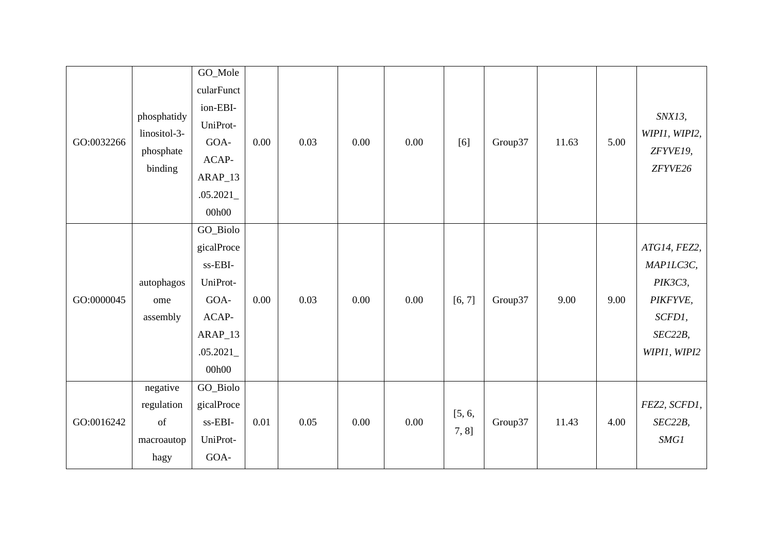| GO:0032266 | phosphatidy<br>linositol-3-<br>phosphate<br>binding | GO_Mole<br>cularFunct<br>ion-EBI-<br>UniProt-<br>GOA-<br>ACAP-<br>$ARAP_13$<br>.05.2021<br>00h00 | 0.00 | 0.03 | 0.00 | 0.00 | [6]             | Group37 | 11.63 | 5.00 | SNX13,<br>WIPI1, WIPI2,<br>ZFYVE19,<br>ZFYVE26                                        |
|------------|-----------------------------------------------------|--------------------------------------------------------------------------------------------------|------|------|------|------|-----------------|---------|-------|------|---------------------------------------------------------------------------------------|
| GO:0000045 | autophagos<br>ome<br>assembly                       | GO_Biolo<br>gicalProce<br>ss-EBI-<br>UniProt-<br>GOA-<br>ACAP-<br>ARAP_13<br>.05.2021<br>00h00   | 0.00 | 0.03 | 0.00 | 0.00 | [6, 7]          | Group37 | 9.00  | 9.00 | ATG14, FEZ2,<br>MAPILC3C,<br>PIK3C3,<br>PIKFYVE,<br>SCFD1,<br>SEC22B,<br>WIPI1, WIPI2 |
| GO:0016242 | negative<br>regulation<br>of<br>macroautop<br>hagy  | GO_Biolo<br>gicalProce<br>ss-EBI-<br>UniProt-<br>GOA-                                            | 0.01 | 0.05 | 0.00 | 0.00 | [5, 6,<br>7, 8] | Group37 | 11.43 | 4.00 | FEZ2, SCFD1,<br>SEC22B,<br>SMGI                                                       |